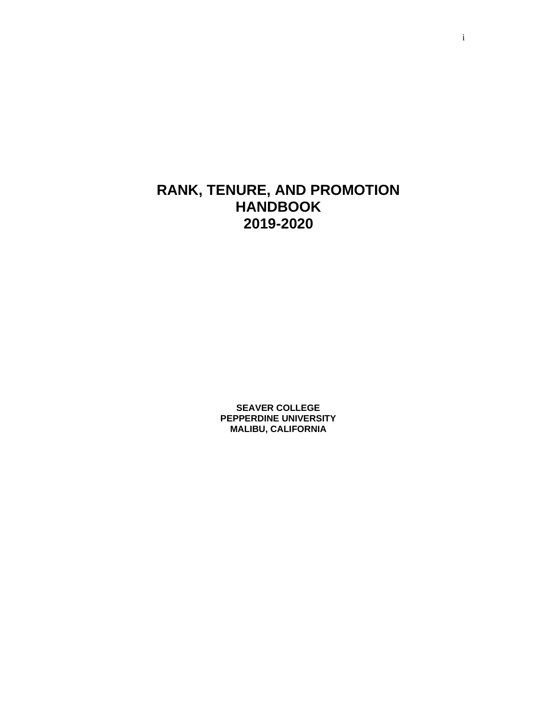# **RANK, TENURE, AND PROMOTION HANDBOOK 2019-2020**

**SEAVER COLLEGE PEPPERDINE UNIVERSITY MALIBU, CALIFORNIA**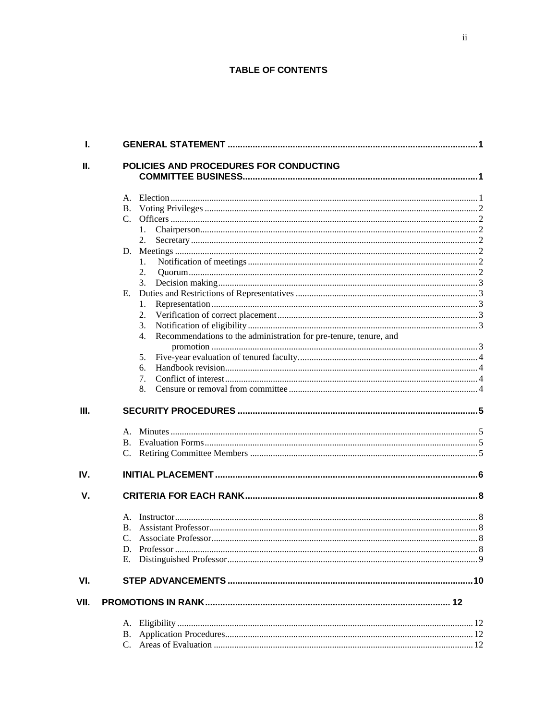#### **TABLE OF CONTENTS**

| I.   |                                                                         |  |
|------|-------------------------------------------------------------------------|--|
| Ш.   | POLICIES AND PROCEDURES FOR CONDUCTING                                  |  |
|      |                                                                         |  |
|      |                                                                         |  |
|      |                                                                         |  |
|      |                                                                         |  |
|      | 1.                                                                      |  |
|      | 2.                                                                      |  |
|      |                                                                         |  |
|      | 1.                                                                      |  |
|      | 2.                                                                      |  |
|      | 3.                                                                      |  |
|      | Е.                                                                      |  |
|      | 1.                                                                      |  |
|      | 2.                                                                      |  |
|      | 3.                                                                      |  |
|      | Recommendations to the administration for pre-tenure, tenure, and<br>4. |  |
|      |                                                                         |  |
|      | 5.                                                                      |  |
|      | 6.                                                                      |  |
|      | 7.                                                                      |  |
|      | 8.                                                                      |  |
|      |                                                                         |  |
| III. |                                                                         |  |
|      |                                                                         |  |
|      |                                                                         |  |
|      |                                                                         |  |
|      |                                                                         |  |
| IV.  |                                                                         |  |
| V.   |                                                                         |  |
|      |                                                                         |  |
|      | А.                                                                      |  |
|      | Β.                                                                      |  |
|      |                                                                         |  |
|      |                                                                         |  |
|      | Е.                                                                      |  |
| VI.  |                                                                         |  |
| VII. |                                                                         |  |
|      |                                                                         |  |
|      |                                                                         |  |
|      |                                                                         |  |
|      |                                                                         |  |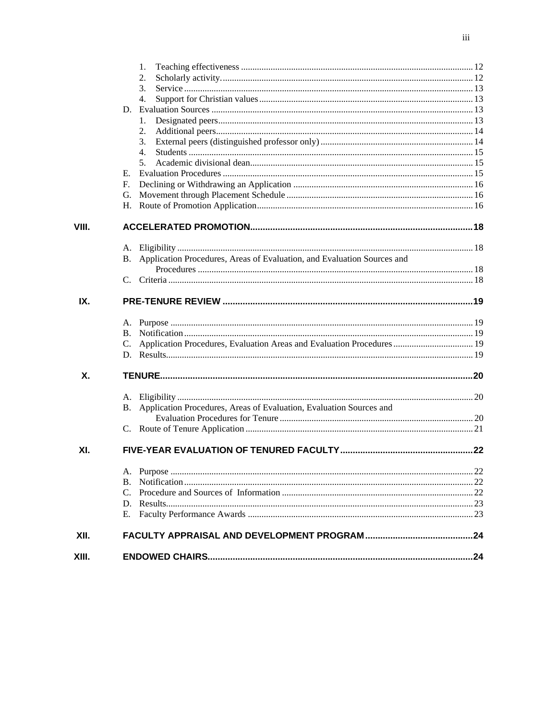|       | 1.                                                                               |  |
|-------|----------------------------------------------------------------------------------|--|
|       | 2.                                                                               |  |
|       | 3.                                                                               |  |
|       | 4.                                                                               |  |
|       | D.                                                                               |  |
|       | 1.                                                                               |  |
|       | 2.                                                                               |  |
|       | 3.                                                                               |  |
|       | 4.                                                                               |  |
|       | 5.                                                                               |  |
|       | Е.                                                                               |  |
|       | $F_{\cdot}$                                                                      |  |
|       | G.                                                                               |  |
|       | Н.                                                                               |  |
| VIII. |                                                                                  |  |
|       |                                                                                  |  |
|       | Application Procedures, Areas of Evaluation, and Evaluation Sources and<br>В.    |  |
|       |                                                                                  |  |
|       |                                                                                  |  |
| IX.   |                                                                                  |  |
|       |                                                                                  |  |
|       |                                                                                  |  |
|       | C. Application Procedures, Evaluation Areas and Evaluation Procedures  19        |  |
|       |                                                                                  |  |
| X.    |                                                                                  |  |
|       |                                                                                  |  |
|       | Application Procedures, Areas of Evaluation, Evaluation Sources and<br><b>B.</b> |  |
|       |                                                                                  |  |
|       |                                                                                  |  |
| XI.   |                                                                                  |  |
|       |                                                                                  |  |
|       | В.                                                                               |  |
|       | C.                                                                               |  |
|       |                                                                                  |  |
|       | E.                                                                               |  |
| XII.  |                                                                                  |  |
| XIII. |                                                                                  |  |
|       |                                                                                  |  |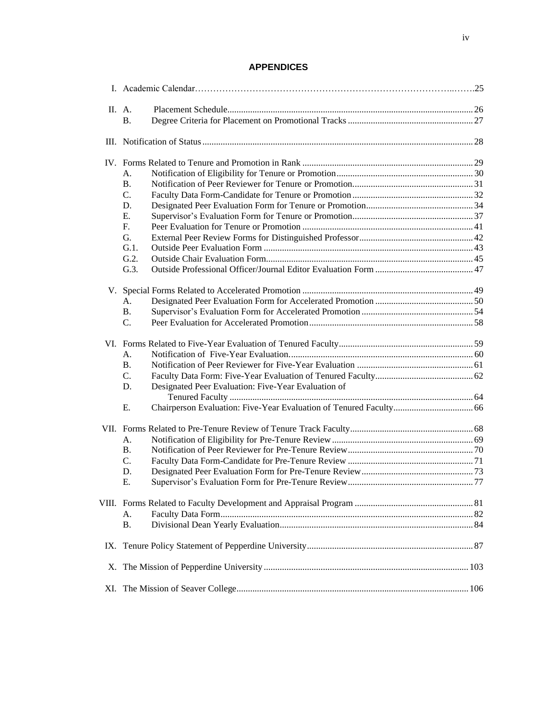### **APPENDICES**

| <b>B.</b> |                                                                                                                                          |  |  |  |  |
|-----------|------------------------------------------------------------------------------------------------------------------------------------------|--|--|--|--|
|           |                                                                                                                                          |  |  |  |  |
|           |                                                                                                                                          |  |  |  |  |
|           |                                                                                                                                          |  |  |  |  |
| А.        |                                                                                                                                          |  |  |  |  |
| <b>B.</b> |                                                                                                                                          |  |  |  |  |
| C.        |                                                                                                                                          |  |  |  |  |
| D.        |                                                                                                                                          |  |  |  |  |
| Ε.        |                                                                                                                                          |  |  |  |  |
| F.        |                                                                                                                                          |  |  |  |  |
| G.        |                                                                                                                                          |  |  |  |  |
| $G.1$ .   |                                                                                                                                          |  |  |  |  |
| G.2.      |                                                                                                                                          |  |  |  |  |
| G.3.      |                                                                                                                                          |  |  |  |  |
|           |                                                                                                                                          |  |  |  |  |
|           |                                                                                                                                          |  |  |  |  |
|           |                                                                                                                                          |  |  |  |  |
|           |                                                                                                                                          |  |  |  |  |
|           |                                                                                                                                          |  |  |  |  |
|           |                                                                                                                                          |  |  |  |  |
| А.        |                                                                                                                                          |  |  |  |  |
|           |                                                                                                                                          |  |  |  |  |
|           |                                                                                                                                          |  |  |  |  |
| D.        |                                                                                                                                          |  |  |  |  |
|           |                                                                                                                                          |  |  |  |  |
| Ε.        |                                                                                                                                          |  |  |  |  |
|           |                                                                                                                                          |  |  |  |  |
| А.        |                                                                                                                                          |  |  |  |  |
| <b>B.</b> |                                                                                                                                          |  |  |  |  |
|           |                                                                                                                                          |  |  |  |  |
|           |                                                                                                                                          |  |  |  |  |
| Ε.        |                                                                                                                                          |  |  |  |  |
|           |                                                                                                                                          |  |  |  |  |
|           |                                                                                                                                          |  |  |  |  |
|           |                                                                                                                                          |  |  |  |  |
|           |                                                                                                                                          |  |  |  |  |
| IX.       |                                                                                                                                          |  |  |  |  |
|           |                                                                                                                                          |  |  |  |  |
|           |                                                                                                                                          |  |  |  |  |
|           | II. A.<br>A.<br><b>B.</b><br>C.<br><b>B.</b><br>C.<br>Designated Peer Evaluation: Five-Year Evaluation of<br>C.<br>D.<br>А.<br><b>B.</b> |  |  |  |  |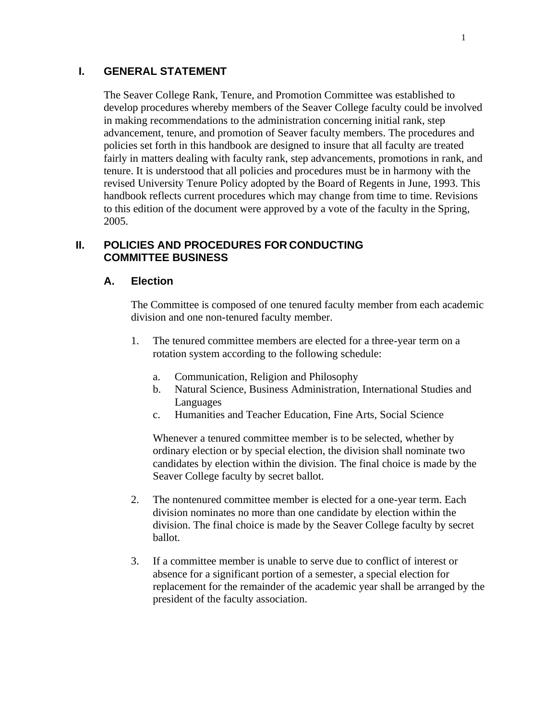### <span id="page-4-0"></span>**I. GENERAL STATEMENT**

The Seaver College Rank, Tenure, and Promotion Committee was established to develop procedures whereby members of the Seaver College faculty could be involved in making recommendations to the administration concerning initial rank, step advancement, tenure, and promotion of Seaver faculty members. The procedures and policies set forth in this handbook are designed to insure that all faculty are treated fairly in matters dealing with faculty rank, step advancements, promotions in rank, and tenure. It is understood that all policies and procedures must be in harmony with the revised University Tenure Policy adopted by the Board of Regents in June, 1993. This handbook reflects current procedures which may change from time to time. Revisions to this edition of the document were approved by a vote of the faculty in the Spring, 2005.

### <span id="page-4-1"></span>**II. POLICIES AND PROCEDURES FOR CONDUCTING COMMITTEE BUSINESS**

### **A. Election**

The Committee is composed of one tenured faculty member from each academic division and one non-tenured faculty member.

- 1. The tenured committee members are elected for a three-year term on a rotation system according to the following schedule:
	- a. Communication, Religion and Philosophy
	- b. Natural Science, Business Administration, International Studies and Languages
	- c. Humanities and Teacher Education, Fine Arts, Social Science

Whenever a tenured committee member is to be selected, whether by ordinary election or by special election, the division shall nominate two candidates by election within the division. The final choice is made by the Seaver College faculty by secret ballot.

- 2. The nontenured committee member is elected for a one-year term. Each division nominates no more than one candidate by election within the division. The final choice is made by the Seaver College faculty by secret ballot.
- 3. If a committee member is unable to serve due to conflict of interest or absence for a significant portion of a semester, a special election for replacement for the remainder of the academic year shall be arranged by the president of the faculty association.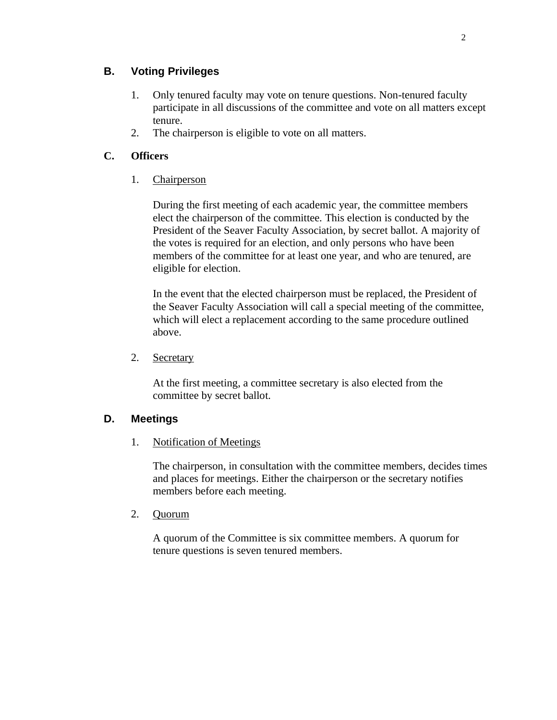## <span id="page-5-0"></span>**B. Voting Privileges**

- 1. Only tenured faculty may vote on tenure questions. Non-tenured faculty participate in all discussions of the committee and vote on all matters except tenure.
- 2. The chairperson is eligible to vote on all matters.

## <span id="page-5-1"></span>**C. Officers**

1. Chairperson

During the first meeting of each academic year, the committee members elect the chairperson of the committee. This election is conducted by the President of the Seaver Faculty Association, by secret ballot. A majority of the votes is required for an election, and only persons who have been members of the committee for at least one year, and who are tenured, are eligible for election.

In the event that the elected chairperson must be replaced, the President of the Seaver Faculty Association will call a special meeting of the committee, which will elect a replacement according to the same procedure outlined above.

2. Secretary

At the first meeting, a committee secretary is also elected from the committee by secret ballot.

## <span id="page-5-2"></span>**D. Meetings**

1. Notification of Meetings

The chairperson, in consultation with the committee members, decides times and places for meetings. Either the chairperson or the secretary notifies members before each meeting.

2. Quorum

A quorum of the Committee is six committee members. A quorum for tenure questions is seven tenured members.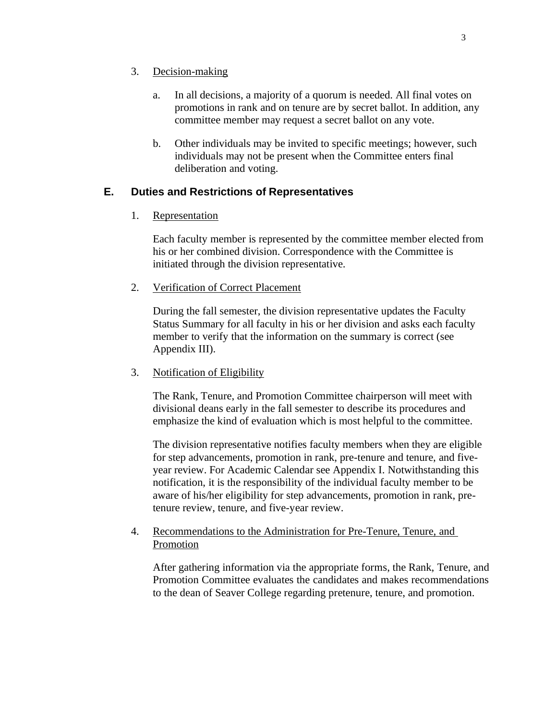### 3. Decision-making

- a. In all decisions, a majority of a quorum is needed. All final votes on promotions in rank and on tenure are by secret ballot. In addition, any committee member may request a secret ballot on any vote.
- b. Other individuals may be invited to specific meetings; however, such individuals may not be present when the Committee enters final deliberation and voting.

## <span id="page-6-0"></span>**E. Duties and Restrictions of Representatives**

1. Representation

Each faculty member is represented by the committee member elected from his or her combined division. Correspondence with the Committee is initiated through the division representative.

### 2. Verification of Correct Placement

During the fall semester, the division representative updates the Faculty Status Summary for all faculty in his or her division and asks each faculty member to verify that the information on the summary is correct (see Appendix III).

### 3. Notification of Eligibility

The Rank, Tenure, and Promotion Committee chairperson will meet with divisional deans early in the fall semester to describe its procedures and emphasize the kind of evaluation which is most helpful to the committee.

The division representative notifies faculty members when they are eligible for step advancements, promotion in rank, pre-tenure and tenure, and fiveyear review. For Academic Calendar see Appendix I. Notwithstanding this notification, it is the responsibility of the individual faculty member to be aware of his/her eligibility for step advancements, promotion in rank, pretenure review, tenure, and five-year review.

### 4. Recommendations to the Administration for Pre-Tenure, Tenure, and Promotion

After gathering information via the appropriate forms, the Rank, Tenure, and Promotion Committee evaluates the candidates and makes recommendations to the dean of Seaver College regarding pretenure, tenure, and promotion.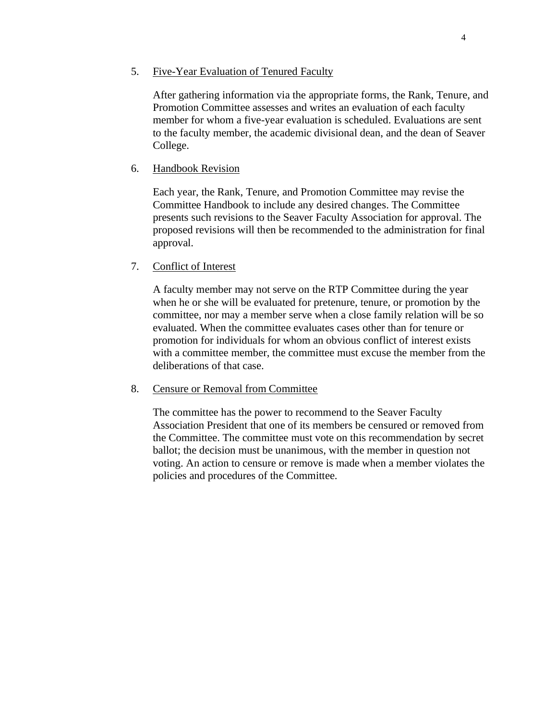After gathering information via the appropriate forms, the Rank, Tenure, and Promotion Committee assesses and writes an evaluation of each faculty member for whom a five-year evaluation is scheduled. Evaluations are sent to the faculty member, the academic divisional dean, and the dean of Seaver College.

#### 6. Handbook Revision

Each year, the Rank, Tenure, and Promotion Committee may revise the Committee Handbook to include any desired changes. The Committee presents such revisions to the Seaver Faculty Association for approval. The proposed revisions will then be recommended to the administration for final approval.

### 7. Conflict of Interest

A faculty member may not serve on the RTP Committee during the year when he or she will be evaluated for pretenure, tenure, or promotion by the committee, nor may a member serve when a close family relation will be so evaluated. When the committee evaluates cases other than for tenure or promotion for individuals for whom an obvious conflict of interest exists with a committee member, the committee must excuse the member from the deliberations of that case.

### 8. Censure or Removal from Committee

The committee has the power to recommend to the Seaver Faculty Association President that one of its members be censured or removed from the Committee. The committee must vote on this recommendation by secret ballot; the decision must be unanimous, with the member in question not voting. An action to censure or remove is made when a member violates the policies and procedures of the Committee.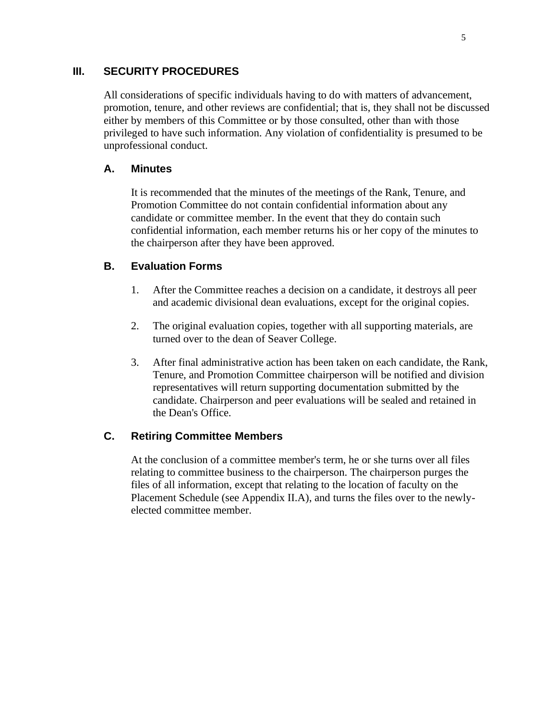## <span id="page-8-0"></span>**III. SECURITY PROCEDURES**

All considerations of specific individuals having to do with matters of advancement, promotion, tenure, and other reviews are confidential; that is, they shall not be discussed either by members of this Committee or by those consulted, other than with those privileged to have such information. Any violation of confidentiality is presumed to be unprofessional conduct.

## <span id="page-8-1"></span>**A. Minutes**

It is recommended that the minutes of the meetings of the Rank, Tenure, and Promotion Committee do not contain confidential information about any candidate or committee member. In the event that they do contain such confidential information, each member returns his or her copy of the minutes to the chairperson after they have been approved.

## <span id="page-8-2"></span>**B. Evaluation Forms**

- 1. After the Committee reaches a decision on a candidate, it destroys all peer and academic divisional dean evaluations, except for the original copies.
- 2. The original evaluation copies, together with all supporting materials, are turned over to the dean of Seaver College.
- 3. After final administrative action has been taken on each candidate, the Rank, Tenure, and Promotion Committee chairperson will be notified and division representatives will return supporting documentation submitted by the candidate. Chairperson and peer evaluations will be sealed and retained in the Dean's Office.

## <span id="page-8-3"></span>**C. Retiring Committee Members**

At the conclusion of a committee member's term, he or she turns over all files relating to committee business to the chairperson. The chairperson purges the files of all information, except that relating to the location of faculty on the Placement Schedule (see Appendix II.A), and turns the files over to the newlyelected committee member.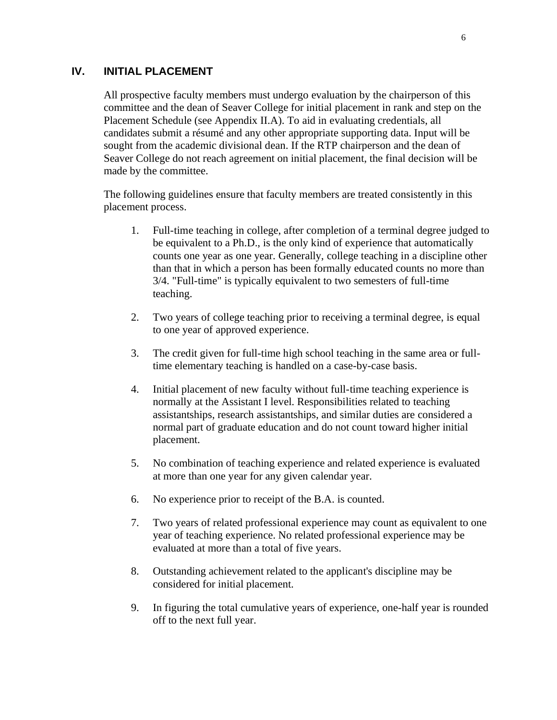## <span id="page-9-0"></span>**IV. INITIAL PLACEMENT**

All prospective faculty members must undergo evaluation by the chairperson of this committee and the dean of Seaver College for initial placement in rank and step on the Placement Schedule (see Appendix II.A). To aid in evaluating credentials, all candidates submit a résumé and any other appropriate supporting data. Input will be sought from the academic divisional dean. If the RTP chairperson and the dean of Seaver College do not reach agreement on initial placement, the final decision will be made by the committee.

The following guidelines ensure that faculty members are treated consistently in this placement process.

- 1. Full-time teaching in college, after completion of a terminal degree judged to be equivalent to a Ph.D., is the only kind of experience that automatically counts one year as one year. Generally, college teaching in a discipline other than that in which a person has been formally educated counts no more than 3/4. "Full-time" is typically equivalent to two semesters of full-time teaching.
- 2. Two years of college teaching prior to receiving a terminal degree, is equal to one year of approved experience.
- 3. The credit given for full-time high school teaching in the same area or fulltime elementary teaching is handled on a case-by-case basis.
- 4. Initial placement of new faculty without full-time teaching experience is normally at the Assistant I level. Responsibilities related to teaching assistantships, research assistantships, and similar duties are considered a normal part of graduate education and do not count toward higher initial placement.
- 5. No combination of teaching experience and related experience is evaluated at more than one year for any given calendar year.
- 6. No experience prior to receipt of the B.A. is counted.
- 7. Two years of related professional experience may count as equivalent to one year of teaching experience. No related professional experience may be evaluated at more than a total of five years.
- 8. Outstanding achievement related to the applicant's discipline may be considered for initial placement.
- 9. In figuring the total cumulative years of experience, one-half year is rounded off to the next full year.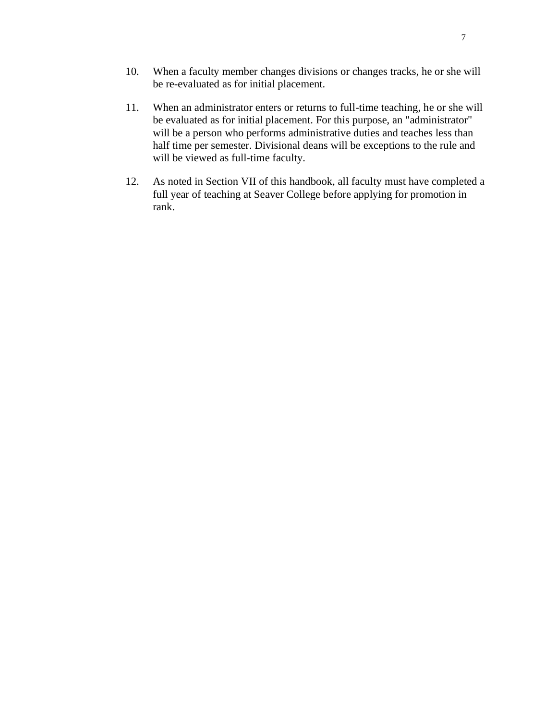- 11. When an administrator enters or returns to full-time teaching, he or she will be evaluated as for initial placement. For this purpose, an "administrator" will be a person who performs administrative duties and teaches less than half time per semester. Divisional deans will be exceptions to the rule and will be viewed as full-time faculty.
- 12. As noted in Section VII of this handbook, all faculty must have completed a full year of teaching at Seaver College before applying for promotion in rank.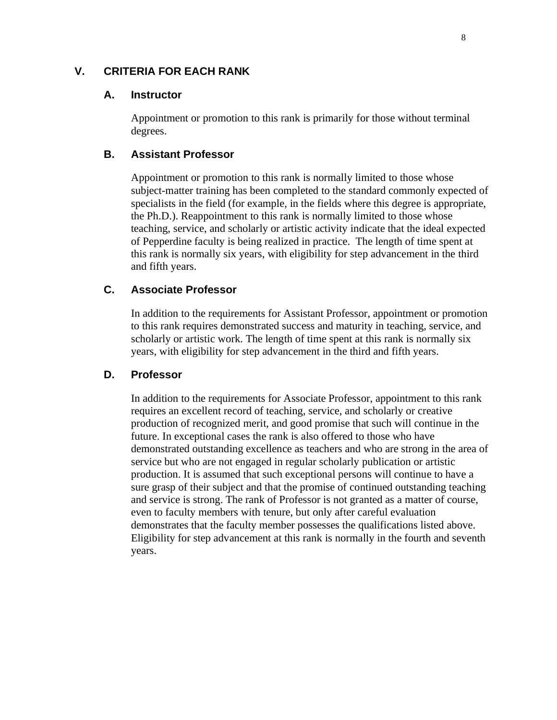## <span id="page-11-1"></span><span id="page-11-0"></span>**V. CRITERIA FOR EACH RANK**

#### **A. Instructor**

Appointment or promotion to this rank is primarily for those without terminal degrees.

#### <span id="page-11-2"></span>**B. Assistant Professor**

Appointment or promotion to this rank is normally limited to those whose subject-matter training has been completed to the standard commonly expected of specialists in the field (for example, in the fields where this degree is appropriate, the Ph.D.). Reappointment to this rank is normally limited to those whose teaching, service, and scholarly or artistic activity indicate that the ideal expected of Pepperdine faculty is being realized in practice. The length of time spent at this rank is normally six years, with eligibility for step advancement in the third and fifth years.

### <span id="page-11-3"></span>**C. Associate Professor**

In addition to the requirements for Assistant Professor, appointment or promotion to this rank requires demonstrated success and maturity in teaching, service, and scholarly or artistic work. The length of time spent at this rank is normally six years, with eligibility for step advancement in the third and fifth years.

### <span id="page-11-4"></span>**D. Professor**

In addition to the requirements for Associate Professor, appointment to this rank requires an excellent record of teaching, service, and scholarly or creative production of recognized merit, and good promise that such will continue in the future. In exceptional cases the rank is also offered to those who have demonstrated outstanding excellence as teachers and who are strong in the area of service but who are not engaged in regular scholarly publication or artistic production. It is assumed that such exceptional persons will continue to have a sure grasp of their subject and that the promise of continued outstanding teaching and service is strong. The rank of Professor is not granted as a matter of course, even to faculty members with tenure, but only after careful evaluation demonstrates that the faculty member possesses the qualifications listed above. Eligibility for step advancement at this rank is normally in the fourth and seventh years.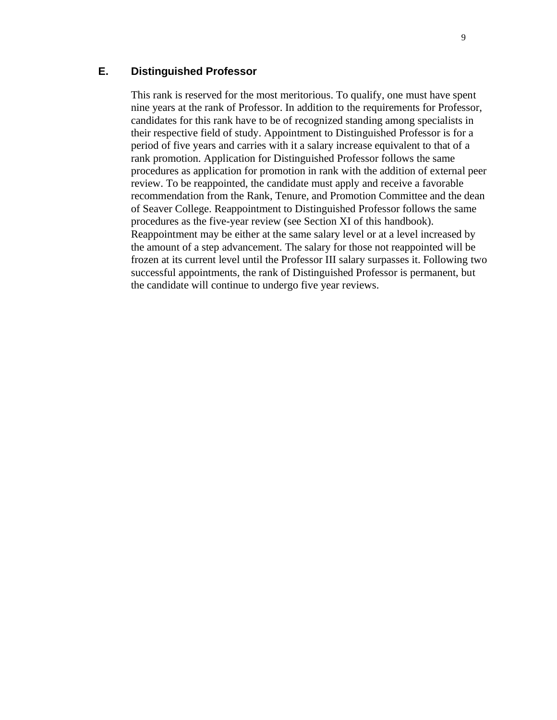## <span id="page-12-0"></span>**E. Distinguished Professor**

This rank is reserved for the most meritorious. To qualify, one must have spent nine years at the rank of Professor. In addition to the requirements for Professor, candidates for this rank have to be of recognized standing among specialists in their respective field of study. Appointment to Distinguished Professor is for a period of five years and carries with it a salary increase equivalent to that of a rank promotion. Application for Distinguished Professor follows the same procedures as application for promotion in rank with the addition of external peer review. To be reappointed, the candidate must apply and receive a favorable recommendation from the Rank, Tenure, and Promotion Committee and the dean of Seaver College. Reappointment to Distinguished Professor follows the same procedures as the five-year review (see Section XI of this handbook). Reappointment may be either at the same salary level or at a level increased by the amount of a step advancement. The salary for those not reappointed will be frozen at its current level until the Professor III salary surpasses it. Following two successful appointments, the rank of Distinguished Professor is permanent, but the candidate will continue to undergo five year reviews.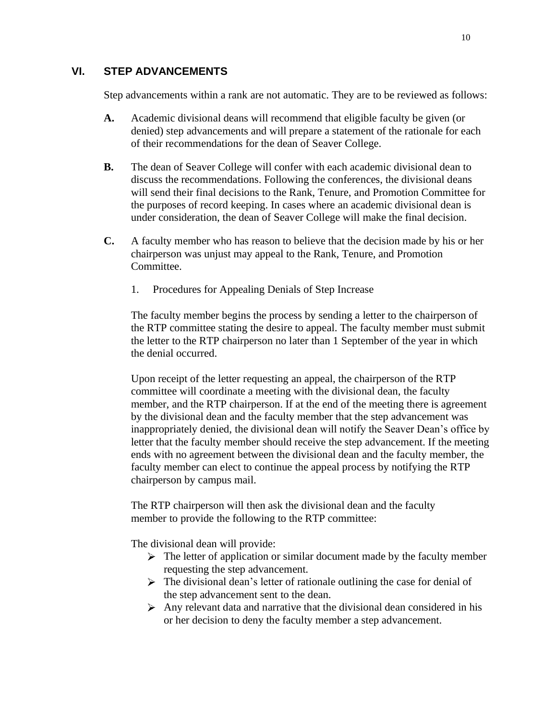## <span id="page-13-0"></span>**VI. STEP ADVANCEMENTS**

Step advancements within a rank are not automatic. They are to be reviewed as follows:

- **A.** Academic divisional deans will recommend that eligible faculty be given (or denied) step advancements and will prepare a statement of the rationale for each of their recommendations for the dean of Seaver College.
- **B.** The dean of Seaver College will confer with each academic divisional dean to discuss the recommendations. Following the conferences, the divisional deans will send their final decisions to the Rank, Tenure, and Promotion Committee for the purposes of record keeping. In cases where an academic divisional dean is under consideration, the dean of Seaver College will make the final decision.
- **C.** A faculty member who has reason to believe that the decision made by his or her chairperson was unjust may appeal to the Rank, Tenure, and Promotion Committee.
	- 1. Procedures for Appealing Denials of Step Increase

The faculty member begins the process by sending a letter to the chairperson of the RTP committee stating the desire to appeal. The faculty member must submit the letter to the RTP chairperson no later than 1 September of the year in which the denial occurred.

Upon receipt of the letter requesting an appeal, the chairperson of the RTP committee will coordinate a meeting with the divisional dean, the faculty member, and the RTP chairperson. If at the end of the meeting there is agreement by the divisional dean and the faculty member that the step advancement was inappropriately denied, the divisional dean will notify the Seaver Dean's office by letter that the faculty member should receive the step advancement. If the meeting ends with no agreement between the divisional dean and the faculty member, the faculty member can elect to continue the appeal process by notifying the RTP chairperson by campus mail.

The RTP chairperson will then ask the divisional dean and the faculty member to provide the following to the RTP committee:

The divisional dean will provide:

- $\triangleright$  The letter of application or similar document made by the faculty member requesting the step advancement.
- $\triangleright$  The divisional dean's letter of rationale outlining the case for denial of the step advancement sent to the dean.
- $\triangleright$  Any relevant data and narrative that the divisional dean considered in his or her decision to deny the faculty member a step advancement.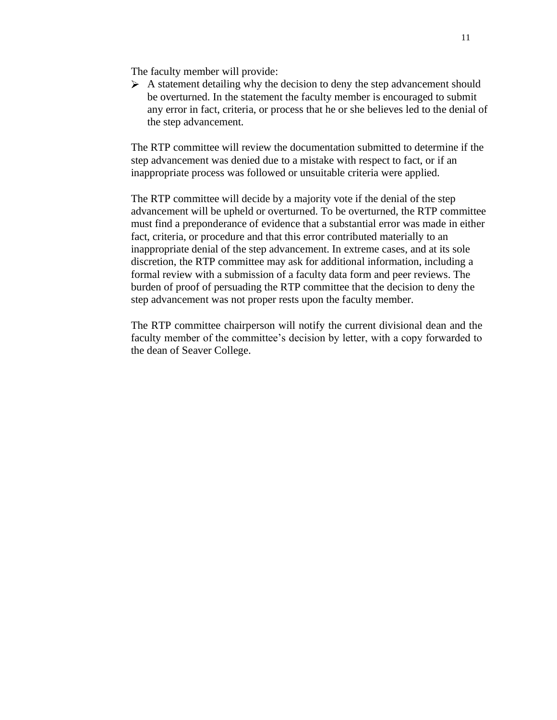The faculty member will provide:

 $\triangleright$  A statement detailing why the decision to deny the step advancement should be overturned. In the statement the faculty member is encouraged to submit any error in fact, criteria, or process that he or she believes led to the denial of the step advancement.

The RTP committee will review the documentation submitted to determine if the step advancement was denied due to a mistake with respect to fact, or if an inappropriate process was followed or unsuitable criteria were applied.

The RTP committee will decide by a majority vote if the denial of the step advancement will be upheld or overturned. To be overturned, the RTP committee must find a preponderance of evidence that a substantial error was made in either fact, criteria, or procedure and that this error contributed materially to an inappropriate denial of the step advancement. In extreme cases, and at its sole discretion, the RTP committee may ask for additional information, including a formal review with a submission of a faculty data form and peer reviews. The burden of proof of persuading the RTP committee that the decision to deny the step advancement was not proper rests upon the faculty member.

The RTP committee chairperson will notify the current divisional dean and the faculty member of the committee's decision by letter, with a copy forwarded to the dean of Seaver College.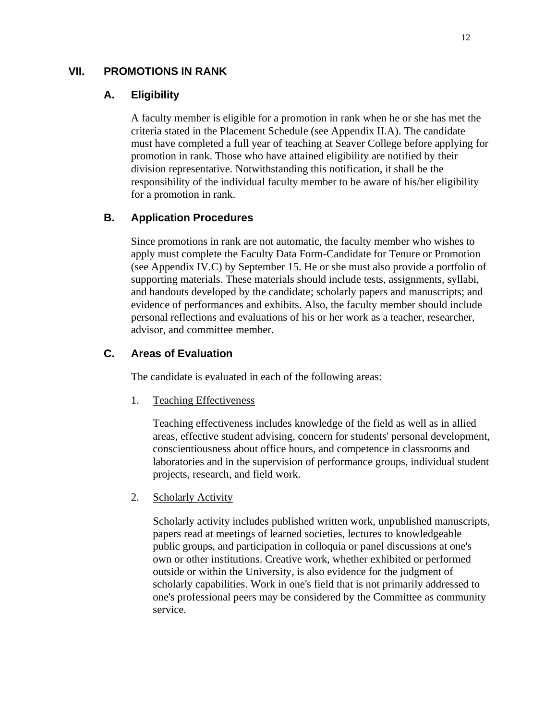### <span id="page-15-1"></span><span id="page-15-0"></span>**VII. PROMOTIONS IN RANK**

#### **A. Eligibility**

A faculty member is eligible for a promotion in rank when he or she has met the criteria stated in the Placement Schedule (see Appendix II.A). The candidate must have completed a full year of teaching at Seaver College before applying for promotion in rank. Those who have attained eligibility are notified by their division representative. Notwithstanding this notification, it shall be the responsibility of the individual faculty member to be aware of his/her eligibility for a promotion in rank.

### <span id="page-15-2"></span>**B. Application Procedures**

Since promotions in rank are not automatic, the faculty member who wishes to apply must complete the Faculty Data Form-Candidate for Tenure or Promotion (see Appendix IV.C) by September 15. He or she must also provide a portfolio of supporting materials. These materials should include tests, assignments, syllabi, and handouts developed by the candidate; scholarly papers and manuscripts; and evidence of performances and exhibits. Also, the faculty member should include personal reflections and evaluations of his or her work as a teacher, researcher, advisor, and committee member.

### <span id="page-15-3"></span>**C. Areas of Evaluation**

The candidate is evaluated in each of the following areas:

1. Teaching Effectiveness

Teaching effectiveness includes knowledge of the field as well as in allied areas, effective student advising, concern for students' personal development, conscientiousness about office hours, and competence in classrooms and laboratories and in the supervision of performance groups, individual student projects, research, and field work.

2. Scholarly Activity

Scholarly activity includes published written work, unpublished manuscripts, papers read at meetings of learned societies, lectures to knowledgeable public groups, and participation in colloquia or panel discussions at one's own or other institutions. Creative work, whether exhibited or performed outside or within the University, is also evidence for the judgment of scholarly capabilities. Work in one's field that is not primarily addressed to one's professional peers may be considered by the Committee as community service.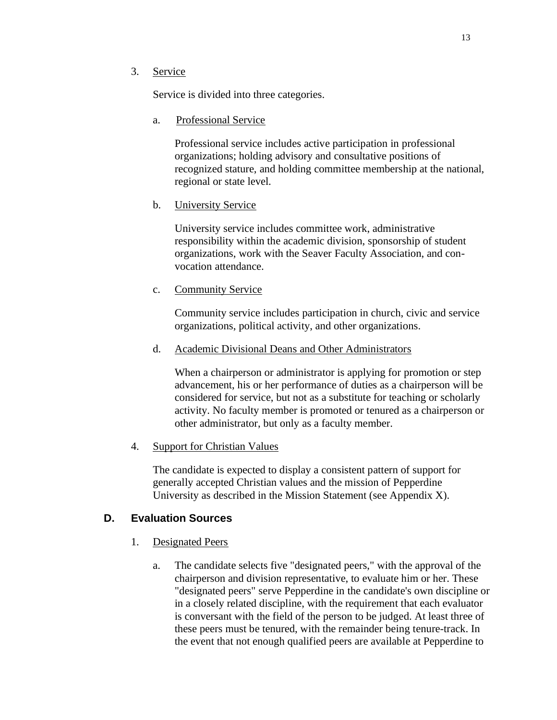#### 3. Service

Service is divided into three categories.

a. Professional Service

Professional service includes active participation in professional organizations; holding advisory and consultative positions of recognized stature, and holding committee membership at the national, regional or state level.

b. University Service

University service includes committee work, administrative responsibility within the academic division, sponsorship of student organizations, work with the Seaver Faculty Association, and convocation attendance.

c. Community Service

Community service includes participation in church, civic and service organizations, political activity, and other organizations.

d. Academic Divisional Deans and Other Administrators

When a chairperson or administrator is applying for promotion or step advancement, his or her performance of duties as a chairperson will be considered for service, but not as a substitute for teaching or scholarly activity. No faculty member is promoted or tenured as a chairperson or other administrator, but only as a faculty member.

4. Support for Christian Values

The candidate is expected to display a consistent pattern of support for generally accepted Christian values and the mission of Pepperdine University as described in the Mission Statement (see Appendix X).

### <span id="page-16-0"></span>**D. Evaluation Sources**

- 1. Designated Peers
	- a. The candidate selects five "designated peers," with the approval of the chairperson and division representative, to evaluate him or her. These "designated peers" serve Pepperdine in the candidate's own discipline or in a closely related discipline, with the requirement that each evaluator is conversant with the field of the person to be judged. At least three of these peers must be tenured, with the remainder being tenure-track. In the event that not enough qualified peers are available at Pepperdine to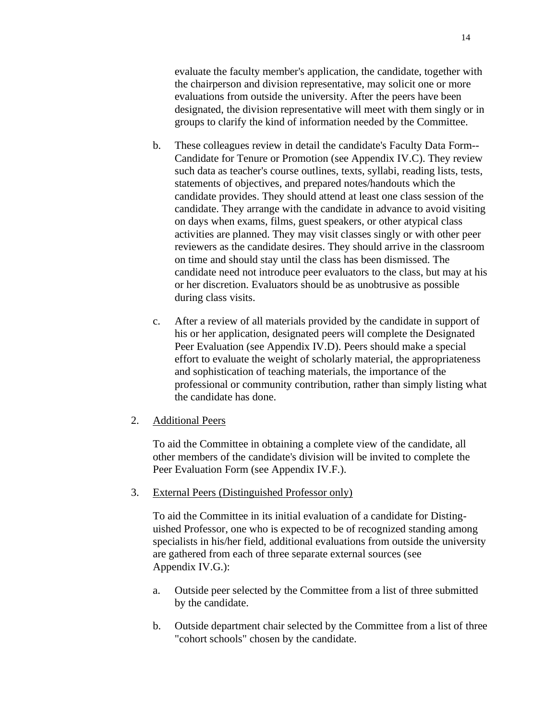evaluate the faculty member's application, the candidate, together with the chairperson and division representative, may solicit one or more evaluations from outside the university. After the peers have been designated, the division representative will meet with them singly or in groups to clarify the kind of information needed by the Committee.

- b. These colleagues review in detail the candidate's Faculty Data Form-- Candidate for Tenure or Promotion (see Appendix IV.C). They review such data as teacher's course outlines, texts, syllabi, reading lists, tests, statements of objectives, and prepared notes/handouts which the candidate provides. They should attend at least one class session of the candidate. They arrange with the candidate in advance to avoid visiting on days when exams, films, guest speakers, or other atypical class activities are planned. They may visit classes singly or with other peer reviewers as the candidate desires. They should arrive in the classroom on time and should stay until the class has been dismissed. The candidate need not introduce peer evaluators to the class, but may at his or her discretion. Evaluators should be as unobtrusive as possible during class visits.
- c. After a review of all materials provided by the candidate in support of his or her application, designated peers will complete the Designated Peer Evaluation (see Appendix IV.D). Peers should make a special effort to evaluate the weight of scholarly material, the appropriateness and sophistication of teaching materials, the importance of the professional or community contribution, rather than simply listing what the candidate has done.

#### 2. Additional Peers

To aid the Committee in obtaining a complete view of the candidate, all other members of the candidate's division will be invited to complete the Peer Evaluation Form (see Appendix IV.F.).

3. External Peers (Distinguished Professor only)

To aid the Committee in its initial evaluation of a candidate for Distinguished Professor, one who is expected to be of recognized standing among specialists in his/her field, additional evaluations from outside the university are gathered from each of three separate external sources (see Appendix IV.G.):

- a. Outside peer selected by the Committee from a list of three submitted by the candidate.
- b. Outside department chair selected by the Committee from a list of three "cohort schools" chosen by the candidate.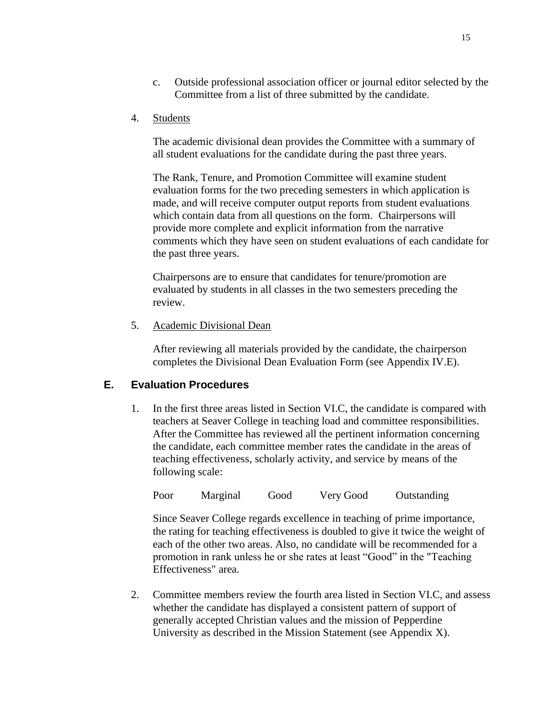- c. Outside professional association officer or journal editor selected by the Committee from a list of three submitted by the candidate.
- 4. Students

The academic divisional dean provides the Committee with a summary of all student evaluations for the candidate during the past three years.

The Rank, Tenure, and Promotion Committee will examine student evaluation forms for the two preceding semesters in which application is made, and will receive computer output reports from student evaluations which contain data from all questions on the form. Chairpersons will provide more complete and explicit information from the narrative comments which they have seen on student evaluations of each candidate for the past three years.

Chairpersons are to ensure that candidates for tenure/promotion are evaluated by students in all classes in the two semesters preceding the review.

5. Academic Divisional Dean

After reviewing all materials provided by the candidate, the chairperson completes the Divisional Dean Evaluation Form (see Appendix IV.E).

### <span id="page-18-0"></span>**E. Evaluation Procedures**

1. In the first three areas listed in Section VI.C, the candidate is compared with teachers at Seaver College in teaching load and committee responsibilities. After the Committee has reviewed all the pertinent information concerning the candidate, each committee member rates the candidate in the areas of teaching effectiveness, scholarly activity, and service by means of the following scale:

Poor Marginal Good Very Good Outstanding

Since Seaver College regards excellence in teaching of prime importance, the rating for teaching effectiveness is doubled to give it twice the weight of each of the other two areas. Also, no candidate will be recommended for a promotion in rank unless he or she rates at least "Good" in the "Teaching Effectiveness" area.

2. Committee members review the fourth area listed in Section VI.C, and assess whether the candidate has displayed a consistent pattern of support of generally accepted Christian values and the mission of Pepperdine University as described in the Mission Statement (see Appendix X).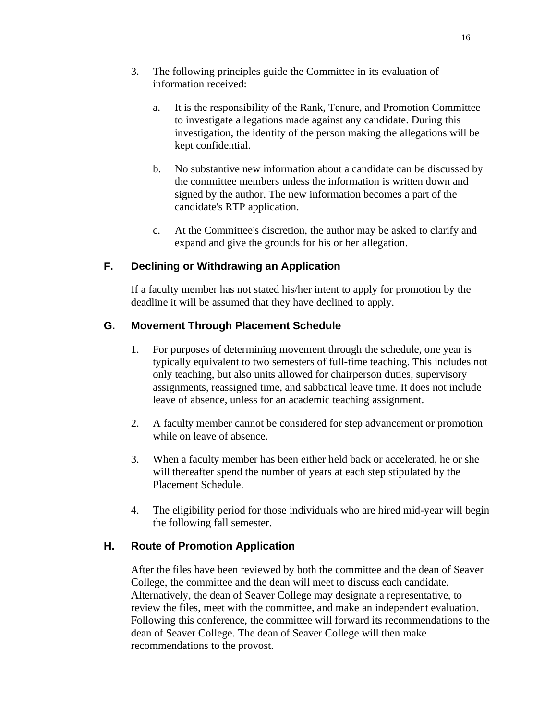- 3. The following principles guide the Committee in its evaluation of information received:
	- a. It is the responsibility of the Rank, Tenure, and Promotion Committee to investigate allegations made against any candidate. During this investigation, the identity of the person making the allegations will be kept confidential.
	- b. No substantive new information about a candidate can be discussed by the committee members unless the information is written down and signed by the author. The new information becomes a part of the candidate's RTP application.
	- c. At the Committee's discretion, the author may be asked to clarify and expand and give the grounds for his or her allegation.

## <span id="page-19-0"></span>**F. Declining or Withdrawing an Application**

If a faculty member has not stated his/her intent to apply for promotion by the deadline it will be assumed that they have declined to apply.

## <span id="page-19-1"></span>**G. Movement Through Placement Schedule**

- 1. For purposes of determining movement through the schedule, one year is typically equivalent to two semesters of full-time teaching. This includes not only teaching, but also units allowed for chairperson duties, supervisory assignments, reassigned time, and sabbatical leave time. It does not include leave of absence, unless for an academic teaching assignment.
- 2. A faculty member cannot be considered for step advancement or promotion while on leave of absence.
- 3. When a faculty member has been either held back or accelerated, he or she will thereafter spend the number of years at each step stipulated by the Placement Schedule.
- 4. The eligibility period for those individuals who are hired mid-year will begin the following fall semester.

## <span id="page-19-2"></span>**H. Route of Promotion Application**

After the files have been reviewed by both the committee and the dean of Seaver College, the committee and the dean will meet to discuss each candidate. Alternatively, the dean of Seaver College may designate a representative, to review the files, meet with the committee, and make an independent evaluation. Following this conference, the committee will forward its recommendations to the dean of Seaver College. The dean of Seaver College will then make recommendations to the provost.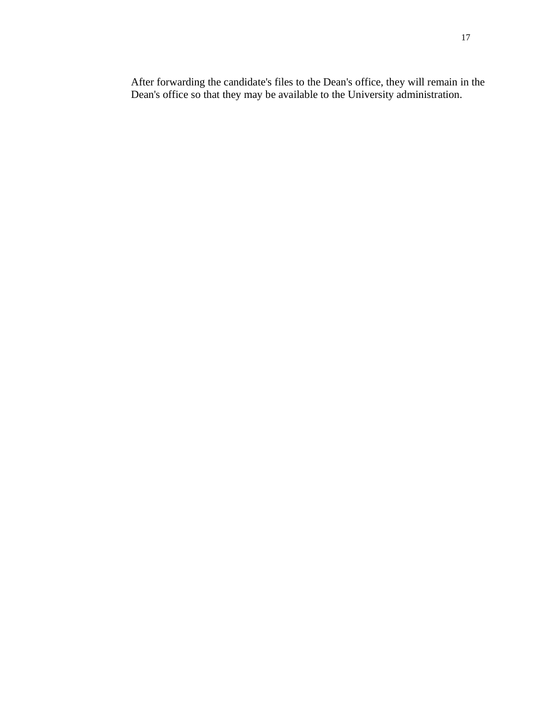After forwarding the candidate's files to the Dean's office, they will remain in the Dean's office so that they may be available to the University administration.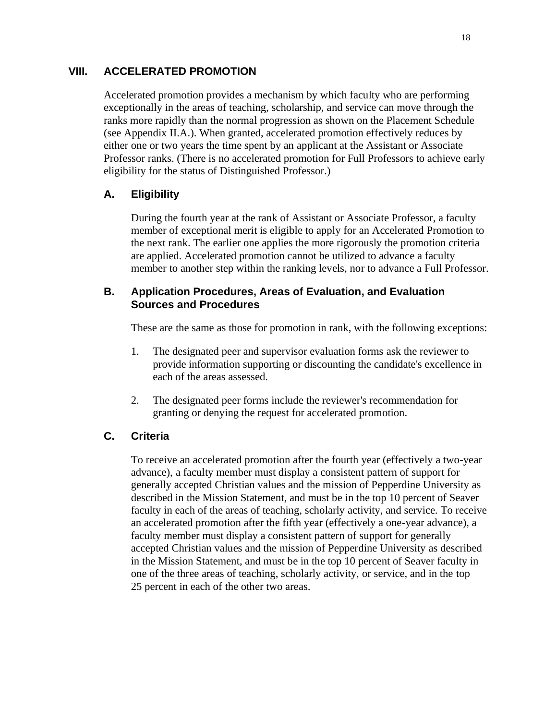### <span id="page-21-0"></span>**VIII. ACCELERATED PROMOTION**

Accelerated promotion provides a mechanism by which faculty who are performing exceptionally in the areas of teaching, scholarship, and service can move through the ranks more rapidly than the normal progression as shown on the Placement Schedule (see Appendix II.A.). When granted, accelerated promotion effectively reduces by either one or two years the time spent by an applicant at the Assistant or Associate Professor ranks. (There is no accelerated promotion for Full Professors to achieve early eligibility for the status of Distinguished Professor.)

## <span id="page-21-1"></span>**A. Eligibility**

During the fourth year at the rank of Assistant or Associate Professor, a faculty member of exceptional merit is eligible to apply for an Accelerated Promotion to the next rank. The earlier one applies the more rigorously the promotion criteria are applied. Accelerated promotion cannot be utilized to advance a faculty member to another step within the ranking levels, nor to advance a Full Professor.

## **B. Application Procedures, Areas of Evaluation, and Evaluation Sources and Procedures**

These are the same as those for promotion in rank, with the following exceptions:

- 1. The designated peer and supervisor evaluation forms ask the reviewer to provide information supporting or discounting the candidate's excellence in each of the areas assessed.
- 2. The designated peer forms include the reviewer's recommendation for granting or denying the request for accelerated promotion.

## <span id="page-21-2"></span>**C. Criteria**

To receive an accelerated promotion after the fourth year (effectively a two-year advance), a faculty member must display a consistent pattern of support for generally accepted Christian values and the mission of Pepperdine University as described in the Mission Statement, and must be in the top 10 percent of Seaver faculty in each of the areas of teaching, scholarly activity, and service. To receive an accelerated promotion after the fifth year (effectively a one-year advance), a faculty member must display a consistent pattern of support for generally accepted Christian values and the mission of Pepperdine University as described in the Mission Statement, and must be in the top 10 percent of Seaver faculty in one of the three areas of teaching, scholarly activity, or service, and in the top 25 percent in each of the other two areas.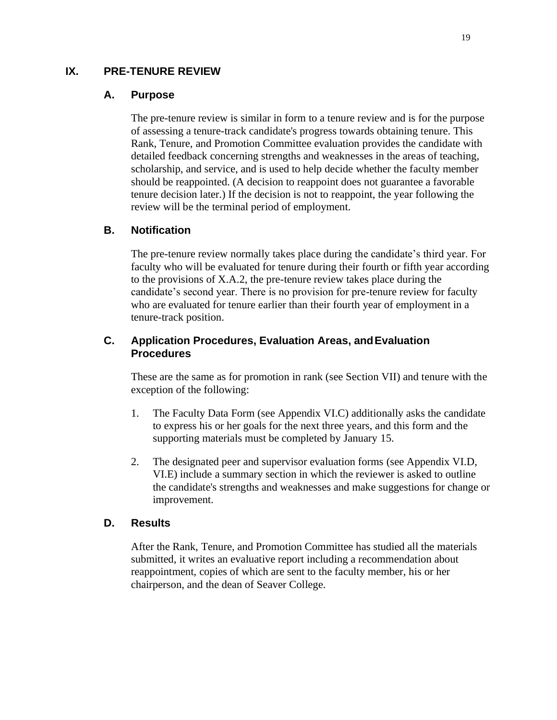## <span id="page-22-1"></span><span id="page-22-0"></span>**IX. PRE-TENURE REVIEW**

#### **A. Purpose**

The pre-tenure review is similar in form to a tenure review and is for the purpose of assessing a tenure-track candidate's progress towards obtaining tenure. This Rank, Tenure, and Promotion Committee evaluation provides the candidate with detailed feedback concerning strengths and weaknesses in the areas of teaching, scholarship, and service, and is used to help decide whether the faculty member should be reappointed. (A decision to reappoint does not guarantee a favorable tenure decision later.) If the decision is not to reappoint, the year following the review will be the terminal period of employment.

### <span id="page-22-2"></span>**B. Notification**

The pre-tenure review normally takes place during the candidate's third year. For faculty who will be evaluated for tenure during their fourth or fifth year according to the provisions of X.A.2, the pre-tenure review takes place during the candidate's second year. There is no provision for pre-tenure review for faculty who are evaluated for tenure earlier than their fourth year of employment in a tenure-track position.

## <span id="page-22-3"></span>**C. Application Procedures, Evaluation Areas, andEvaluation Procedures**

These are the same as for promotion in rank (see Section VII) and tenure with the exception of the following:

- 1. The Faculty Data Form (see Appendix VI.C) additionally asks the candidate to express his or her goals for the next three years, and this form and the supporting materials must be completed by January 15.
- 2. The designated peer and supervisor evaluation forms (see Appendix VI.D, VI.E) include a summary section in which the reviewer is asked to outline the candidate's strengths and weaknesses and make suggestions for change or improvement.

### <span id="page-22-4"></span>**D. Results**

After the Rank, Tenure, and Promotion Committee has studied all the materials submitted, it writes an evaluative report including a recommendation about reappointment, copies of which are sent to the faculty member, his or her chairperson, and the dean of Seaver College.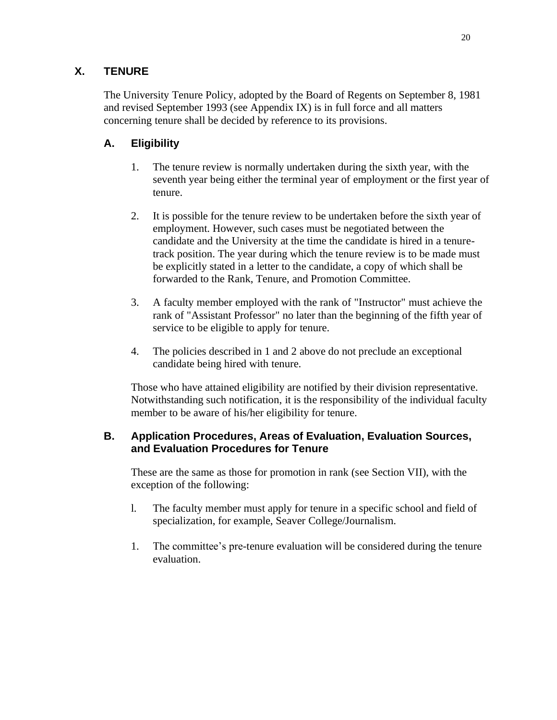## <span id="page-23-0"></span>**X. TENURE**

The University Tenure Policy, adopted by the Board of Regents on September 8, 1981 and revised September 1993 (see Appendix IX) is in full force and all matters concerning tenure shall be decided by reference to its provisions.

## <span id="page-23-1"></span>**A. Eligibility**

- 1. The tenure review is normally undertaken during the sixth year, with the seventh year being either the terminal year of employment or the first year of tenure.
- 2. It is possible for the tenure review to be undertaken before the sixth year of employment. However, such cases must be negotiated between the candidate and the University at the time the candidate is hired in a tenuretrack position. The year during which the tenure review is to be made must be explicitly stated in a letter to the candidate, a copy of which shall be forwarded to the Rank, Tenure, and Promotion Committee.
- 3. A faculty member employed with the rank of "Instructor" must achieve the rank of "Assistant Professor" no later than the beginning of the fifth year of service to be eligible to apply for tenure.
- 4. The policies described in 1 and 2 above do not preclude an exceptional candidate being hired with tenure.

Those who have attained eligibility are notified by their division representative. Notwithstanding such notification, it is the responsibility of the individual faculty member to be aware of his/her eligibility for tenure.

## **B. Application Procedures, Areas of Evaluation, Evaluation Sources, and Evaluation Procedures for Tenure**

These are the same as those for promotion in rank (see Section VII), with the exception of the following:

- l. The faculty member must apply for tenure in a specific school and field of specialization, for example, Seaver College/Journalism.
- 1. The committee's pre-tenure evaluation will be considered during the tenure evaluation.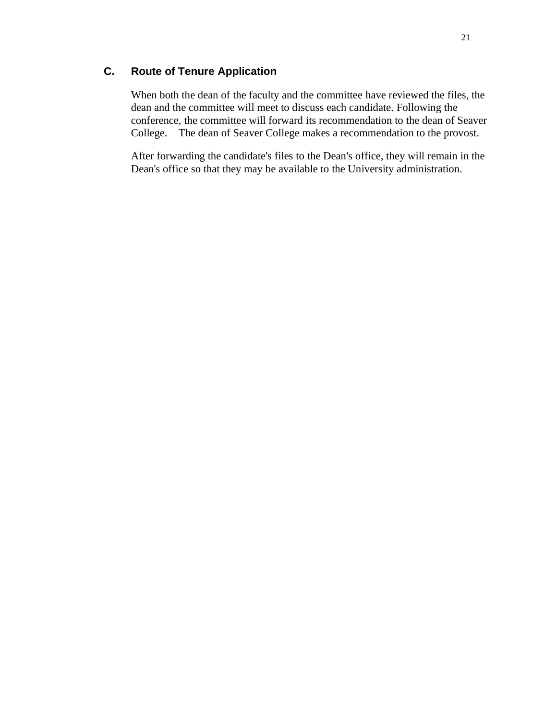## <span id="page-24-0"></span>**C. Route of Tenure Application**

When both the dean of the faculty and the committee have reviewed the files, the dean and the committee will meet to discuss each candidate. Following the conference, the committee will forward its recommendation to the dean of Seaver College. The dean of Seaver College makes a recommendation to the provost.

After forwarding the candidate's files to the Dean's office, they will remain in the Dean's office so that they may be available to the University administration.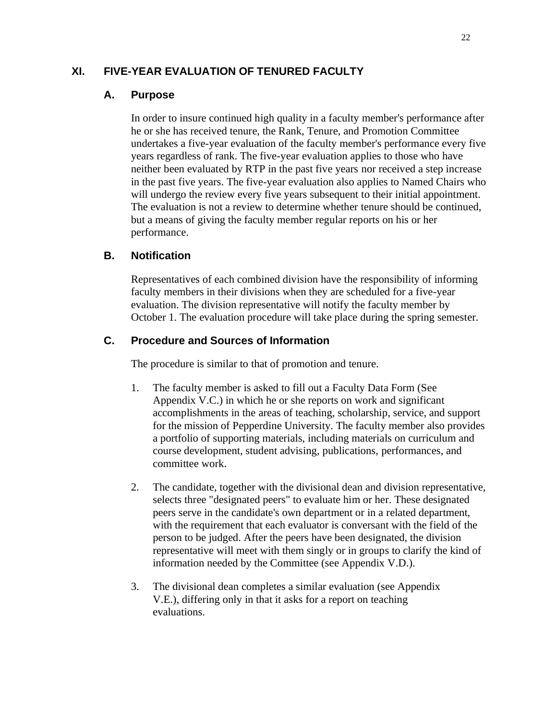## <span id="page-25-1"></span><span id="page-25-0"></span>**XI. FIVE-YEAR EVALUATION OF TENURED FACULTY**

## **A. Purpose**

In order to insure continued high quality in a faculty member's performance after he or she has received tenure, the Rank, Tenure, and Promotion Committee undertakes a five-year evaluation of the faculty member's performance every five years regardless of rank. The five-year evaluation applies to those who have neither been evaluated by RTP in the past five years nor received a step increase in the past five years. The five-year evaluation also applies to Named Chairs who will undergo the review every five years subsequent to their initial appointment. The evaluation is not a review to determine whether tenure should be continued, but a means of giving the faculty member regular reports on his or her performance.

## <span id="page-25-2"></span>**B. Notification**

Representatives of each combined division have the responsibility of informing faculty members in their divisions when they are scheduled for a five-year evaluation. The division representative will notify the faculty member by October 1. The evaluation procedure will take place during the spring semester.

## <span id="page-25-3"></span>**C. Procedure and Sources of Information**

The procedure is similar to that of promotion and tenure.

- 1. The faculty member is asked to fill out a Faculty Data Form (See Appendix V.C.) in which he or she reports on work and significant accomplishments in the areas of teaching, scholarship, service, and support for the mission of Pepperdine University. The faculty member also provides a portfolio of supporting materials, including materials on curriculum and course development, student advising, publications, performances, and committee work.
- 2. The candidate, together with the divisional dean and division representative, selects three "designated peers" to evaluate him or her. These designated peers serve in the candidate's own department or in a related department, with the requirement that each evaluator is conversant with the field of the person to be judged. After the peers have been designated, the division representative will meet with them singly or in groups to clarify the kind of information needed by the Committee (see Appendix V.D.).
- 3. The divisional dean completes a similar evaluation (see Appendix V.E.), differing only in that it asks for a report on teaching evaluations.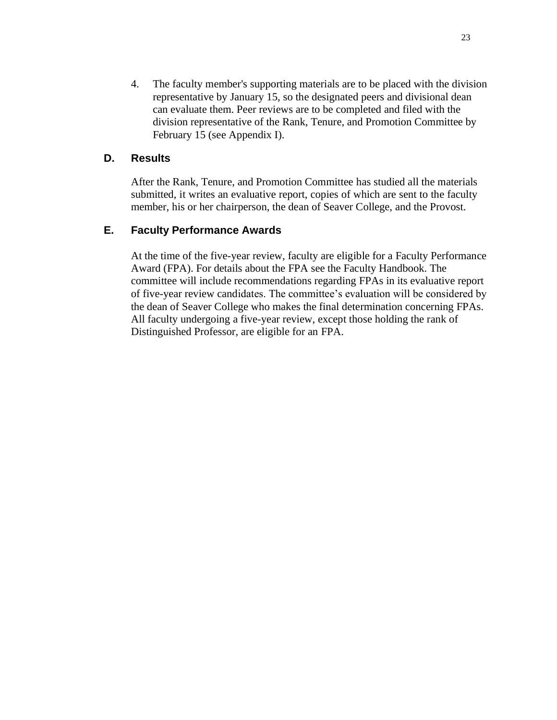4. The faculty member's supporting materials are to be placed with the division representative by January 15, so the designated peers and divisional dean can evaluate them. Peer reviews are to be completed and filed with the division representative of the Rank, Tenure, and Promotion Committee by February 15 (see Appendix I).

### <span id="page-26-0"></span>**D. Results**

After the Rank, Tenure, and Promotion Committee has studied all the materials submitted, it writes an evaluative report, copies of which are sent to the faculty member, his or her chairperson, the dean of Seaver College, and the Provost.

#### <span id="page-26-1"></span>**E. Faculty Performance Awards**

At the time of the five-year review, faculty are eligible for a Faculty Performance Award (FPA). For details about the FPA see the Faculty Handbook. The committee will include recommendations regarding FPAs in its evaluative report of five-year review candidates. The committee's evaluation will be considered by the dean of Seaver College who makes the final determination concerning FPAs. All faculty undergoing a five-year review, except those holding the rank of Distinguished Professor, are eligible for an FPA.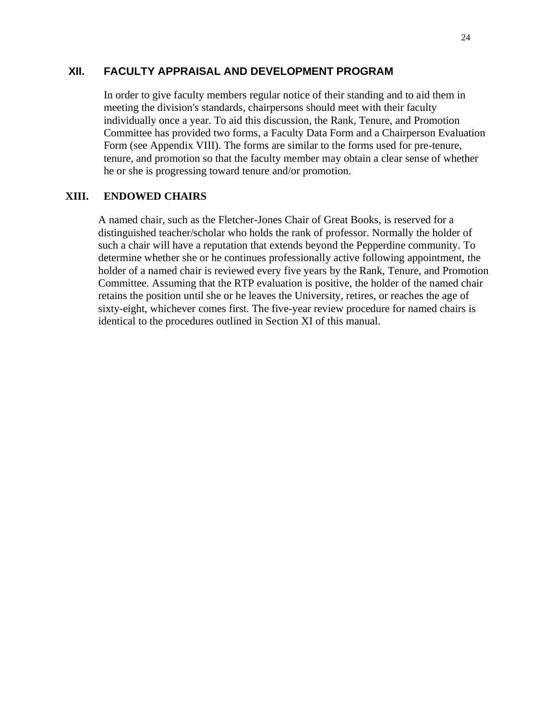### <span id="page-27-0"></span>**XII. FACULTY APPRAISAL AND DEVELOPMENT PROGRAM**

In order to give faculty members regular notice of their standing and to aid them in meeting the division's standards, chairpersons should meet with their faculty individually once a year. To aid this discussion, the Rank, Tenure, and Promotion Committee has provided two forms, a Faculty Data Form and a Chairperson Evaluation Form (see Appendix VIII). The forms are similar to the forms used for pre-tenure, tenure, and promotion so that the faculty member may obtain a clear sense of whether he or she is progressing toward tenure and/or promotion.

#### <span id="page-27-1"></span>**XIII. ENDOWED CHAIRS**

A named chair, such as the Fletcher-Jones Chair of Great Books, is reserved for a distinguished teacher/scholar who holds the rank of professor. Normally the holder of such a chair will have a reputation that extends beyond the Pepperdine community. To determine whether she or he continues professionally active following appointment, the holder of a named chair is reviewed every five years by the Rank, Tenure, and Promotion Committee. Assuming that the RTP evaluation is positive, the holder of the named chair retains the position until she or he leaves the University, retires, or reaches the age of sixty-eight, whichever comes first. The five-year review procedure for named chairs is identical to the procedures outlined in Section XI of this manual.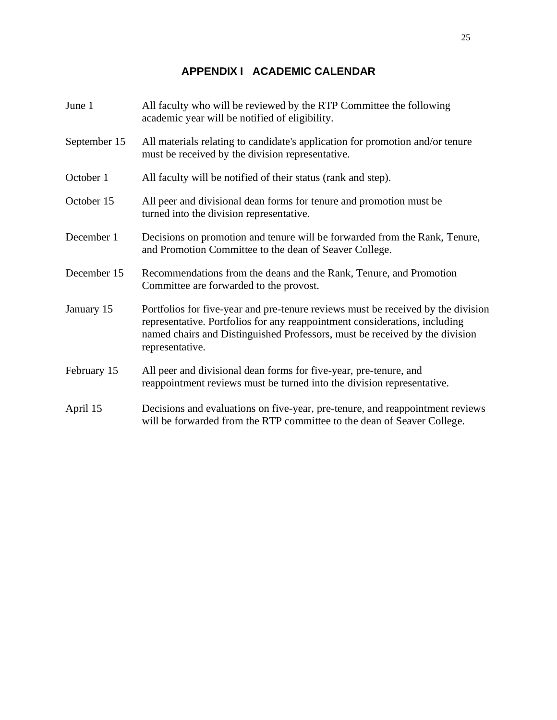| June 1       | All faculty who will be reviewed by the RTP Committee the following<br>academic year will be notified of eligibility.                                                                                                                                            |
|--------------|------------------------------------------------------------------------------------------------------------------------------------------------------------------------------------------------------------------------------------------------------------------|
| September 15 | All materials relating to candidate's application for promotion and/or tenure<br>must be received by the division representative.                                                                                                                                |
| October 1    | All faculty will be notified of their status (rank and step).                                                                                                                                                                                                    |
| October 15   | All peer and divisional dean forms for tenure and promotion must be<br>turned into the division representative.                                                                                                                                                  |
| December 1   | Decisions on promotion and tenure will be forwarded from the Rank, Tenure,<br>and Promotion Committee to the dean of Seaver College.                                                                                                                             |
| December 15  | Recommendations from the deans and the Rank, Tenure, and Promotion<br>Committee are forwarded to the provost.                                                                                                                                                    |
| January 15   | Portfolios for five-year and pre-tenure reviews must be received by the division<br>representative. Portfolios for any reappointment considerations, including<br>named chairs and Distinguished Professors, must be received by the division<br>representative. |
| February 15  | All peer and divisional dean forms for five-year, pre-tenure, and<br>reappointment reviews must be turned into the division representative.                                                                                                                      |
| April 15     | Decisions and evaluations on five-year, pre-tenure, and reappointment reviews<br>will be forwarded from the RTP committee to the dean of Seaver College.                                                                                                         |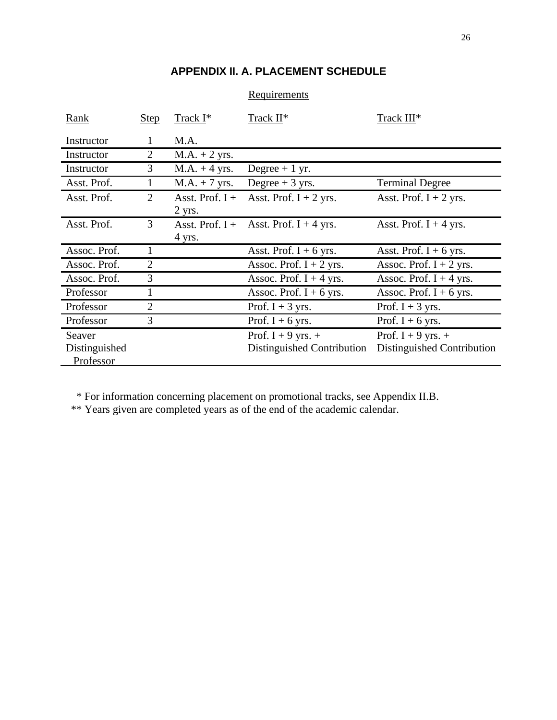## **APPENDIX II. A. PLACEMENT SCHEDULE**

| Rank          | <b>Step</b>    | $\text{Track I}^*$ | Track II*                  | Track III*                 |
|---------------|----------------|--------------------|----------------------------|----------------------------|
| Instructor    | $\mathbf{I}$   | M.A.               |                            |                            |
| Instructor    | $\overline{2}$ | $MA. + 2$ yrs.     |                            |                            |
| Instructor    | 3              | $MA. + 4$ yrs.     | Degree $+1$ yr.            |                            |
| Asst. Prof.   | 1              | $MA. + 7$ yrs.     | Degree $+3$ yrs.           | <b>Terminal Degree</b>     |
| Asst. Prof.   | $\overline{2}$ | Asst. Prof. $I +$  | Asst. Prof. $I + 2$ yrs.   | Asst. Prof. $I + 2$ yrs.   |
|               |                | $2$ yrs.           |                            |                            |
| Asst. Prof.   | 3              | Asst. Prof. $I +$  | Asst. Prof. $I + 4$ yrs.   | Asst. Prof. $I + 4$ yrs.   |
|               |                | 4 yrs.             |                            |                            |
| Assoc. Prof.  | 1              |                    | Asst. Prof. $I + 6$ yrs.   | Asst. Prof. $I + 6$ yrs.   |
| Assoc. Prof.  | $\overline{2}$ |                    | Assoc. Prof. $I + 2$ yrs.  | Assoc. Prof. $I + 2$ yrs.  |
| Assoc. Prof.  | 3              |                    | Assoc. Prof. $I + 4$ yrs.  | Assoc. Prof. $I + 4$ yrs.  |
| Professor     |                |                    | Assoc. Prof. $I + 6$ yrs.  | Assoc. Prof. $I + 6$ yrs.  |
| Professor     | $\overline{2}$ |                    | Prof. $I + 3$ yrs.         | Prof. $I + 3$ yrs.         |
| Professor     | 3              |                    | Prof. I + 6 yrs.           | Prof. I + 6 yrs.           |
| Seaver        |                |                    | Prof. $I + 9$ yrs. $+$     | Prof. $I + 9$ yrs. +       |
| Distinguished |                |                    | Distinguished Contribution | Distinguished Contribution |
| Professor     |                |                    |                            |                            |

### **Requirements**

\* For information concerning placement on promotional tracks, see Appendix II.B.

\*\* Years given are completed years as of the end of the academic calendar.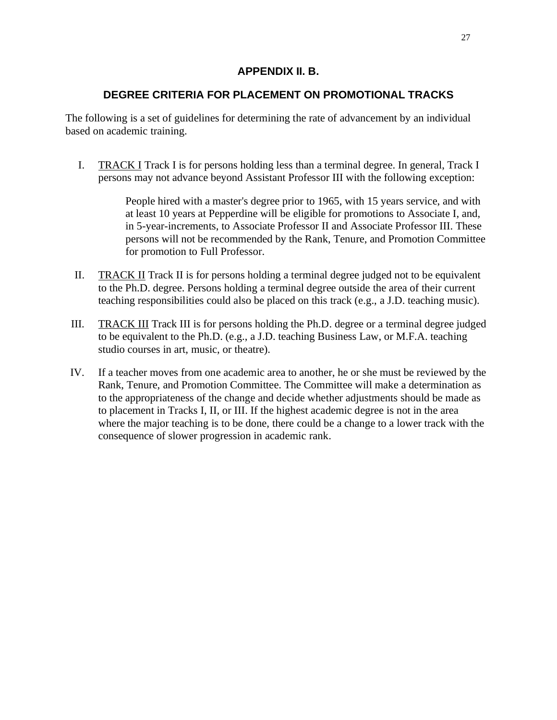### **APPENDIX II. B.**

### **DEGREE CRITERIA FOR PLACEMENT ON PROMOTIONAL TRACKS**

The following is a set of guidelines for determining the rate of advancement by an individual based on academic training.

I. TRACK I Track I is for persons holding less than a terminal degree. In general, Track I persons may not advance beyond Assistant Professor III with the following exception:

> People hired with a master's degree prior to 1965, with 15 years service, and with at least 10 years at Pepperdine will be eligible for promotions to Associate I, and, in 5-year-increments, to Associate Professor II and Associate Professor III. These persons will not be recommended by the Rank, Tenure, and Promotion Committee for promotion to Full Professor.

- II. TRACK II Track II is for persons holding a terminal degree judged not to be equivalent to the Ph.D. degree. Persons holding a terminal degree outside the area of their current teaching responsibilities could also be placed on this track (e.g., a J.D. teaching music).
- III. TRACK III Track III is for persons holding the Ph.D. degree or a terminal degree judged to be equivalent to the Ph.D. (e.g., a J.D. teaching Business Law, or M.F.A. teaching studio courses in art, music, or theatre).
- IV. If a teacher moves from one academic area to another, he or she must be reviewed by the Rank, Tenure, and Promotion Committee. The Committee will make a determination as to the appropriateness of the change and decide whether adjustments should be made as to placement in Tracks I, II, or III. If the highest academic degree is not in the area where the major teaching is to be done, there could be a change to a lower track with the consequence of slower progression in academic rank.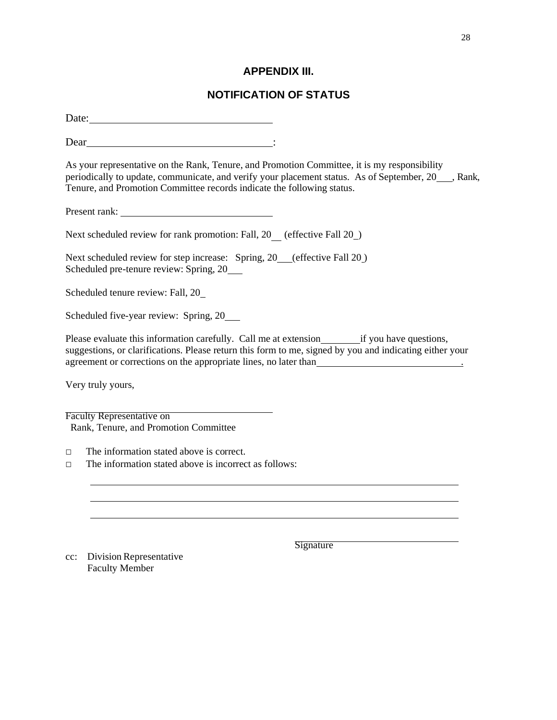### **APPENDIX III.**

## **NOTIFICATION OF STATUS**

Date:

Dear :

As your representative on the Rank, Tenure, and Promotion Committee, it is my responsibility periodically to update, communicate, and verify your placement status. As of September, 20\_\_, Rank, Tenure, and Promotion Committee records indicate the following status.

Present rank:

Next scheduled review for rank promotion: Fall, 20 (effective Fall 20)

Next scheduled review for step increase: Spring, 20 (effective Fall 20) Scheduled pre-tenure review: Spring, 20

Scheduled tenure review: Fall, 20

Scheduled five-year review: Spring, 20

Please evaluate this information carefully. Call me at extension if you have questions, suggestions, or clarifications. Please return this form to me, signed by you and indicating either your agreement or corrections on the appropriate lines, no later than .

Very truly yours,

Faculty Representative on Rank, Tenure, and Promotion Committee

□ The information stated above is correct.

 $\Box$  The information stated above is incorrect as follows:

cc: Division Representative Faculty Member

**Signature**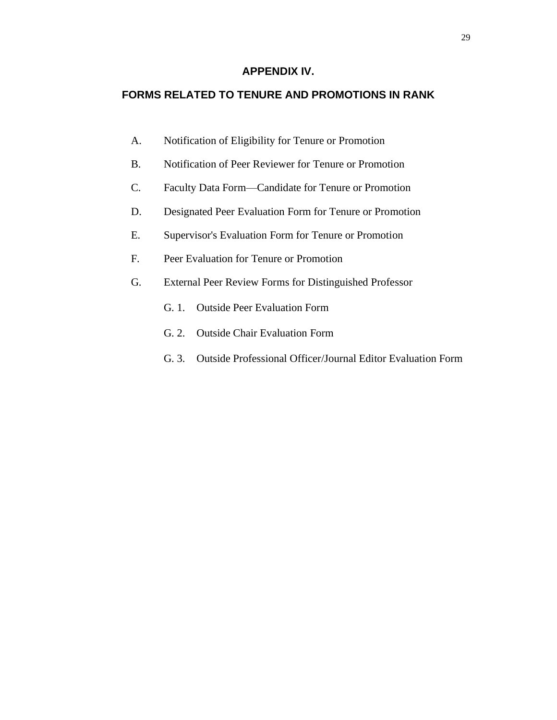### **APPENDIX IV.**

#### **FORMS RELATED TO TENURE AND PROMOTIONS IN RANK**

- A. Notification of Eligibility for Tenure or Promotion
- B. Notification of Peer Reviewer for Tenure or Promotion
- C. Faculty Data Form—Candidate for Tenure or Promotion
- D. Designated Peer Evaluation Form for Tenure or Promotion
- E. Supervisor's Evaluation Form for Tenure or Promotion
- F. Peer Evaluation for Tenure or Promotion
- G. External Peer Review Forms for Distinguished Professor
	- G. 1. Outside Peer Evaluation Form
	- G. 2. Outside Chair Evaluation Form
	- G. 3. Outside Professional Officer/Journal Editor Evaluation Form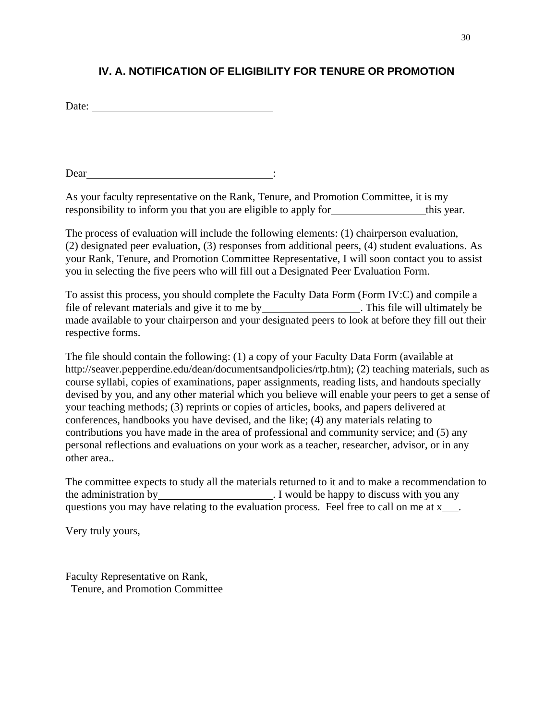## **IV. A. NOTIFICATION OF ELIGIBILITY FOR TENURE OR PROMOTION**

Date:

Dear : :

As your faculty representative on the Rank, Tenure, and Promotion Committee, it is my responsibility to inform you that you are eligible to apply for this year.

The process of evaluation will include the following elements: (1) chairperson evaluation, (2) designated peer evaluation, (3) responses from additional peers, (4) student evaluations. As your Rank, Tenure, and Promotion Committee Representative, I will soon contact you to assist you in selecting the five peers who will fill out a Designated Peer Evaluation Form.

To assist this process, you should complete the Faculty Data Form (Form IV:C) and compile a file of relevant materials and give it to me by \_\_\_\_\_\_\_\_\_\_\_\_\_\_\_\_\_\_\_. This file will ultimately be made available to your chairperson and your designated peers to look at before they fill out their respective forms.

The file should contain the following: (1) a copy of your Faculty Data Form (available at [http://seaver.pepperdine.edu/dean/documentsandpolicies/rtp.htm\); \(](http://seaver.pepperdine.edu/dean/documentsandpolicies/rtp.htm)%3B)2) teaching materials, such as course syllabi, copies of examinations, paper assignments, reading lists, and handouts specially devised by you, and any other material which you believe will enable your peers to get a sense of your teaching methods; (3) reprints or copies of articles, books, and papers delivered at conferences, handbooks you have devised, and the like; (4) any materials relating to contributions you have made in the area of professional and community service; and (5) any personal reflections and evaluations on your work as a teacher, researcher, advisor, or in any other area..

The committee expects to study all the materials returned to it and to make a recommendation to the administration by 1 would be happy to discuss with you any questions you may have relating to the evaluation process. Feel free to call on me at x ...

Very truly yours,

Faculty Representative on Rank, Tenure, and Promotion Committee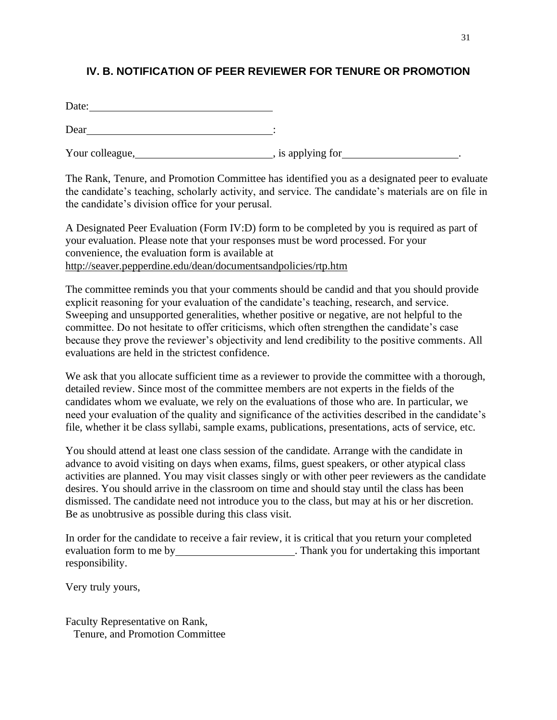## **IV. B. NOTIFICATION OF PEER REVIEWER FOR TENURE OR PROMOTION**

| Date: |  |  |  |
|-------|--|--|--|
|       |  |  |  |

Dear <u>in the second second</u> in the second second second second second second second second second second second second second second second second second second second second second second second second second second secon

Your colleague, https://www.flowerague.com/holderstate/solverague.com/holderstate/solverague/solverague/solverague/solverague/solverague/solverague/solverague/solverague/solverague/solverague/solverague/solverague/solverag

The Rank, Tenure, and Promotion Committee has identified you as a designated peer to evaluate the candidate's teaching, scholarly activity, and service. The candidate's materials are on file in the candidate's division office for your perusal.

A Designated Peer Evaluation (Form IV:D) form to be completed by you is required as part of your evaluation. Please note that your responses must be word processed. For your convenience, the evaluation form is available at <http://seaver.pepperdine.edu/dean/documentsandpolicies/rtp.htm>

The committee reminds you that your comments should be candid and that you should provide explicit reasoning for your evaluation of the candidate's teaching, research, and service. Sweeping and unsupported generalities, whether positive or negative, are not helpful to the committee. Do not hesitate to offer criticisms, which often strengthen the candidate's case because they prove the reviewer's objectivity and lend credibility to the positive comments. All evaluations are held in the strictest confidence.

We ask that you allocate sufficient time as a reviewer to provide the committee with a thorough, detailed review. Since most of the committee members are not experts in the fields of the candidates whom we evaluate, we rely on the evaluations of those who are. In particular, we need your evaluation of the quality and significance of the activities described in the candidate's file, whether it be class syllabi, sample exams, publications, presentations, acts of service, etc.

You should attend at least one class session of the candidate. Arrange with the candidate in advance to avoid visiting on days when exams, films, guest speakers, or other atypical class activities are planned. You may visit classes singly or with other peer reviewers as the candidate desires. You should arrive in the classroom on time and should stay until the class has been dismissed. The candidate need not introduce you to the class, but may at his or her discretion. Be as unobtrusive as possible during this class visit.

In order for the candidate to receive a fair review, it is critical that you return your completed evaluation form to me by **.** Thank you for undertaking this important responsibility.

Very truly yours,

Faculty Representative on Rank, Tenure, and Promotion Committee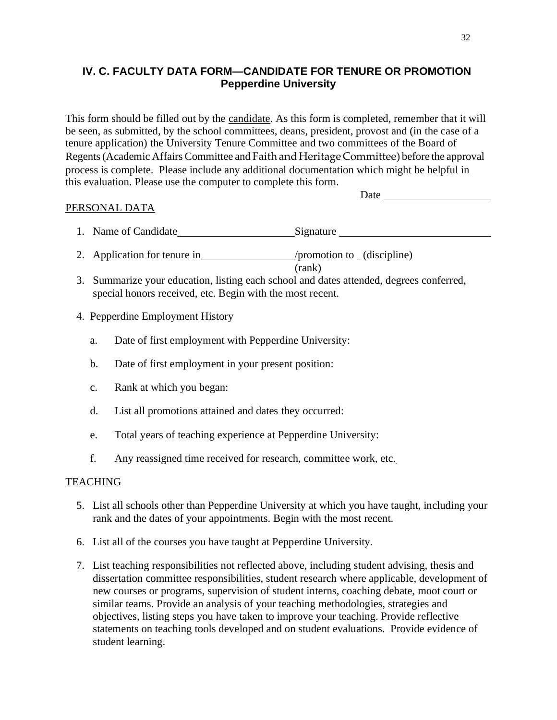## **IV. C. FACULTY DATA FORM—CANDIDATE FOR TENURE OR PROMOTION Pepperdine University**

This form should be filled out by the candidate. As this form is completed, remember that it will be seen, as submitted, by the school committees, deans, president, provost and (in the case of a tenure application) the University Tenure Committee and two committees of the Board of Regents(Academic Affairs Committee and Faith and Heritage Committee) before the approval process is complete. Please include any additional documentation which might be helpful in this evaluation. Please use the computer to complete this form.

Date

### PERSONAL DATA

- 1. Name of Candidate Signature Signature
- 2. Application for tenure in /promotion to (discipline) (rank)
- 3. Summarize your education, listing each school and dates attended, degrees conferred, special honors received, etc. Begin with the most recent.
- 4. Pepperdine Employment History
	- a. Date of first employment with Pepperdine University:
	- b. Date of first employment in your present position:
	- c. Rank at which you began:
	- d. List all promotions attained and dates they occurred:
	- e. Total years of teaching experience at Pepperdine University:
	- f. Any reassigned time received for research, committee work, etc.

### **TEACHING**

- 5. List all schools other than Pepperdine University at which you have taught, including your rank and the dates of your appointments. Begin with the most recent.
- 6. List all of the courses you have taught at Pepperdine University.
- 7. List teaching responsibilities not reflected above, including student advising, thesis and dissertation committee responsibilities, student research where applicable, development of new courses or programs, supervision of student interns, coaching debate, moot court or similar teams. Provide an analysis of your teaching methodologies, strategies and objectives, listing steps you have taken to improve your teaching. Provide reflective statements on teaching tools developed and on student evaluations. Provide evidence of student learning.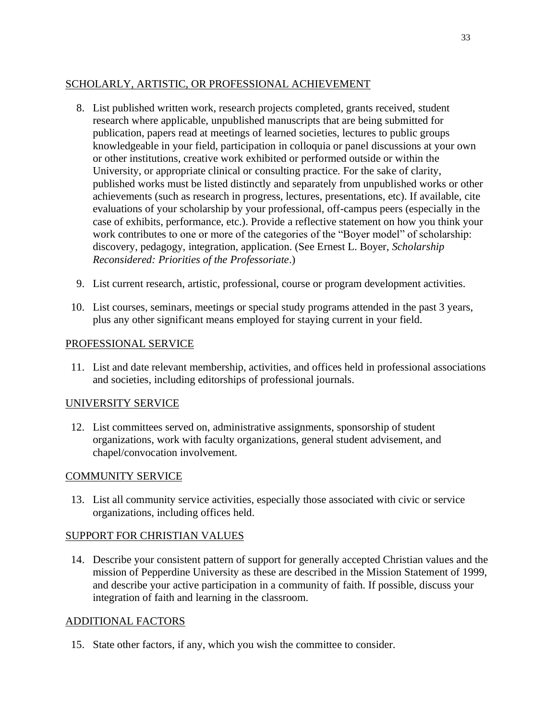# SCHOLARLY, ARTISTIC, OR PROFESSIONAL ACHIEVEMENT

- 8. List published written work, research projects completed, grants received, student research where applicable, unpublished manuscripts that are being submitted for publication, papers read at meetings of learned societies, lectures to public groups knowledgeable in your field, participation in colloquia or panel discussions at your own or other institutions, creative work exhibited or performed outside or within the University, or appropriate clinical or consulting practice. For the sake of clarity, published works must be listed distinctly and separately from unpublished works or other achievements (such as research in progress, lectures, presentations, etc). If available, cite evaluations of your scholarship by your professional, off-campus peers (especially in the case of exhibits, performance, etc.). Provide a reflective statement on how you think your work contributes to one or more of the categories of the "Boyer model" of scholarship: discovery, pedagogy, integration, application. (See Ernest L. Boyer, *Scholarship Reconsidered: Priorities of the Professoriate*.)
- 9. List current research, artistic, professional, course or program development activities.
- 10. List courses, seminars, meetings or special study programs attended in the past 3 years, plus any other significant means employed for staying current in your field.

## PROFESSIONAL SERVICE

11. List and date relevant membership, activities, and offices held in professional associations and societies, including editorships of professional journals.

# UNIVERSITY SERVICE

12. List committees served on, administrative assignments, sponsorship of student organizations, work with faculty organizations, general student advisement, and chapel/convocation involvement.

# COMMUNITY SERVICE

13. List all community service activities, especially those associated with civic or service organizations, including offices held.

# SUPPORT FOR CHRISTIAN VALUES

14. Describe your consistent pattern of support for generally accepted Christian values and the mission of Pepperdine University as these are described in the Mission Statement of 1999, and describe your active participation in a community of faith. If possible, discuss your integration of faith and learning in the classroom.

# ADDITIONAL FACTORS

15. State other factors, if any, which you wish the committee to consider.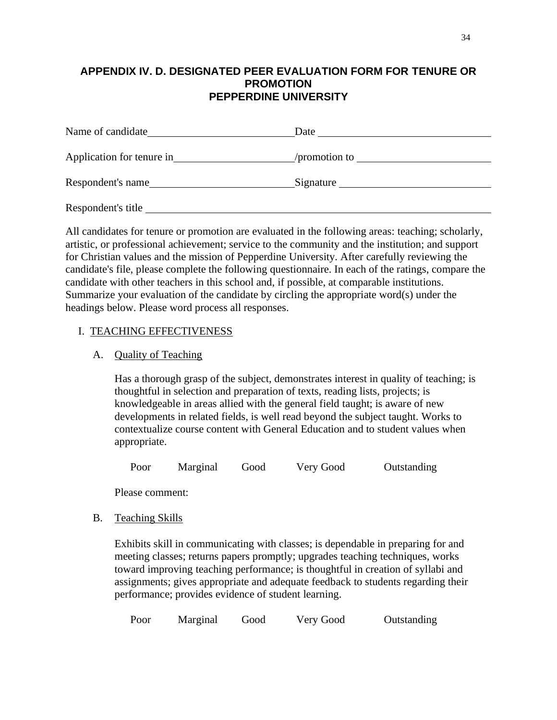### **APPENDIX IV. D. DESIGNATED PEER EVALUATION FORM FOR TENURE OR PROMOTION PEPPERDINE UNIVERSITY**

| Name of candidate         | Date          |
|---------------------------|---------------|
| Application for tenure in | /promotion to |
| Respondent's name         | Signature     |
| Respondent's title        |               |

All candidates for tenure or promotion are evaluated in the following areas: teaching; scholarly, artistic, or professional achievement; service to the community and the institution; and support for Christian values and the mission of Pepperdine University. After carefully reviewing the candidate's file, please complete the following questionnaire. In each of the ratings, compare the candidate with other teachers in this school and, if possible, at comparable institutions. Summarize your evaluation of the candidate by circling the appropriate word(s) under the headings below. Please word process all responses.

#### I. TEACHING EFFECTIVENESS

#### A. Quality of Teaching

Has a thorough grasp of the subject, demonstrates interest in quality of teaching; is thoughtful in selection and preparation of texts, reading lists, projects; is knowledgeable in areas allied with the general field taught; is aware of new developments in related fields, is well read beyond the subject taught. Works to contextualize course content with General Education and to student values when appropriate.

Poor Marginal Good Very Good Outstanding

Please comment:

#### B. Teaching Skills

Exhibits skill in communicating with classes; is dependable in preparing for and meeting classes; returns papers promptly; upgrades teaching techniques, works toward improving teaching performance; is thoughtful in creation of syllabi and assignments; gives appropriate and adequate feedback to students regarding their performance; provides evidence of student learning.

| Poor | Marginal | Good | Very Good | Outstanding |
|------|----------|------|-----------|-------------|
|      |          |      |           |             |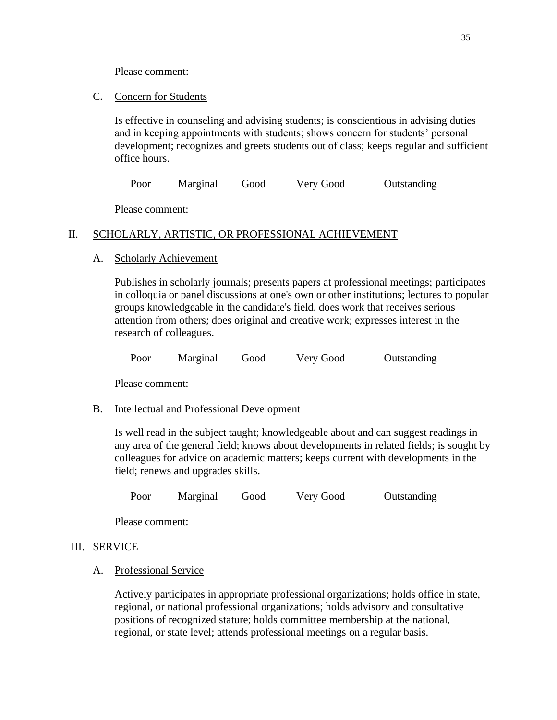Please comment:

#### C. Concern for Students

Is effective in counseling and advising students; is conscientious in advising duties and in keeping appointments with students; shows concern for students' personal development; recognizes and greets students out of class; keeps regular and sufficient office hours.

Poor Marginal Good Very Good Outstanding

Please comment:

# II. SCHOLARLY, ARTISTIC, OR PROFESSIONAL ACHIEVEMENT

## A. Scholarly Achievement

Publishes in scholarly journals; presents papers at professional meetings; participates in colloquia or panel discussions at one's own or other institutions; lectures to popular groups knowledgeable in the candidate's field, does work that receives serious attention from others; does original and creative work; expresses interest in the research of colleagues.

Poor Marginal Good Very Good Outstanding

Please comment:

# B. Intellectual and Professional Development

Is well read in the subject taught; knowledgeable about and can suggest readings in any area of the general field; knows about developments in related fields; is sought by colleagues for advice on academic matters; keeps current with developments in the field; renews and upgrades skills.

Poor Marginal Good Very Good Outstanding

Please comment:

# III. SERVICE

#### A. Professional Service

Actively participates in appropriate professional organizations; holds office in state, regional, or national professional organizations; holds advisory and consultative positions of recognized stature; holds committee membership at the national, regional, or state level; attends professional meetings on a regular basis.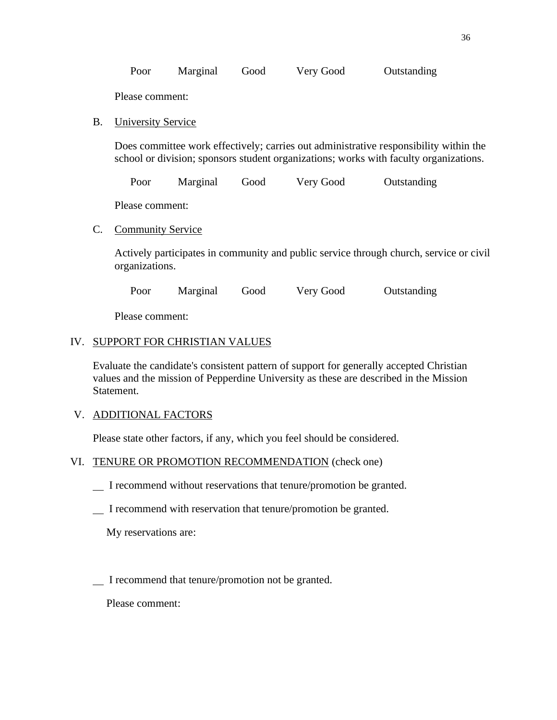| Poor | Marginal | Good | Very Good | Outstanding |
|------|----------|------|-----------|-------------|
|------|----------|------|-----------|-------------|

Please comment:

B. University Service

Does committee work effectively; carries out administrative responsibility within the school or division; sponsors student organizations; works with faculty organizations.

Poor Marginal Good Very Good Outstanding

Please comment:

C. Community Service

Actively participates in community and public service through church, service or civil organizations.

Poor Marginal Good Very Good Outstanding

Please comment:

## IV. SUPPORT FOR CHRISTIAN VALUES

Evaluate the candidate's consistent pattern of support for generally accepted Christian values and the mission of Pepperdine University as these are described in the Mission Statement.

# V. ADDITIONAL FACTORS

Please state other factors, if any, which you feel should be considered.

#### VI. TENURE OR PROMOTION RECOMMENDATION (check one)

- I recommend without reservations that tenure/promotion be granted.
- I recommend with reservation that tenure/promotion be granted.

My reservations are:

I recommend that tenure/promotion not be granted.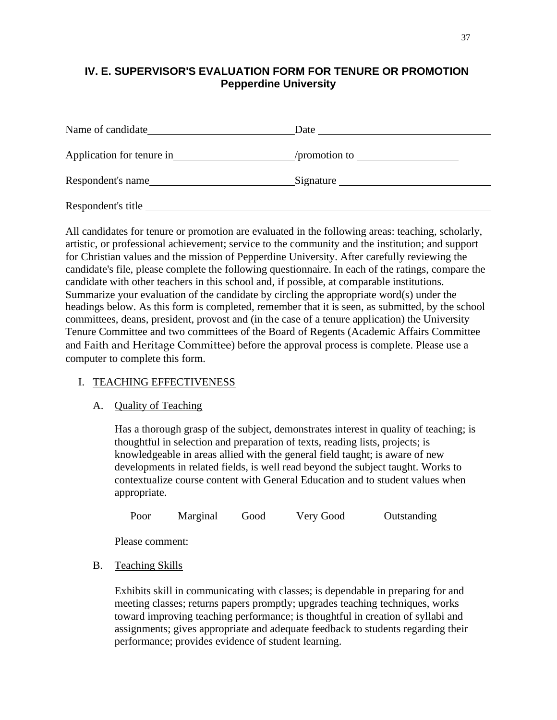# **IV. E. SUPERVISOR'S EVALUATION FORM FOR TENURE OR PROMOTION Pepperdine University**

| Name of candidate         | Date          |
|---------------------------|---------------|
| Application for tenure in | /promotion to |
| Respondent's name         | Signature     |
| Respondent's title        |               |

All candidates for tenure or promotion are evaluated in the following areas: teaching, scholarly, artistic, or professional achievement; service to the community and the institution; and support for Christian values and the mission of Pepperdine University. After carefully reviewing the candidate's file, please complete the following questionnaire. In each of the ratings, compare the candidate with other teachers in this school and, if possible, at comparable institutions. Summarize your evaluation of the candidate by circling the appropriate word(s) under the headings below. As this form is completed, remember that it is seen, as submitted, by the school committees, deans, president, provost and (in the case of a tenure application) the University Tenure Committee and two committees of the Board of Regents (Academic Affairs Committee and Faith and Heritage Committee) before the approval process is complete. Please use a computer to complete this form.

# I. TEACHING EFFECTIVENESS

#### A. Quality of Teaching

Has a thorough grasp of the subject, demonstrates interest in quality of teaching; is thoughtful in selection and preparation of texts, reading lists, projects; is knowledgeable in areas allied with the general field taught; is aware of new developments in related fields, is well read beyond the subject taught. Works to contextualize course content with General Education and to student values when appropriate.

| Poor<br>Marginal | Good | Very Good | Outstanding |
|------------------|------|-----------|-------------|
|------------------|------|-----------|-------------|

Please comment:

B. Teaching Skills

Exhibits skill in communicating with classes; is dependable in preparing for and meeting classes; returns papers promptly; upgrades teaching techniques, works toward improving teaching performance; is thoughtful in creation of syllabi and assignments; gives appropriate and adequate feedback to students regarding their performance; provides evidence of student learning.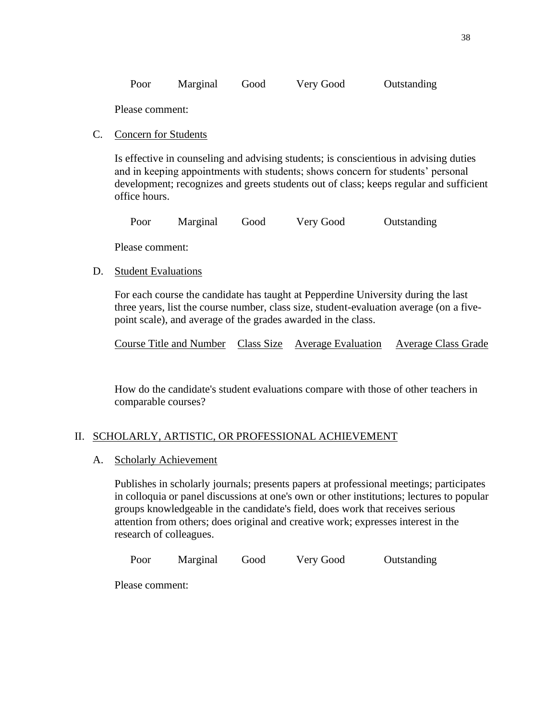|  | Poor | Marginal | Good | Very Good | Outstanding |
|--|------|----------|------|-----------|-------------|
|--|------|----------|------|-----------|-------------|

Please comment:

#### C. Concern for Students

Is effective in counseling and advising students; is conscientious in advising duties and in keeping appointments with students; shows concern for students' personal development; recognizes and greets students out of class; keeps regular and sufficient office hours.

Poor Marginal Good Very Good Outstanding

Please comment:

#### D. Student Evaluations

For each course the candidate has taught at Pepperdine University during the last three years, list the course number, class size, student-evaluation average (on a fivepoint scale), and average of the grades awarded in the class.

Course Title and Number Class Size Average Evaluation Average Class Grade

How do the candidate's student evaluations compare with those of other teachers in comparable courses?

#### II. SCHOLARLY, ARTISTIC, OR PROFESSIONAL ACHIEVEMENT

#### A. Scholarly Achievement

Publishes in scholarly journals; presents papers at professional meetings; participates in colloquia or panel discussions at one's own or other institutions; lectures to popular groups knowledgeable in the candidate's field, does work that receives serious attention from others; does original and creative work; expresses interest in the research of colleagues.

Poor Marginal Good Very Good Outstanding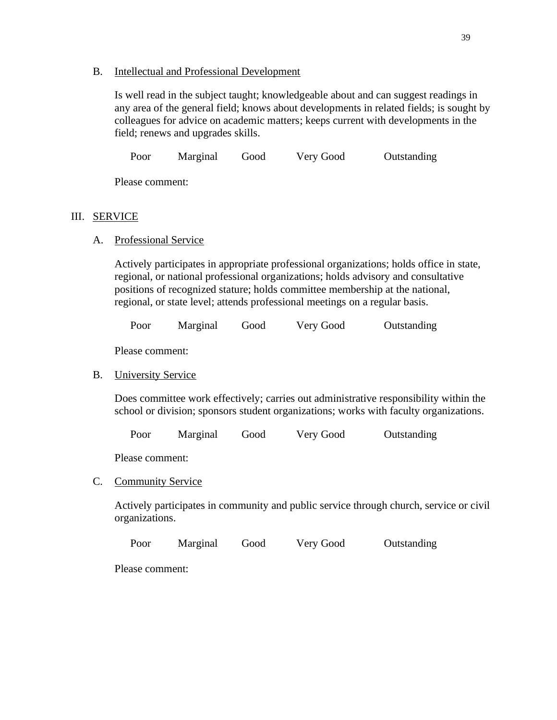#### B. Intellectual and Professional Development

Is well read in the subject taught; knowledgeable about and can suggest readings in any area of the general field; knows about developments in related fields; is sought by colleagues for advice on academic matters; keeps current with developments in the field; renews and upgrades skills.

Poor Marginal Good Very Good Outstanding

Please comment:

#### III. SERVICE

A. Professional Service

Actively participates in appropriate professional organizations; holds office in state, regional, or national professional organizations; holds advisory and consultative positions of recognized stature; holds committee membership at the national, regional, or state level; attends professional meetings on a regular basis.

Poor Marginal Good Very Good Outstanding

Please comment:

#### B. University Service

Does committee work effectively; carries out administrative responsibility within the school or division; sponsors student organizations; works with faculty organizations.

Poor Marginal Good Very Good Outstanding

Please comment:

C. Community Service

Actively participates in community and public service through church, service or civil organizations.

Poor Marginal Good Very Good Outstanding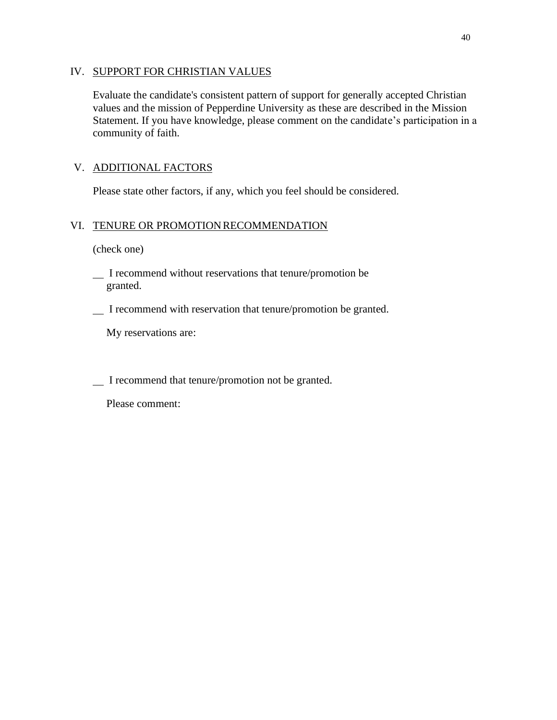#### IV. SUPPORT FOR CHRISTIAN VALUES

Evaluate the candidate's consistent pattern of support for generally accepted Christian values and the mission of Pepperdine University as these are described in the Mission Statement. If you have knowledge, please comment on the candidate's participation in a community of faith.

# V. ADDITIONAL FACTORS

Please state other factors, if any, which you feel should be considered.

# VI. TENURE OR PROMOTION RECOMMENDATION

(check one)

- I recommend without reservations that tenure/promotion be granted.
- I recommend with reservation that tenure/promotion be granted.

My reservations are:

I recommend that tenure/promotion not be granted.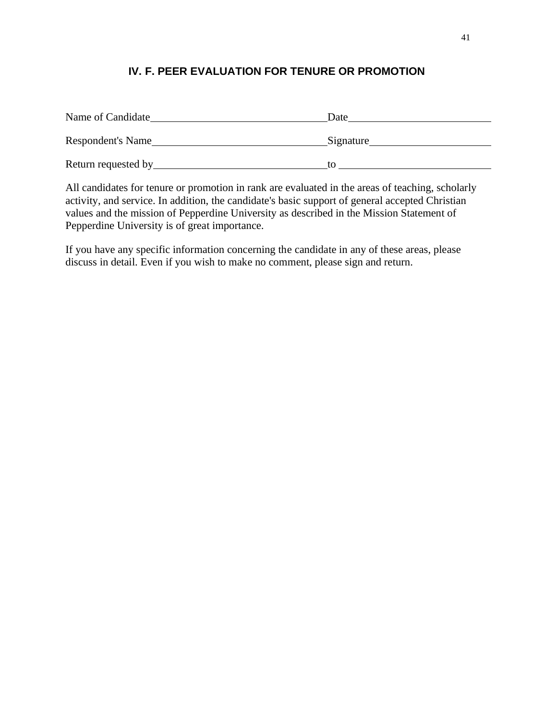# **IV. F. PEER EVALUATION FOR TENURE OR PROMOTION**

| Name of Candidate   | Date      |
|---------------------|-----------|
| Respondent's Name   | Signature |
| Return requested by | tΟ        |

All candidates for tenure or promotion in rank are evaluated in the areas of teaching, scholarly activity, and service. In addition, the candidate's basic support of general accepted Christian values and the mission of Pepperdine University as described in the Mission Statement of Pepperdine University is of great importance.

If you have any specific information concerning the candidate in any of these areas, please discuss in detail. Even if you wish to make no comment, please sign and return.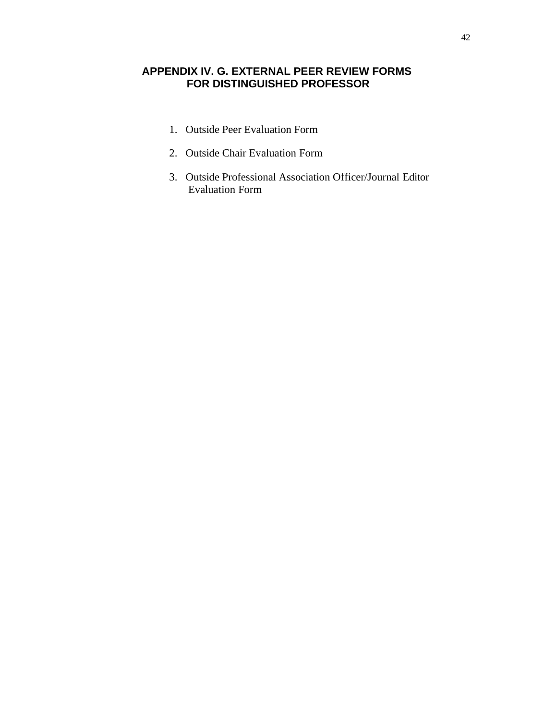# **APPENDIX IV. G. EXTERNAL PEER REVIEW FORMS FOR DISTINGUISHED PROFESSOR**

- 1. Outside Peer Evaluation Form
- 2. Outside Chair Evaluation Form
- 3. Outside Professional Association Officer/Journal Editor Evaluation Form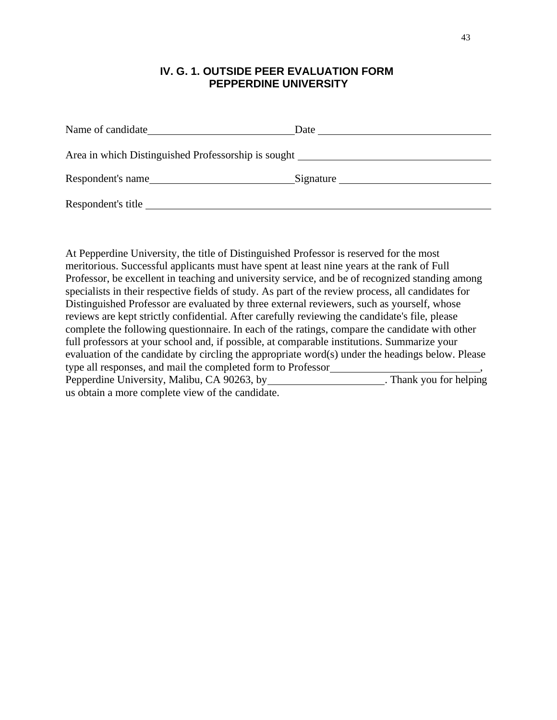# **IV. G. 1. OUTSIDE PEER EVALUATION FORM PEPPERDINE UNIVERSITY**

| Name of candidate                                                                 | Date      |
|-----------------------------------------------------------------------------------|-----------|
| Area in which Distinguished Professorship is sought _____________________________ |           |
| Respondent's name                                                                 | Signature |
| Respondent's title                                                                |           |

At Pepperdine University, the title of Distinguished Professor is reserved for the most meritorious. Successful applicants must have spent at least nine years at the rank of Full Professor, be excellent in teaching and university service, and be of recognized standing among specialists in their respective fields of study. As part of the review process, all candidates for Distinguished Professor are evaluated by three external reviewers, such as yourself, whose reviews are kept strictly confidential. After carefully reviewing the candidate's file, please complete the following questionnaire. In each of the ratings, compare the candidate with other full professors at your school and, if possible, at comparable institutions. Summarize your evaluation of the candidate by circling the appropriate word(s) under the headings below. Please type all responses, and mail the completed form to Professor , Pepperdine University, Malibu, CA 90263, by us obtain a more complete view of the candidate.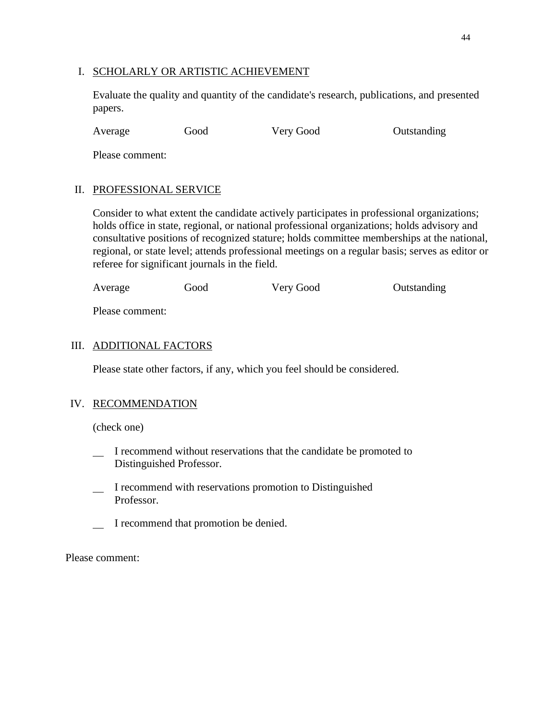#### I. SCHOLARLY OR ARTISTIC ACHIEVEMENT

Evaluate the quality and quantity of the candidate's research, publications, and presented papers.

Average Good Very Good Outstanding

Please comment:

## II. PROFESSIONAL SERVICE

Consider to what extent the candidate actively participates in professional organizations; holds office in state, regional, or national professional organizations; holds advisory and consultative positions of recognized stature; holds committee memberships at the national, regional, or state level; attends professional meetings on a regular basis; serves as editor or referee for significant journals in the field.

| Average | Good | Very Good | Outstanding |
|---------|------|-----------|-------------|
|         |      |           |             |

Please comment:

## III. ADDITIONAL FACTORS

Please state other factors, if any, which you feel should be considered.

### IV. RECOMMENDATION

(check one)

- I recommend without reservations that the candidate be promoted to Distinguished Professor.
- I recommend with reservations promotion to Distinguished Professor.
- I recommend that promotion be denied.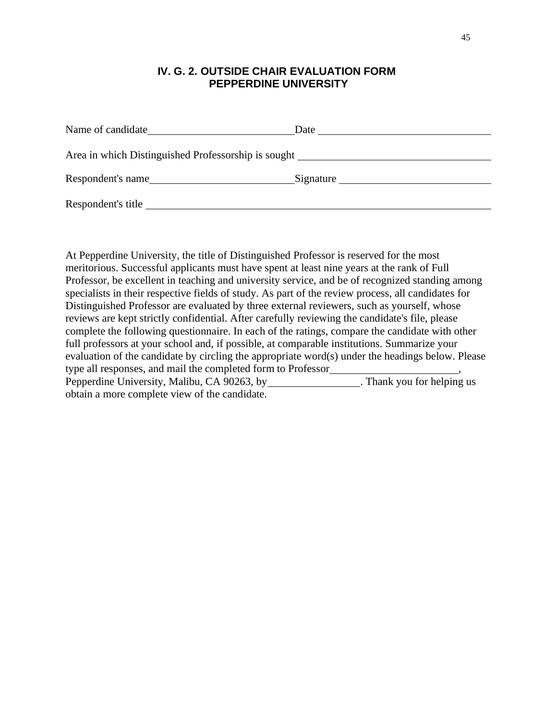# **IV. G. 2. OUTSIDE CHAIR EVALUATION FORM PEPPERDINE UNIVERSITY**

| Name of candidate Name of candidate                 | Date      |
|-----------------------------------------------------|-----------|
| Area in which Distinguished Professorship is sought |           |
| Respondent's name                                   | Signature |
| Respondent's title                                  |           |

At Pepperdine University, the title of Distinguished Professor is reserved for the most meritorious. Successful applicants must have spent at least nine years at the rank of Full Professor, be excellent in teaching and university service, and be of recognized standing among specialists in their respective fields of study. As part of the review process, all candidates for Distinguished Professor are evaluated by three external reviewers, such as yourself, whose reviews are kept strictly confidential. After carefully reviewing the candidate's file, please complete the following questionnaire. In each of the ratings, compare the candidate with other full professors at your school and, if possible, at comparable institutions. Summarize your evaluation of the candidate by circling the appropriate word(s) under the headings below. Please type all responses, and mail the completed form to Professor Pepperdine University, Malibu, CA 90263, by . Thank you for helping us obtain a more complete view of the candidate.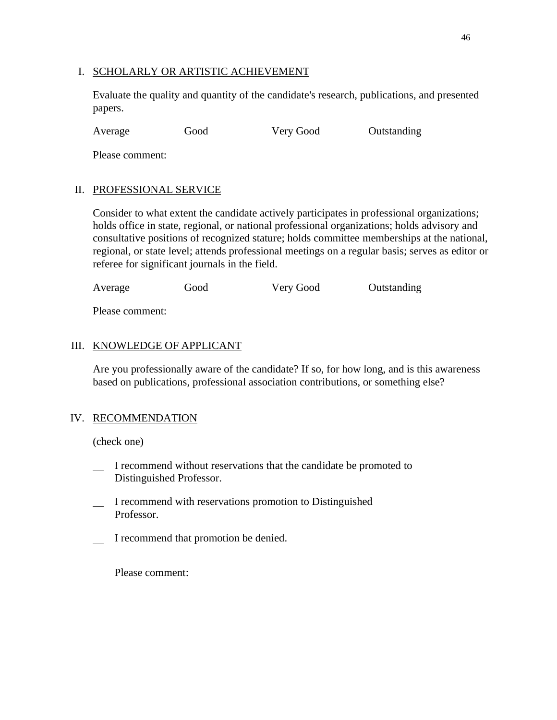#### I. SCHOLARLY OR ARTISTIC ACHIEVEMENT

Evaluate the quality and quantity of the candidate's research, publications, and presented papers.

Average Good Very Good Outstanding

Please comment:

#### II. PROFESSIONAL SERVICE

Consider to what extent the candidate actively participates in professional organizations; holds office in state, regional, or national professional organizations; holds advisory and consultative positions of recognized stature; holds committee memberships at the national, regional, or state level; attends professional meetings on a regular basis; serves as editor or referee for significant journals in the field.

| Average | Good | Very Good | Outstanding |
|---------|------|-----------|-------------|
|         |      |           |             |

Please comment:

#### III. KNOWLEDGE OF APPLICANT

Are you professionally aware of the candidate? If so, for how long, and is this awareness based on publications, professional association contributions, or something else?

#### IV. RECOMMENDATION

(check one)

- I recommend without reservations that the candidate be promoted to Distinguished Professor.
- I recommend with reservations promotion to Distinguished Professor.
- I recommend that promotion be denied.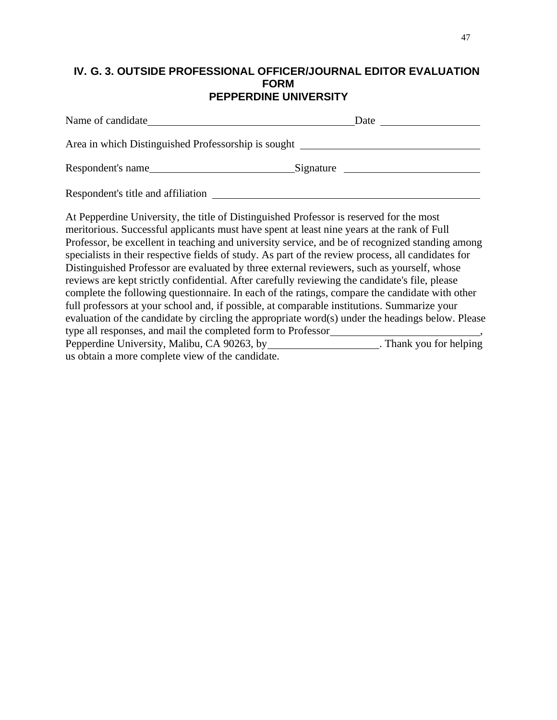## **IV. G. 3. OUTSIDE PROFESSIONAL OFFICER/JOURNAL EDITOR EVALUATION FORM PEPPERDINE UNIVERSITY**

| Area in which Distinguished Professorship is sought                                                                                                                                                                                                                                                                                                                                                                                                                                                                                                                                                                                                                                                                                                                                                                                                                                                                                                                 |  |
|---------------------------------------------------------------------------------------------------------------------------------------------------------------------------------------------------------------------------------------------------------------------------------------------------------------------------------------------------------------------------------------------------------------------------------------------------------------------------------------------------------------------------------------------------------------------------------------------------------------------------------------------------------------------------------------------------------------------------------------------------------------------------------------------------------------------------------------------------------------------------------------------------------------------------------------------------------------------|--|
| Respondent's name Electron Communication Communication Communication Communication Communication Communication                                                                                                                                                                                                                                                                                                                                                                                                                                                                                                                                                                                                                                                                                                                                                                                                                                                      |  |
| Respondent's title and affiliation                                                                                                                                                                                                                                                                                                                                                                                                                                                                                                                                                                                                                                                                                                                                                                                                                                                                                                                                  |  |
| At Pepperdine University, the title of Distinguished Professor is reserved for the most<br>meritorious. Successful applicants must have spent at least nine years at the rank of Full<br>Professor, be excellent in teaching and university service, and be of recognized standing among<br>specialists in their respective fields of study. As part of the review process, all candidates for<br>Distinguished Professor are evaluated by three external reviewers, such as yourself, whose<br>reviews are kept strictly confidential. After carefully reviewing the candidate's file, please<br>complete the following questionnaire. In each of the ratings, compare the candidate with other<br>full professors at your school and, if possible, at comparable institutions. Summarize your<br>evaluation of the candidate by circling the appropriate word(s) under the headings below. Please<br>type all responses, and mail the completed form to Professor |  |
| Pepperdine University, Malibu, CA 90263, by _____________________. Thank you for helping<br>us obtain a more complete view of the candidate.                                                                                                                                                                                                                                                                                                                                                                                                                                                                                                                                                                                                                                                                                                                                                                                                                        |  |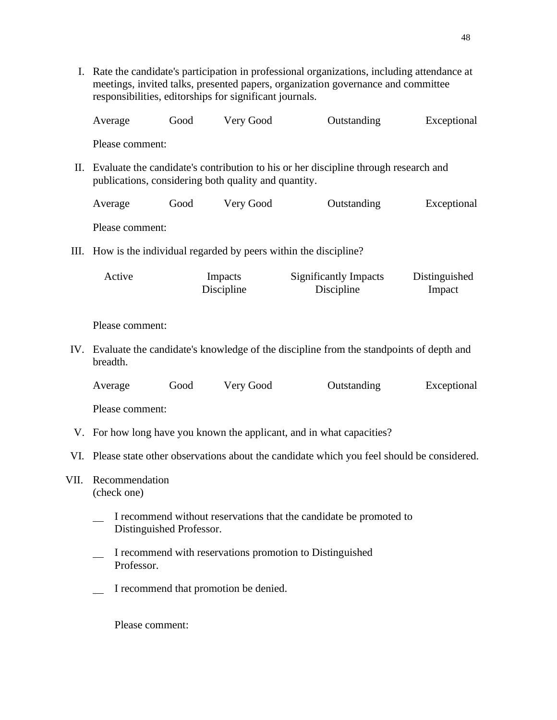I. Rate the candidate's participation in professional organizations, including attendance at meetings, invited talks, presented papers, organization governance and committee responsibilities, editorships for significant journals. Average Good Very Good Outstanding Exceptional Please comment: II. Evaluate the candidate's contribution to his or her discipline through research and publications, considering both quality and quantity. Average Good Very Good Outstanding Exceptional Please comment: III. How is the individual regarded by peers within the discipline? Active Impacts Discipline Significantly Impacts Discipline Distinguished Impact Please comment: IV. Evaluate the candidate's knowledge of the discipline from the standpoints of depth and breadth. Average Good Very Good Outstanding Exceptional Please comment: V. For how long have you known the applicant, and in what capacities? VI. Please state other observations about the candidate which you feel should be considered. VII. Recommendation (check one) I recommend without reservations that the candidate be promoted to Distinguished Professor. I recommend with reservations promotion to Distinguished Professor. I recommend that promotion be denied. Please comment: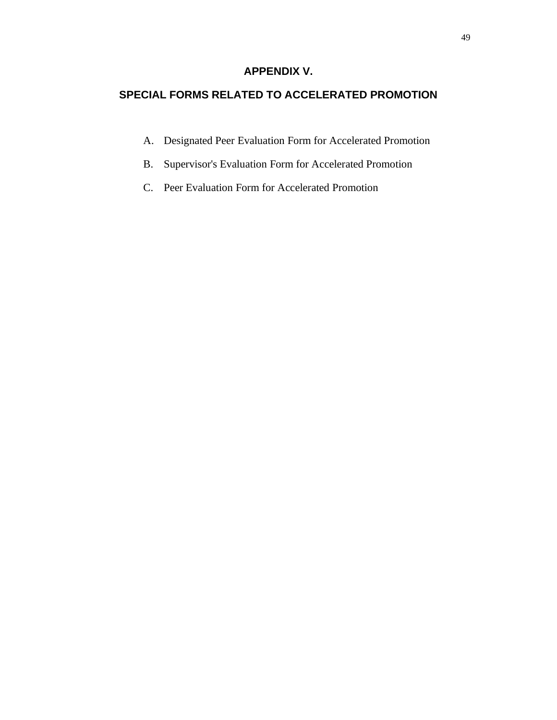# **APPENDIX V.**

# **SPECIAL FORMS RELATED TO ACCELERATED PROMOTION**

- A. Designated Peer Evaluation Form for Accelerated Promotion
- B. Supervisor's Evaluation Form for Accelerated Promotion
- C. Peer Evaluation Form for Accelerated Promotion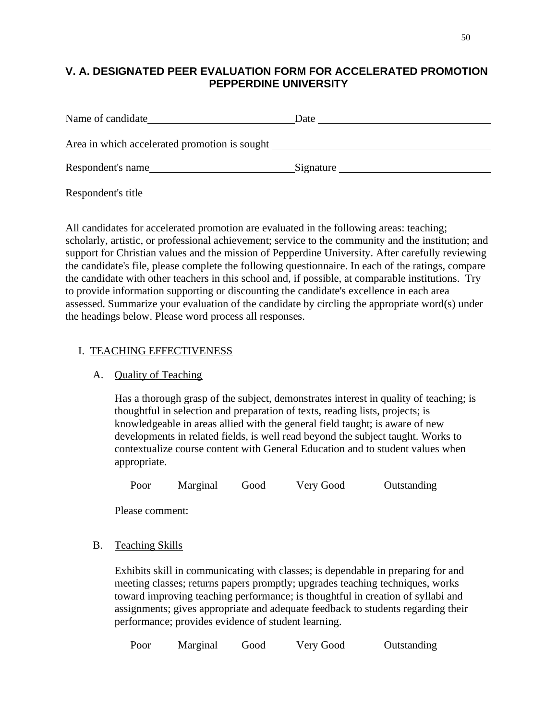# **V. A. DESIGNATED PEER EVALUATION FORM FOR ACCELERATED PROMOTION PEPPERDINE UNIVERSITY**

| Name of candidate                                             | Date      |
|---------------------------------------------------------------|-----------|
| Area in which accelerated promotion is sought <b>example.</b> |           |
| Respondent's name                                             | Signature |
| Respondent's title                                            |           |

All candidates for accelerated promotion are evaluated in the following areas: teaching; scholarly, artistic, or professional achievement; service to the community and the institution; and support for Christian values and the mission of Pepperdine University. After carefully reviewing the candidate's file, please complete the following questionnaire. In each of the ratings, compare the candidate with other teachers in this school and, if possible, at comparable institutions. Try to provide information supporting or discounting the candidate's excellence in each area assessed. Summarize your evaluation of the candidate by circling the appropriate word(s) under the headings below. Please word process all responses.

## I. TEACHING EFFECTIVENESS

#### A. Quality of Teaching

Has a thorough grasp of the subject, demonstrates interest in quality of teaching; is thoughtful in selection and preparation of texts, reading lists, projects; is knowledgeable in areas allied with the general field taught; is aware of new developments in related fields, is well read beyond the subject taught. Works to contextualize course content with General Education and to student values when appropriate.

Poor Marginal Good Very Good Outstanding

Please comment:

B. Teaching Skills

Exhibits skill in communicating with classes; is dependable in preparing for and meeting classes; returns papers promptly; upgrades teaching techniques, works toward improving teaching performance; is thoughtful in creation of syllabi and assignments; gives appropriate and adequate feedback to students regarding their performance; provides evidence of student learning.

Poor Marginal Good Very Good Outstanding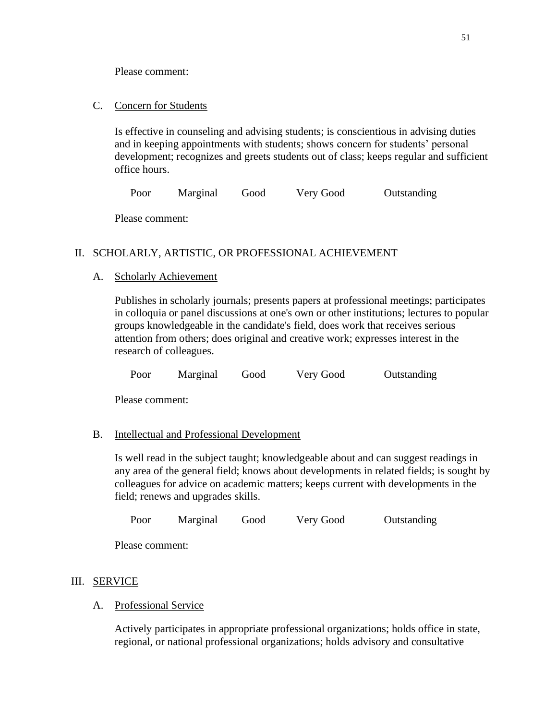Please comment:

C. Concern for Students

Is effective in counseling and advising students; is conscientious in advising duties and in keeping appointments with students; shows concern for students' personal development; recognizes and greets students out of class; keeps regular and sufficient office hours.

Poor Marginal Good Very Good Outstanding

Please comment:

# II. SCHOLARLY, ARTISTIC, OR PROFESSIONAL ACHIEVEMENT

## A. Scholarly Achievement

Publishes in scholarly journals; presents papers at professional meetings; participates in colloquia or panel discussions at one's own or other institutions; lectures to popular groups knowledgeable in the candidate's field, does work that receives serious attention from others; does original and creative work; expresses interest in the research of colleagues.

Poor Marginal Good Very Good Outstanding

Please comment:

# B. Intellectual and Professional Development

Is well read in the subject taught; knowledgeable about and can suggest readings in any area of the general field; knows about developments in related fields; is sought by colleagues for advice on academic matters; keeps current with developments in the field; renews and upgrades skills.

Poor Marginal Good Very Good Outstanding

Please comment:

# III. SERVICE

# A. Professional Service

Actively participates in appropriate professional organizations; holds office in state, regional, or national professional organizations; holds advisory and consultative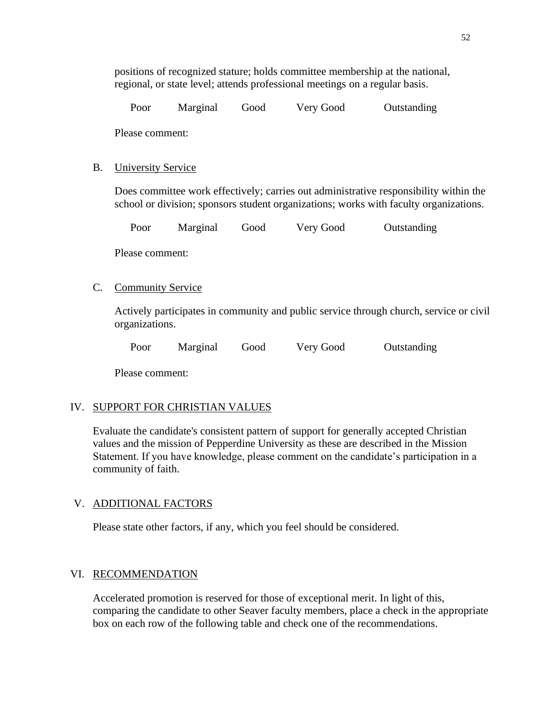| Poor | Marginal | Good | Very Good | Outstanding |
|------|----------|------|-----------|-------------|
|      |          |      |           |             |

Please comment:

#### B. University Service

Does committee work effectively; carries out administrative responsibility within the school or division; sponsors student organizations; works with faculty organizations.

|  | Poor | Marginal | Good | Very Good | Outstanding |
|--|------|----------|------|-----------|-------------|
|--|------|----------|------|-----------|-------------|

Please comment:

#### C. Community Service

Actively participates in community and public service through church, service or civil organizations.

Poor Marginal Good Very Good Outstanding

Please comment:

# IV. SUPPORT FOR CHRISTIAN VALUES

Evaluate the candidate's consistent pattern of support for generally accepted Christian values and the mission of Pepperdine University as these are described in the Mission Statement. If you have knowledge, please comment on the candidate's participation in a community of faith.

#### V. ADDITIONAL FACTORS

Please state other factors, if any, which you feel should be considered.

#### VI. RECOMMENDATION

Accelerated promotion is reserved for those of exceptional merit. In light of this, comparing the candidate to other Seaver faculty members, place a check in the appropriate box on each row of the following table and check one of the recommendations.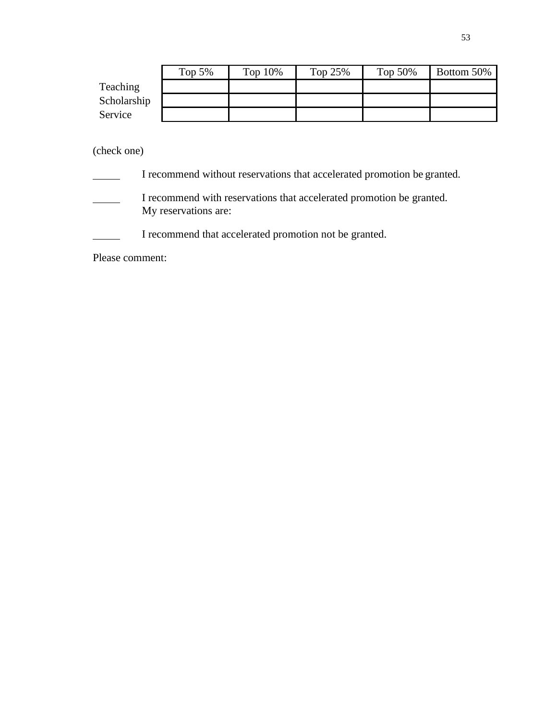|             | Top $5%$ | Top $10\%$ | Top 25% | Top $50\%$ | Bottom 50% |
|-------------|----------|------------|---------|------------|------------|
| Teaching    |          |            |         |            |            |
| Scholarship |          |            |         |            |            |
| Service     |          |            |         |            |            |

# (check one)

| I recommend without reservations that accelerated promotion be granted.                      |
|----------------------------------------------------------------------------------------------|
| I recommend with reservations that accelerated promotion be granted.<br>My reservations are: |
| I recommend that accelerated promotion not be granted.                                       |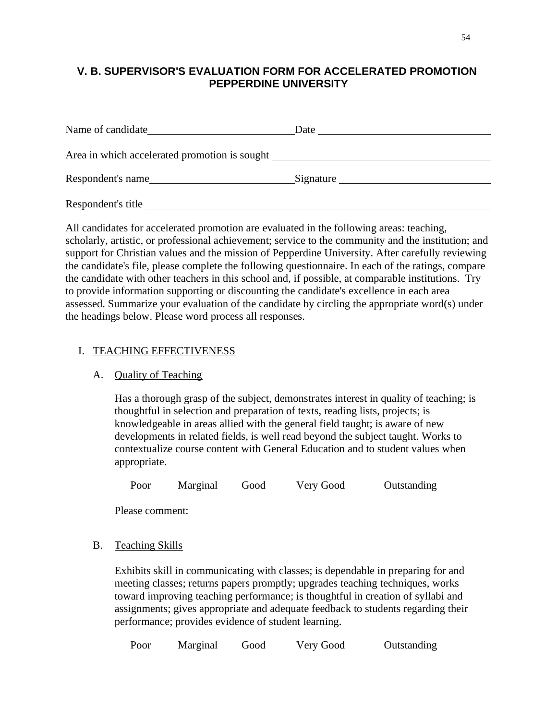# **V. B. SUPERVISOR'S EVALUATION FORM FOR ACCELERATED PROMOTION PEPPERDINE UNIVERSITY**

| Name of candidate  | Date      |
|--------------------|-----------|
|                    |           |
| Respondent's name  | Signature |
| Respondent's title |           |

All candidates for accelerated promotion are evaluated in the following areas: teaching, scholarly, artistic, or professional achievement; service to the community and the institution; and support for Christian values and the mission of Pepperdine University. After carefully reviewing the candidate's file, please complete the following questionnaire. In each of the ratings, compare the candidate with other teachers in this school and, if possible, at comparable institutions. Try to provide information supporting or discounting the candidate's excellence in each area assessed. Summarize your evaluation of the candidate by circling the appropriate word(s) under the headings below. Please word process all responses.

## I. TEACHING EFFECTIVENESS

#### A. Quality of Teaching

Has a thorough grasp of the subject, demonstrates interest in quality of teaching; is thoughtful in selection and preparation of texts, reading lists, projects; is knowledgeable in areas allied with the general field taught; is aware of new developments in related fields, is well read beyond the subject taught. Works to contextualize course content with General Education and to student values when appropriate.

Poor Marginal Good Very Good Outstanding

Please comment:

B. Teaching Skills

Exhibits skill in communicating with classes; is dependable in preparing for and meeting classes; returns papers promptly; upgrades teaching techniques, works toward improving teaching performance; is thoughtful in creation of syllabi and assignments; gives appropriate and adequate feedback to students regarding their performance; provides evidence of student learning.

Poor Marginal Good Very Good Outstanding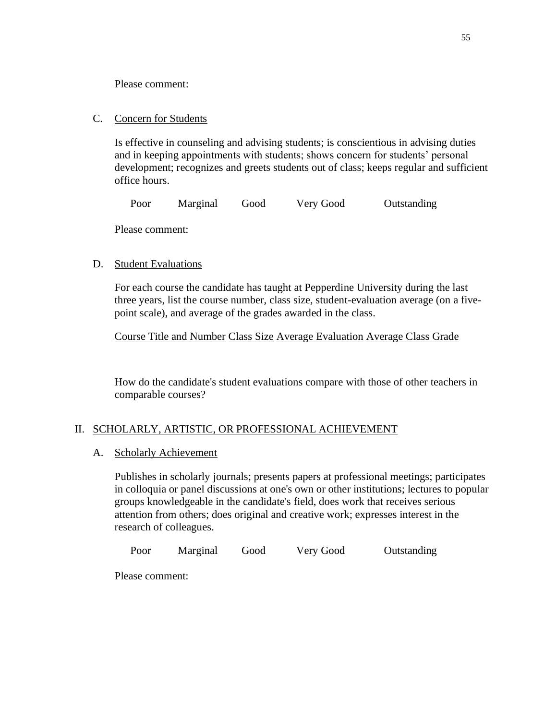Please comment:

#### C. Concern for Students

Is effective in counseling and advising students; is conscientious in advising duties and in keeping appointments with students; shows concern for students' personal development; recognizes and greets students out of class; keeps regular and sufficient office hours.

Poor Marginal Good Very Good Outstanding

Please comment:

## D. Student Evaluations

For each course the candidate has taught at Pepperdine University during the last three years, list the course number, class size, student-evaluation average (on a fivepoint scale), and average of the grades awarded in the class.

Course Title and Number Class Size Average Evaluation Average Class Grade

How do the candidate's student evaluations compare with those of other teachers in comparable courses?

# II. SCHOLARLY, ARTISTIC, OR PROFESSIONAL ACHIEVEMENT

#### A. Scholarly Achievement

Publishes in scholarly journals; presents papers at professional meetings; participates in colloquia or panel discussions at one's own or other institutions; lectures to popular groups knowledgeable in the candidate's field, does work that receives serious attention from others; does original and creative work; expresses interest in the research of colleagues.

Poor Marginal Good Very Good Outstanding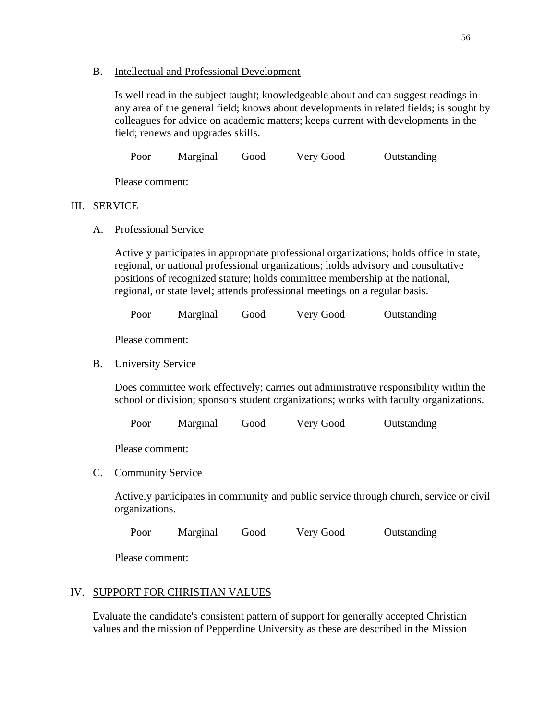#### B. Intellectual and Professional Development

Is well read in the subject taught; knowledgeable about and can suggest readings in any area of the general field; knows about developments in related fields; is sought by colleagues for advice on academic matters; keeps current with developments in the field; renews and upgrades skills.

Poor Marginal Good Very Good Outstanding

Please comment:

#### III. SERVICE

A. Professional Service

Actively participates in appropriate professional organizations; holds office in state, regional, or national professional organizations; holds advisory and consultative positions of recognized stature; holds committee membership at the national, regional, or state level; attends professional meetings on a regular basis.

Poor Marginal Good Very Good Outstanding

Please comment:

### B. University Service

Does committee work effectively; carries out administrative responsibility within the school or division; sponsors student organizations; works with faculty organizations.

Poor Marginal Good Very Good Outstanding

Please comment:

# C. Community Service

Actively participates in community and public service through church, service or civil organizations.

Poor Marginal Good Very Good Outstanding

Please comment:

# IV. SUPPORT FOR CHRISTIAN VALUES

Evaluate the candidate's consistent pattern of support for generally accepted Christian values and the mission of Pepperdine University as these are described in the Mission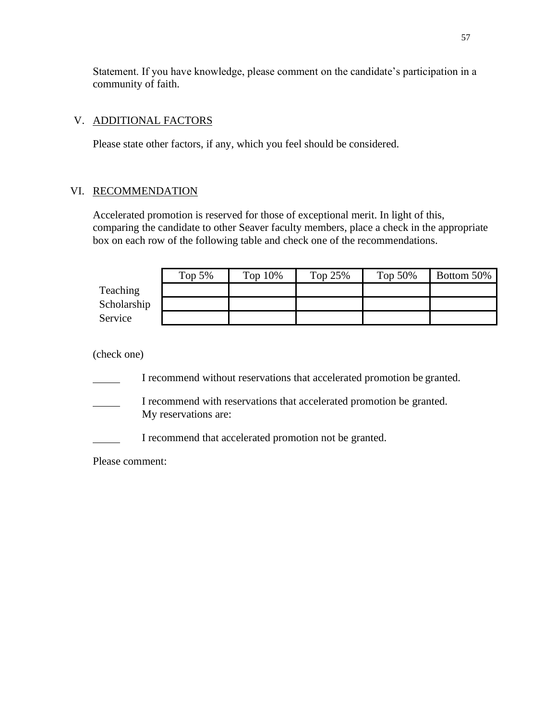Statement. If you have knowledge, please comment on the candidate's participation in a community of faith.

## V. ADDITIONAL FACTORS

Please state other factors, if any, which you feel should be considered.

# VI. RECOMMENDATION

Accelerated promotion is reserved for those of exceptional merit. In light of this, comparing the candidate to other Seaver faculty members, place a check in the appropriate box on each row of the following table and check one of the recommendations.

|             | Top $5%$ | Top $10\%$ | Top $25%$ | Top $50\%$ | Bottom 50% |
|-------------|----------|------------|-----------|------------|------------|
| Teaching    |          |            |           |            |            |
| Scholarship |          |            |           |            |            |
| Service     |          |            |           |            |            |

(check one)

I recommend without reservations that accelerated promotion be granted.

I recommend with reservations that accelerated promotion be granted. My reservations are:

I recommend that accelerated promotion not be granted.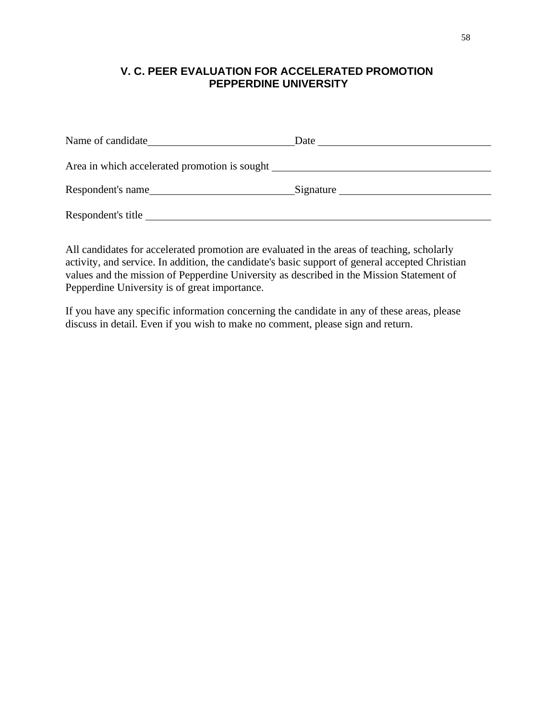# **V. C. PEER EVALUATION FOR ACCELERATED PROMOTION PEPPERDINE UNIVERSITY**

| Name of candidate                                                                 | Date      |
|-----------------------------------------------------------------------------------|-----------|
| Area in which accelerated promotion is sought ___________________________________ |           |
| Respondent's name                                                                 | Signature |
| Respondent's title                                                                |           |

All candidates for accelerated promotion are evaluated in the areas of teaching, scholarly activity, and service. In addition, the candidate's basic support of general accepted Christian values and the mission of Pepperdine University as described in the Mission Statement of Pepperdine University is of great importance.

If you have any specific information concerning the candidate in any of these areas, please discuss in detail. Even if you wish to make no comment, please sign and return.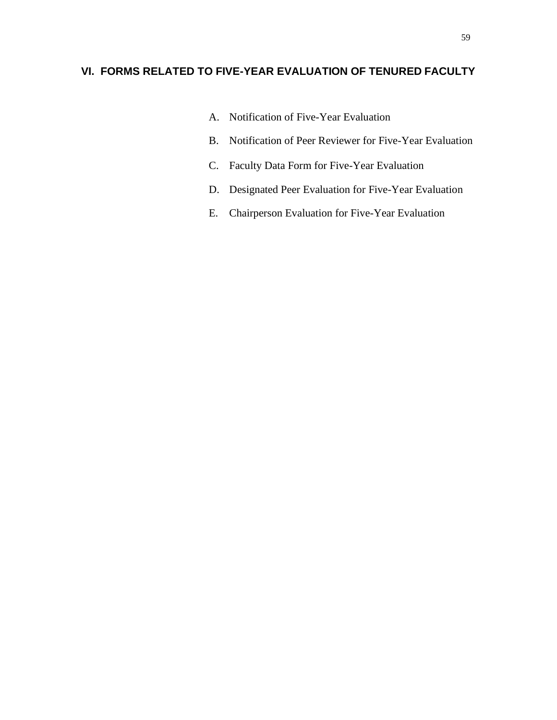# **VI. FORMS RELATED TO FIVE-YEAR EVALUATION OF TENURED FACULTY**

- A. Notification of Five-Year Evaluation
- B. Notification of Peer Reviewer for Five-Year Evaluation
- C. Faculty Data Form for Five-Year Evaluation
- D. Designated Peer Evaluation for Five-Year Evaluation
- E. Chairperson Evaluation for Five-Year Evaluation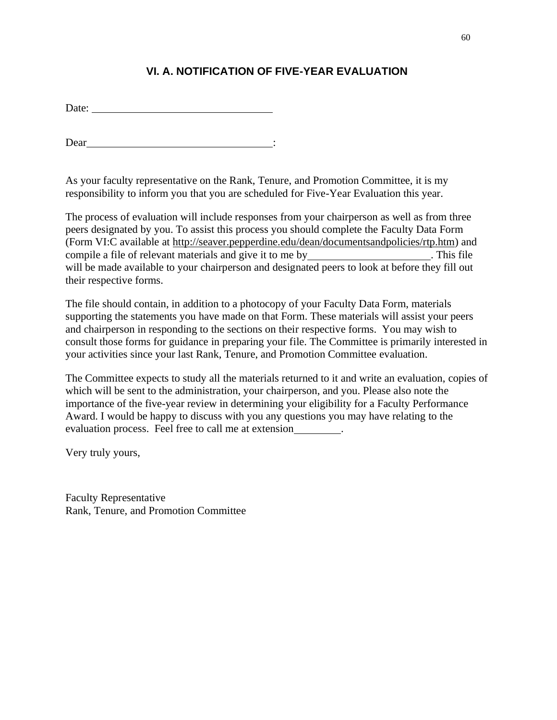# **VI. A. NOTIFICATION OF FIVE-YEAR EVALUATION**

Dear :

As your faculty representative on the Rank, Tenure, and Promotion Committee, it is my responsibility to inform you that you are scheduled for Five-Year Evaluation this year.

The process of evaluation will include responses from your chairperson as well as from three peers designated by you. To assist this process you should complete the Faculty Data Form (Form VI:C available at [http://seaver.pepperdine.edu/dean/documentsandpolicies/rtp.htm\) a](http://seaver.pepperdine.edu/dean/documentsandpolicies/rtp.htm))nd compile a file of relevant materials and give it to me by \_\_\_\_\_\_\_\_\_\_\_\_\_\_\_\_\_\_\_\_\_\_. This file will be made available to your chairperson and designated peers to look at before they fill out their respective forms.

The file should contain, in addition to a photocopy of your Faculty Data Form, materials supporting the statements you have made on that Form. These materials will assist your peers and chairperson in responding to the sections on their respective forms. You may wish to consult those forms for guidance in preparing your file. The Committee is primarily interested in your activities since your last Rank, Tenure, and Promotion Committee evaluation.

The Committee expects to study all the materials returned to it and write an evaluation, copies of which will be sent to the administration, your chairperson, and you. Please also note the importance of the five-year review in determining your eligibility for a Faculty Performance Award. I would be happy to discuss with you any questions you may have relating to the evaluation process. Feel free to call me at extension\_\_\_\_\_\_\_\_.

Very truly yours,

Faculty Representative Rank, Tenure, and Promotion Committee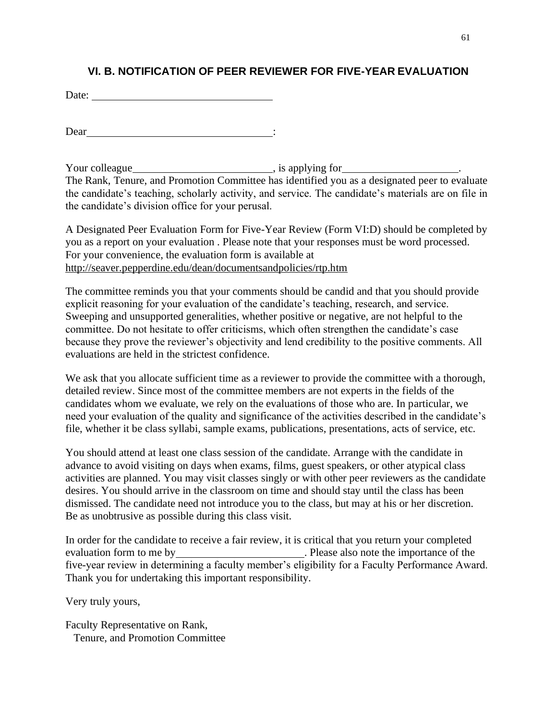# **VI. B. NOTIFICATION OF PEER REVIEWER FOR FIVE-YEAR EVALUATION**

Date:

Dear :

Your colleague https://www.facebook.com/sil/absoluted/sil/absoluted/sil/absoluted/sil/absoluted/sil/absoluted/sil/absoluted/sil/absoluted/sil/absoluted/sil/absoluted/sil/absoluted/sil/absoluted/sil/absoluted/sil/absoluted/ The Rank, Tenure, and Promotion Committee has identified you as a designated peer to evaluate the candidate's teaching, scholarly activity, and service. The candidate's materials are on file in the candidate's division office for your perusal.

A Designated Peer Evaluation Form for Five-Year Review (Form VI:D) should be completed by you as a report on your evaluation . Please note that your responses must be word processed. For your convenience, the evaluation form is available at <http://seaver.pepperdine.edu/dean/documentsandpolicies/rtp.htm>

The committee reminds you that your comments should be candid and that you should provide explicit reasoning for your evaluation of the candidate's teaching, research, and service. Sweeping and unsupported generalities, whether positive or negative, are not helpful to the committee. Do not hesitate to offer criticisms, which often strengthen the candidate's case because they prove the reviewer's objectivity and lend credibility to the positive comments. All evaluations are held in the strictest confidence.

We ask that you allocate sufficient time as a reviewer to provide the committee with a thorough, detailed review. Since most of the committee members are not experts in the fields of the candidates whom we evaluate, we rely on the evaluations of those who are. In particular, we need your evaluation of the quality and significance of the activities described in the candidate's file, whether it be class syllabi, sample exams, publications, presentations, acts of service, etc.

You should attend at least one class session of the candidate. Arrange with the candidate in advance to avoid visiting on days when exams, films, guest speakers, or other atypical class activities are planned. You may visit classes singly or with other peer reviewers as the candidate desires. You should arrive in the classroom on time and should stay until the class has been dismissed. The candidate need not introduce you to the class, but may at his or her discretion. Be as unobtrusive as possible during this class visit.

In order for the candidate to receive a fair review, it is critical that you return your completed evaluation form to me by **. Please also note the importance of the** five-year review in determining a faculty member's eligibility for a Faculty Performance Award. Thank you for undertaking this important responsibility.

Very truly yours,

Faculty Representative on Rank, Tenure, and Promotion Committee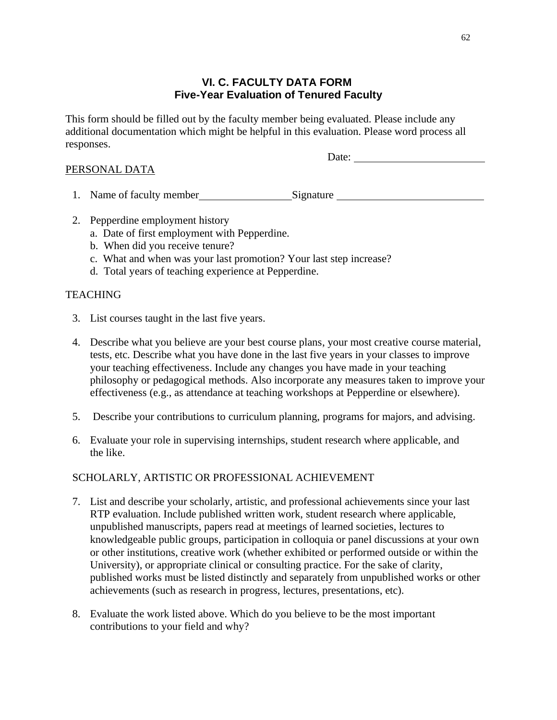# **VI. C. FACULTY DATA FORM Five-Year Evaluation of Tenured Faculty**

This form should be filled out by the faculty member being evaluated. Please include any additional documentation which might be helpful in this evaluation. Please word process all responses.

### PERSONAL DATA

Date:

- 1. Name of faculty member Signature
- 2. Pepperdine employment history
	- a. Date of first employment with Pepperdine.
	- b. When did you receive tenure?
	- c. What and when was your last promotion? Your last step increase?
	- d. Total years of teaching experience at Pepperdine.

# **TEACHING**

- 3. List courses taught in the last five years.
- 4. Describe what you believe are your best course plans, your most creative course material, tests, etc. Describe what you have done in the last five years in your classes to improve your teaching effectiveness. Include any changes you have made in your teaching philosophy or pedagogical methods. Also incorporate any measures taken to improve your effectiveness (e.g., as attendance at teaching workshops at Pepperdine or elsewhere).
- 5. Describe your contributions to curriculum planning, programs for majors, and advising.
- 6. Evaluate your role in supervising internships, student research where applicable, and the like.

#### SCHOLARLY, ARTISTIC OR PROFESSIONAL ACHIEVEMENT

- 7. List and describe your scholarly, artistic, and professional achievements since your last RTP evaluation. Include published written work, student research where applicable, unpublished manuscripts, papers read at meetings of learned societies, lectures to knowledgeable public groups, participation in colloquia or panel discussions at your own or other institutions, creative work (whether exhibited or performed outside or within the University), or appropriate clinical or consulting practice. For the sake of clarity, published works must be listed distinctly and separately from unpublished works or other achievements (such as research in progress, lectures, presentations, etc).
- 8. Evaluate the work listed above. Which do you believe to be the most important contributions to your field and why?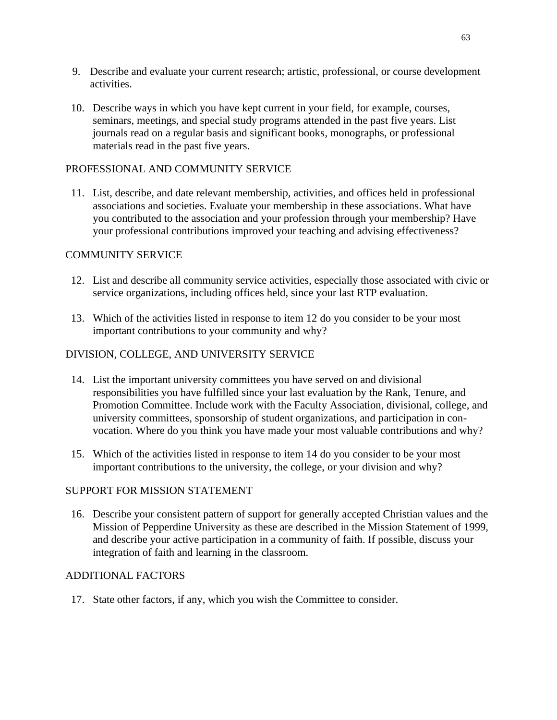- 9. Describe and evaluate your current research; artistic, professional, or course development activities.
- 10. Describe ways in which you have kept current in your field, for example, courses, seminars, meetings, and special study programs attended in the past five years. List journals read on a regular basis and significant books, monographs, or professional materials read in the past five years.

## PROFESSIONAL AND COMMUNITY SERVICE

11. List, describe, and date relevant membership, activities, and offices held in professional associations and societies. Evaluate your membership in these associations. What have you contributed to the association and your profession through your membership? Have your professional contributions improved your teaching and advising effectiveness?

## COMMUNITY SERVICE

- 12. List and describe all community service activities, especially those associated with civic or service organizations, including offices held, since your last RTP evaluation.
- 13. Which of the activities listed in response to item 12 do you consider to be your most important contributions to your community and why?

## DIVISION, COLLEGE, AND UNIVERSITY SERVICE

- 14. List the important university committees you have served on and divisional responsibilities you have fulfilled since your last evaluation by the Rank, Tenure, and Promotion Committee. Include work with the Faculty Association, divisional, college, and university committees, sponsorship of student organizations, and participation in convocation. Where do you think you have made your most valuable contributions and why?
- 15. Which of the activities listed in response to item 14 do you consider to be your most important contributions to the university, the college, or your division and why?

#### SUPPORT FOR MISSION STATEMENT

16. Describe your consistent pattern of support for generally accepted Christian values and the Mission of Pepperdine University as these are described in the Mission Statement of 1999, and describe your active participation in a community of faith. If possible, discuss your integration of faith and learning in the classroom.

#### ADDITIONAL FACTORS

17. State other factors, if any, which you wish the Committee to consider.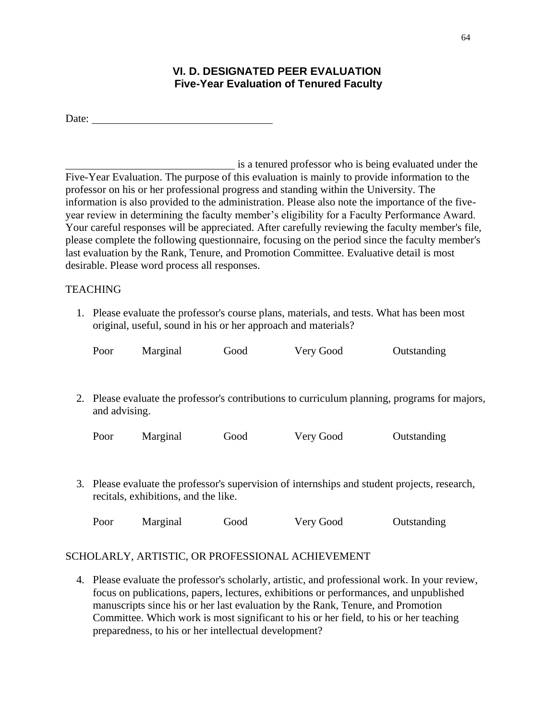# **VI. D. DESIGNATED PEER EVALUATION Five-Year Evaluation of Tenured Faculty**

is a tenured professor who is being evaluated under the Five-Year Evaluation. The purpose of this evaluation is mainly to provide information to the professor on his or her professional progress and standing within the University. The information is also provided to the administration. Please also note the importance of the fiveyear review in determining the faculty member's eligibility for a Faculty Performance Award. Your careful responses will be appreciated. After carefully reviewing the faculty member's file, please complete the following questionnaire, focusing on the period since the faculty member's last evaluation by the Rank, Tenure, and Promotion Committee. Evaluative detail is most desirable. Please word process all responses.

# **TEACHING**

1. Please evaluate the professor's course plans, materials, and tests. What has been most original, useful, sound in his or her approach and materials?

| Poor          | Marginal                             | Good | Very Good                                                                                     | Outstanding                                                                                   |
|---------------|--------------------------------------|------|-----------------------------------------------------------------------------------------------|-----------------------------------------------------------------------------------------------|
|               |                                      |      |                                                                                               |                                                                                               |
| and advising. |                                      |      |                                                                                               | 2. Please evaluate the professor's contributions to curriculum planning, programs for majors, |
| Poor          | Marginal                             | Good | Very Good                                                                                     | Outstanding                                                                                   |
|               | recitals, exhibitions, and the like. |      | 3. Please evaluate the professor's supervision of internships and student projects, research, |                                                                                               |

| Poor | Marginal | Good | Very Good | Outstanding |
|------|----------|------|-----------|-------------|
|------|----------|------|-----------|-------------|

# SCHOLARLY, ARTISTIC, OR PROFESSIONAL ACHIEVEMENT

4. Please evaluate the professor's scholarly, artistic, and professional work. In your review, focus on publications, papers, lectures, exhibitions or performances, and unpublished manuscripts since his or her last evaluation by the Rank, Tenure, and Promotion Committee. Which work is most significant to his or her field, to his or her teaching preparedness, to his or her intellectual development?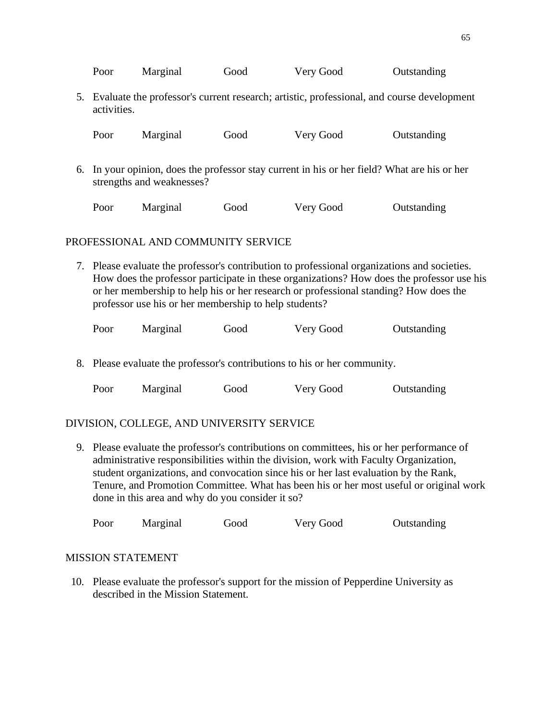|                                    | Marginal<br>Outstanding<br>Poor<br>Very Good<br>Good                                                                                                                                                                                                                                                                                       |          |      |           |             |  |  |  |  |  |
|------------------------------------|--------------------------------------------------------------------------------------------------------------------------------------------------------------------------------------------------------------------------------------------------------------------------------------------------------------------------------------------|----------|------|-----------|-------------|--|--|--|--|--|
| 5.                                 | Evaluate the professor's current research; artistic, professional, and course development<br>activities.                                                                                                                                                                                                                                   |          |      |           |             |  |  |  |  |  |
|                                    | Marginal<br>Outstanding<br>Good<br>Very Good<br>Poor                                                                                                                                                                                                                                                                                       |          |      |           |             |  |  |  |  |  |
| 6.                                 | In your opinion, does the professor stay current in his or her field? What are his or her<br>strengths and weaknesses?                                                                                                                                                                                                                     |          |      |           |             |  |  |  |  |  |
|                                    | Poor                                                                                                                                                                                                                                                                                                                                       | Marginal | Good | Very Good | Outstanding |  |  |  |  |  |
| PROFESSIONAL AND COMMUNITY SERVICE |                                                                                                                                                                                                                                                                                                                                            |          |      |           |             |  |  |  |  |  |
|                                    | 7. Please evaluate the professor's contribution to professional organizations and societies.<br>How does the professor participate in these organizations? How does the professor use his<br>or her membership to help his or her research or professional standing? How does the<br>professor use his or her membership to help students? |          |      |           |             |  |  |  |  |  |

| Poor | Marginal | Good | Very Good | Outstanding |
|------|----------|------|-----------|-------------|
|      |          |      |           |             |

8. Please evaluate the professor's contributions to his or her community.

| Poor | Marginal | Good | Very Good | Outstanding |
|------|----------|------|-----------|-------------|
|      |          |      |           |             |

#### DIVISION, COLLEGE, AND UNIVERSITY SERVICE

9. Please evaluate the professor's contributions on committees, his or her performance of administrative responsibilities within the division, work with Faculty Organization, student organizations, and convocation since his or her last evaluation by the Rank, Tenure, and Promotion Committee. What has been his or her most useful or original work done in this area and why do you consider it so?

| Poor | Marginal | Good | Very Good | Outstanding |
|------|----------|------|-----------|-------------|
|      |          |      |           |             |

#### MISSION STATEMENT

10. Please evaluate the professor's support for the mission of Pepperdine University as described in the Mission Statement.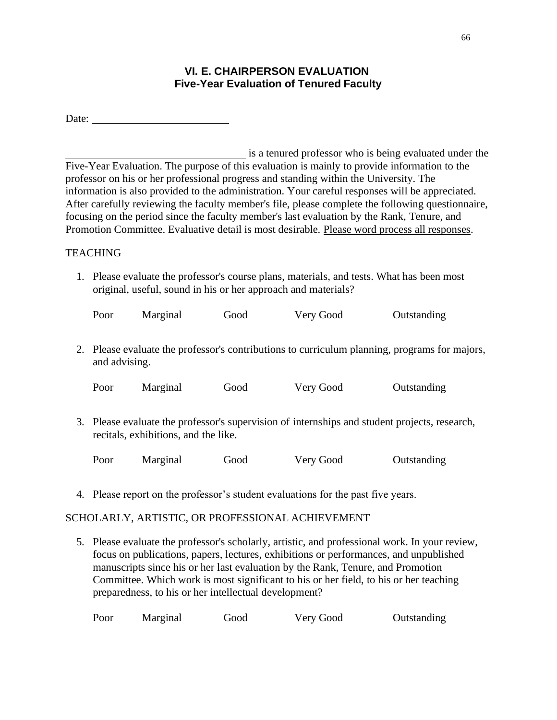# **VI. E. CHAIRPERSON EVALUATION Five-Year Evaluation of Tenured Faculty**

| Date: |
|-------|
|       |

is a tenured professor who is being evaluated under the Five-Year Evaluation. The purpose of this evaluation is mainly to provide information to the professor on his or her professional progress and standing within the University. The information is also provided to the administration. Your careful responses will be appreciated. After carefully reviewing the faculty member's file, please complete the following questionnaire, focusing on the period since the faculty member's last evaluation by the Rank, Tenure, and Promotion Committee. Evaluative detail is most desirable. Please word process all responses.

# **TEACHING**

1. Please evaluate the professor's course plans, materials, and tests. What has been most original, useful, sound in his or her approach and materials?

| Poor                                                                                                                               | Marginal | Good | Very Good | Outstanding |  |  |
|------------------------------------------------------------------------------------------------------------------------------------|----------|------|-----------|-------------|--|--|
| 2. Please evaluate the professor's contributions to curriculum planning, programs for majors,<br>and advising.                     |          |      |           |             |  |  |
| Poor                                                                                                                               | Marginal | Good | Very Good | Outstanding |  |  |
| Please evaluate the professor's supervision of internships and student projects, research,<br>recitals, exhibitions, and the like. |          |      |           |             |  |  |

| Poor | Marginal | Good | Very Good | Outstanding |
|------|----------|------|-----------|-------------|
|      |          |      |           |             |

4. Please report on the professor's student evaluations for the past five years.

# SCHOLARLY, ARTISTIC, OR PROFESSIONAL ACHIEVEMENT

5. Please evaluate the professor's scholarly, artistic, and professional work. In your review, focus on publications, papers, lectures, exhibitions or performances, and unpublished manuscripts since his or her last evaluation by the Rank, Tenure, and Promotion Committee. Which work is most significant to his or her field, to his or her teaching preparedness, to his or her intellectual development?

| Poor<br>Marginal<br>Very Good<br>Good | Outstanding |
|---------------------------------------|-------------|
|---------------------------------------|-------------|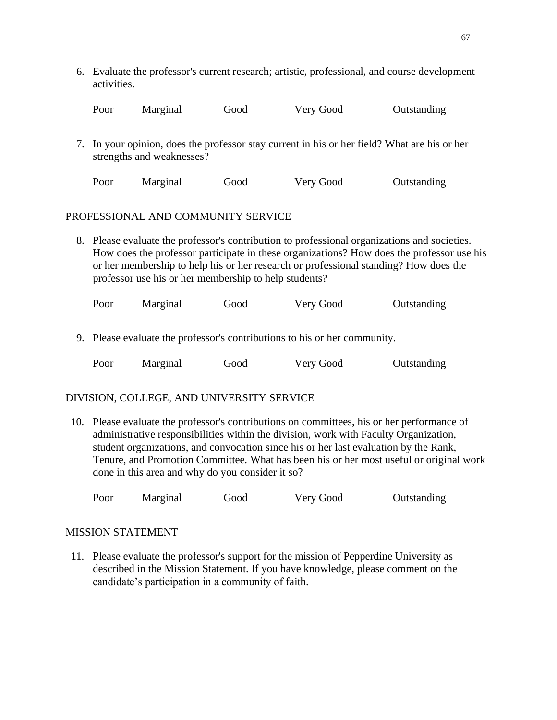6. Evaluate the professor's current research; artistic, professional, and course development activities.

| Poor | Marginal | Good | Very Good | Outstanding |
|------|----------|------|-----------|-------------|
|      |          |      |           |             |

7. In your opinion, does the professor stay current in his or her field? What are his or her strengths and weaknesses?

| Poor | Marginal | Good | Very Good | Outstanding |
|------|----------|------|-----------|-------------|
|      |          |      |           |             |

#### PROFESSIONAL AND COMMUNITY SERVICE

8. Please evaluate the professor's contribution to professional organizations and societies. How does the professor participate in these organizations? How does the professor use his or her membership to help his or her research or professional standing? How does the professor use his or her membership to help students?

Poor Marginal Good Very Good Outstanding

9. Please evaluate the professor's contributions to his or her community.

| Poor | Marginal | Good | Very Good | Outstanding |
|------|----------|------|-----------|-------------|
|      |          |      |           |             |

#### DIVISION, COLLEGE, AND UNIVERSITY SERVICE

10. Please evaluate the professor's contributions on committees, his or her performance of administrative responsibilities within the division, work with Faculty Organization, student organizations, and convocation since his or her last evaluation by the Rank, Tenure, and Promotion Committee. What has been his or her most useful or original work done in this area and why do you consider it so?

Poor Marginal Good Very Good Outstanding

#### MISSION STATEMENT

11. Please evaluate the professor's support for the mission of Pepperdine University as described in the Mission Statement. If you have knowledge, please comment on the candidate's participation in a community of faith.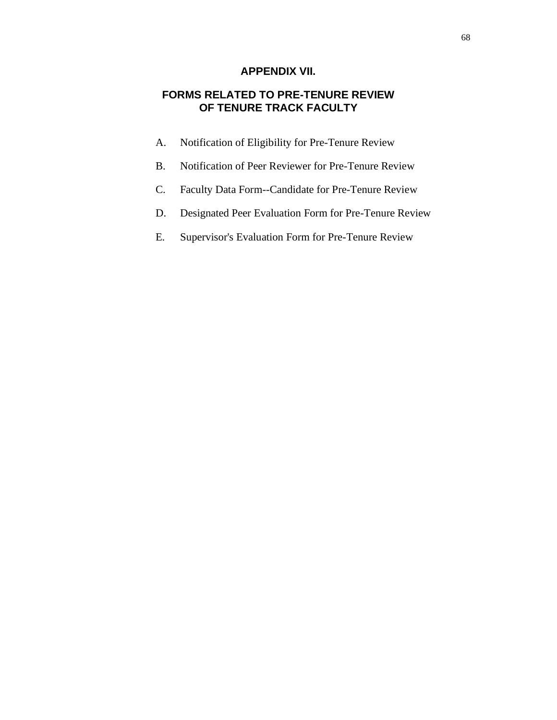## **APPENDIX VII.**

# **FORMS RELATED TO PRE-TENURE REVIEW OF TENURE TRACK FACULTY**

- A. Notification of Eligibility for Pre-Tenure Review
- B. Notification of Peer Reviewer for Pre-Tenure Review
- C. Faculty Data Form--Candidate for Pre-Tenure Review
- D. Designated Peer Evaluation Form for Pre-Tenure Review
- E. Supervisor's Evaluation Form for Pre-Tenure Review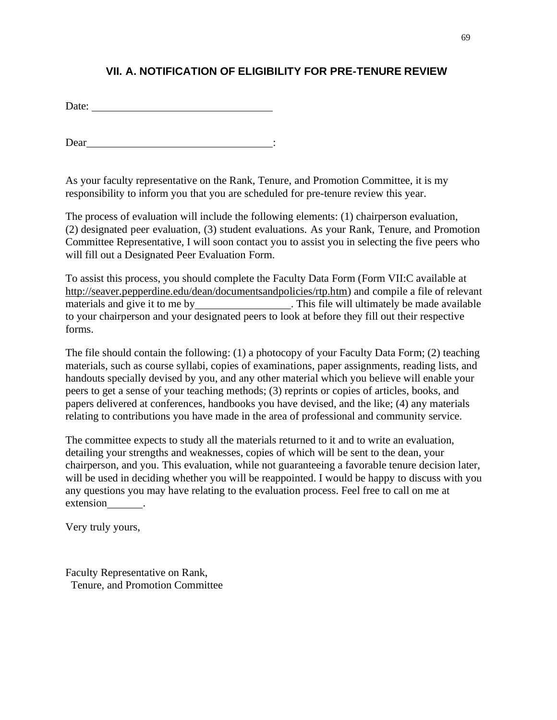# **VII. A. NOTIFICATION OF ELIGIBILITY FOR PRE-TENURE REVIEW**

Date:

Dear :

As your faculty representative on the Rank, Tenure, and Promotion Committee, it is my responsibility to inform you that you are scheduled for pre-tenure review this year.

The process of evaluation will include the following elements: (1) chairperson evaluation, (2) designated peer evaluation, (3) student evaluations. As your Rank, Tenure, and Promotion Committee Representative, I will soon contact you to assist you in selecting the five peers who will fill out a Designated Peer Evaluation Form.

To assist this process, you should complete the Faculty Data Form (Form VII:C available at [http://seaver.pepperdine.edu/dean/documentsandpolicies/rtp.htm\) a](http://seaver.pepperdine.edu/dean/documentsandpolicies/rtp.htm))nd compile a file of relevant materials and give it to me by . This file will ultimately be made available to your chairperson and your designated peers to look at before they fill out their respective forms.

The file should contain the following: (1) a photocopy of your Faculty Data Form; (2) teaching materials, such as course syllabi, copies of examinations, paper assignments, reading lists, and handouts specially devised by you, and any other material which you believe will enable your peers to get a sense of your teaching methods; (3) reprints or copies of articles, books, and papers delivered at conferences, handbooks you have devised, and the like; (4) any materials relating to contributions you have made in the area of professional and community service.

The committee expects to study all the materials returned to it and to write an evaluation, detailing your strengths and weaknesses, copies of which will be sent to the dean, your chairperson, and you. This evaluation, while not guaranteeing a favorable tenure decision later, will be used in deciding whether you will be reappointed. I would be happy to discuss with you any questions you may have relating to the evaluation process. Feel free to call on me at extension .

Very truly yours,

Faculty Representative on Rank, Tenure, and Promotion Committee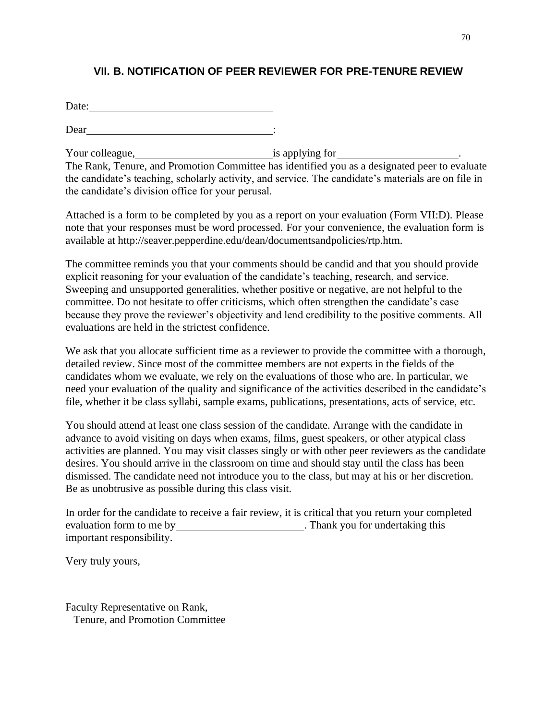# **VII. B. NOTIFICATION OF PEER REVIEWER FOR PRE-TENURE REVIEW**

Date:

Dear :

Your colleague, is applying for <u>second that</u> is applying for the second second is applying for the second second second second second second second second second second second second second second second second second sec The Rank, Tenure, and Promotion Committee has identified you as a designated peer to evaluate the candidate's teaching, scholarly activity, and service. The candidate's materials are on file in the candidate's division office for your perusal.

Attached is a form to be completed by you as a report on your evaluation (Form VII:D). Please note that your responses must be word processed. For your convenience, the evaluation form is [available at http://seaver.pepperdine.edu/dean/documentsandpolicies/rtp.htm.](http://seaver.pepperdine.edu/dean/documentsandpolicies/rtp.htm)

The committee reminds you that your comments should be candid and that you should provide explicit reasoning for your evaluation of the candidate's teaching, research, and service. Sweeping and unsupported generalities, whether positive or negative, are not helpful to the committee. Do not hesitate to offer criticisms, which often strengthen the candidate's case because they prove the reviewer's objectivity and lend credibility to the positive comments. All evaluations are held in the strictest confidence.

We ask that you allocate sufficient time as a reviewer to provide the committee with a thorough, detailed review. Since most of the committee members are not experts in the fields of the candidates whom we evaluate, we rely on the evaluations of those who are. In particular, we need your evaluation of the quality and significance of the activities described in the candidate's file, whether it be class syllabi, sample exams, publications, presentations, acts of service, etc.

You should attend at least one class session of the candidate. Arrange with the candidate in advance to avoid visiting on days when exams, films, guest speakers, or other atypical class activities are planned. You may visit classes singly or with other peer reviewers as the candidate desires. You should arrive in the classroom on time and should stay until the class has been dismissed. The candidate need not introduce you to the class, but may at his or her discretion. Be as unobtrusive as possible during this class visit.

In order for the candidate to receive a fair review, it is critical that you return your completed evaluation form to me by . Thank you for undertaking this important responsibility.

Very truly yours,

Faculty Representative on Rank, Tenure, and Promotion Committee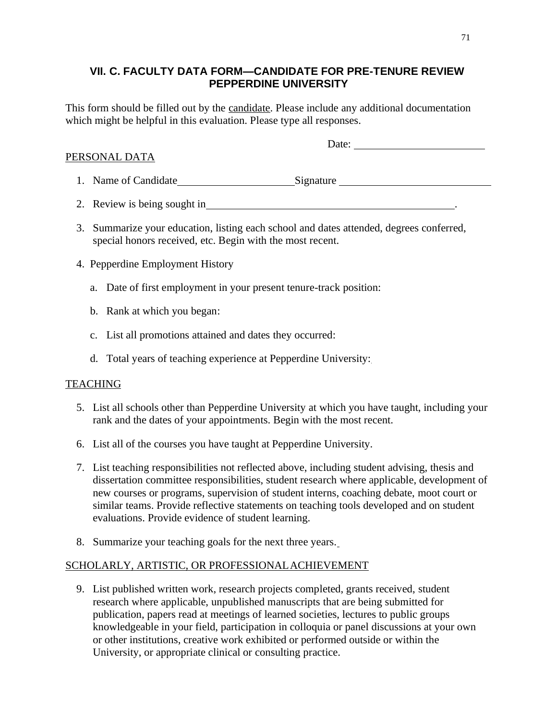# **VII. C. FACULTY DATA FORM—CANDIDATE FOR PRE-TENURE REVIEW PEPPERDINE UNIVERSITY**

This form should be filled out by the candidate. Please include any additional documentation which might be helpful in this evaluation. Please type all responses.

## PERSONAL DATA

1. Name of Candidate Signature

- 2. Review is being sought in  $\blacksquare$
- 3. Summarize your education, listing each school and dates attended, degrees conferred, special honors received, etc. Begin with the most recent.
- 4. Pepperdine Employment History
	- a. Date of first employment in your present tenure-track position:
	- b. Rank at which you began:
	- c. List all promotions attained and dates they occurred:
	- d. Total years of teaching experience at Pepperdine University:

## TEACHING

- 5. List all schools other than Pepperdine University at which you have taught, including your rank and the dates of your appointments. Begin with the most recent.
- 6. List all of the courses you have taught at Pepperdine University.
- 7. List teaching responsibilities not reflected above, including student advising, thesis and dissertation committee responsibilities, student research where applicable, development of new courses or programs, supervision of student interns, coaching debate, moot court or similar teams. Provide reflective statements on teaching tools developed and on student evaluations. Provide evidence of student learning.
- 8. Summarize your teaching goals for the next three years.

## SCHOLARLY, ARTISTIC, OR PROFESSIONALACHIEVEMENT

9. List published written work, research projects completed, grants received, student research where applicable, unpublished manuscripts that are being submitted for publication, papers read at meetings of learned societies, lectures to public groups knowledgeable in your field, participation in colloquia or panel discussions at your own or other institutions, creative work exhibited or performed outside or within the University, or appropriate clinical or consulting practice.

Date: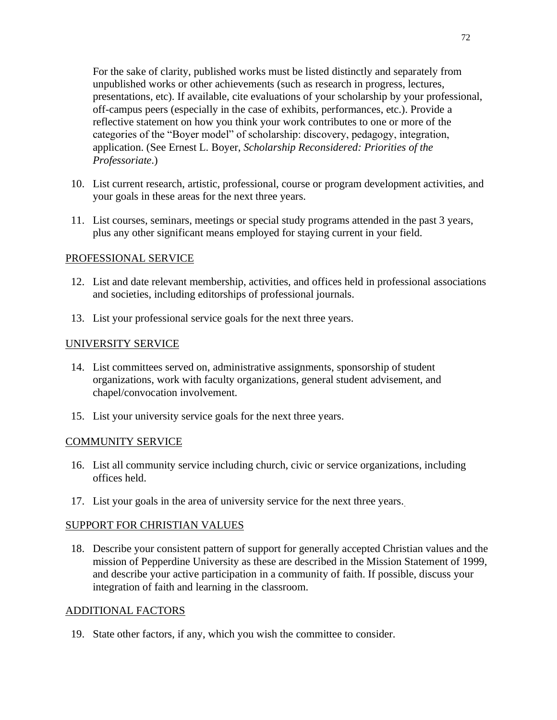For the sake of clarity, published works must be listed distinctly and separately from unpublished works or other achievements (such as research in progress, lectures, presentations, etc). If available, cite evaluations of your scholarship by your professional, off-campus peers (especially in the case of exhibits, performances, etc.). Provide a reflective statement on how you think your work contributes to one or more of the categories of the "Boyer model" of scholarship: discovery, pedagogy, integration, application. (See Ernest L. Boyer, *Scholarship Reconsidered: Priorities of the Professoriate*.)

- 10. List current research, artistic, professional, course or program development activities, and your goals in these areas for the next three years.
- 11. List courses, seminars, meetings or special study programs attended in the past 3 years, plus any other significant means employed for staying current in your field.

### PROFESSIONAL SERVICE

- 12. List and date relevant membership, activities, and offices held in professional associations and societies, including editorships of professional journals.
- 13. List your professional service goals for the next three years.

### UNIVERSITY SERVICE

- 14. List committees served on, administrative assignments, sponsorship of student organizations, work with faculty organizations, general student advisement, and chapel/convocation involvement.
- 15. List your university service goals for the next three years.

#### COMMUNITY SERVICE

- 16. List all community service including church, civic or service organizations, including offices held.
- 17. List your goals in the area of university service for the next three years.

#### SUPPORT FOR CHRISTIAN VALUES

18. Describe your consistent pattern of support for generally accepted Christian values and the mission of Pepperdine University as these are described in the Mission Statement of 1999, and describe your active participation in a community of faith. If possible, discuss your integration of faith and learning in the classroom.

#### ADDITIONAL FACTORS

19. State other factors, if any, which you wish the committee to consider.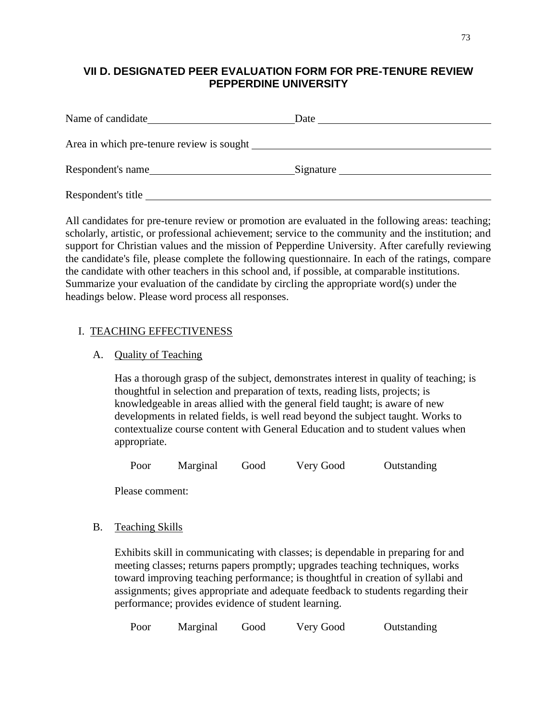# **VII D. DESIGNATED PEER EVALUATION FORM FOR PRE-TENURE REVIEW PEPPERDINE UNIVERSITY**

| Name of candidate                         | Date      |
|-------------------------------------------|-----------|
| Area in which pre-tenure review is sought |           |
| Respondent's name                         | Signature |
| Respondent's title                        |           |

All candidates for pre-tenure review or promotion are evaluated in the following areas: teaching; scholarly, artistic, or professional achievement; service to the community and the institution; and support for Christian values and the mission of Pepperdine University. After carefully reviewing the candidate's file, please complete the following questionnaire. In each of the ratings, compare the candidate with other teachers in this school and, if possible, at comparable institutions. Summarize your evaluation of the candidate by circling the appropriate word(s) under the headings below. Please word process all responses.

## I. TEACHING EFFECTIVENESS

## A. Quality of Teaching

Has a thorough grasp of the subject, demonstrates interest in quality of teaching; is thoughtful in selection and preparation of texts, reading lists, projects; is knowledgeable in areas allied with the general field taught; is aware of new developments in related fields, is well read beyond the subject taught. Works to contextualize course content with General Education and to student values when appropriate.

Poor Marginal Good Very Good Outstanding

Please comment:

## B. Teaching Skills

Exhibits skill in communicating with classes; is dependable in preparing for and meeting classes; returns papers promptly; upgrades teaching techniques, works toward improving teaching performance; is thoughtful in creation of syllabi and assignments; gives appropriate and adequate feedback to students regarding their performance; provides evidence of student learning.

| Poor<br>Marginal<br>Outstanding<br>Good<br>Very Good |  |
|------------------------------------------------------|--|
|------------------------------------------------------|--|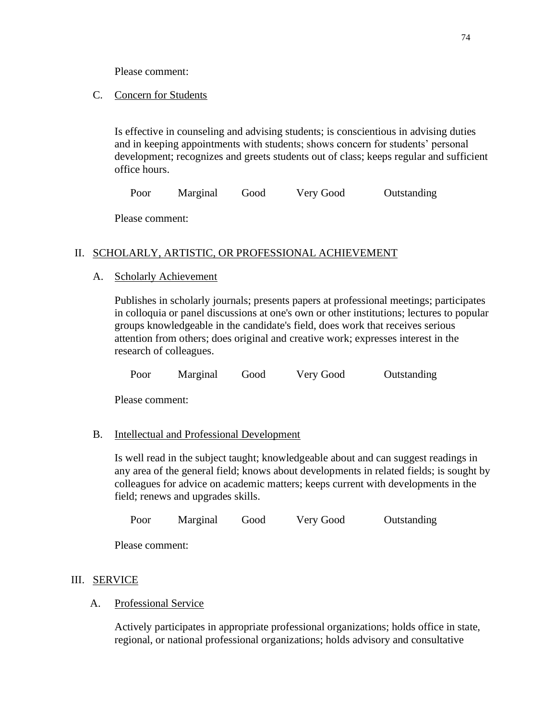Please comment:

## C. Concern for Students

Is effective in counseling and advising students; is conscientious in advising duties and in keeping appointments with students; shows concern for students' personal development; recognizes and greets students out of class; keeps regular and sufficient office hours.

Poor Marginal Good Very Good Outstanding

Please comment:

## II. SCHOLARLY, ARTISTIC, OR PROFESSIONAL ACHIEVEMENT

## A. Scholarly Achievement

Publishes in scholarly journals; presents papers at professional meetings; participates in colloquia or panel discussions at one's own or other institutions; lectures to popular groups knowledgeable in the candidate's field, does work that receives serious attention from others; does original and creative work; expresses interest in the research of colleagues.

Poor Marginal Good Very Good Outstanding

Please comment:

## B. Intellectual and Professional Development

Is well read in the subject taught; knowledgeable about and can suggest readings in any area of the general field; knows about developments in related fields; is sought by colleagues for advice on academic matters; keeps current with developments in the field; renews and upgrades skills.

Poor Marginal Good Very Good Outstanding

Please comment:

## III. SERVICE

## A. Professional Service

Actively participates in appropriate professional organizations; holds office in state, regional, or national professional organizations; holds advisory and consultative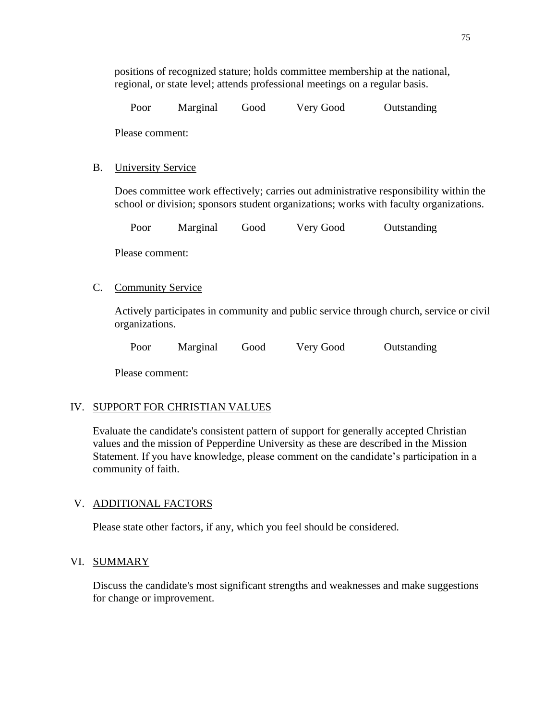| Poor | Marginal | Good | Very Good | Outstanding |
|------|----------|------|-----------|-------------|
|      |          |      |           |             |

Please comment:

### B. University Service

Does committee work effectively; carries out administrative responsibility within the school or division; sponsors student organizations; works with faculty organizations.

|  | Poor | Marginal | Good | Very Good | Outstanding |
|--|------|----------|------|-----------|-------------|
|--|------|----------|------|-----------|-------------|

Please comment:

### C. Community Service

Actively participates in community and public service through church, service or civil organizations.

Poor Marginal Good Very Good Outstanding

Please comment:

## IV. SUPPORT FOR CHRISTIAN VALUES

Evaluate the candidate's consistent pattern of support for generally accepted Christian values and the mission of Pepperdine University as these are described in the Mission Statement. If you have knowledge, please comment on the candidate's participation in a community of faith.

### V. ADDITIONAL FACTORS

Please state other factors, if any, which you feel should be considered.

### VI. SUMMARY

Discuss the candidate's most significant strengths and weaknesses and make suggestions for change or improvement.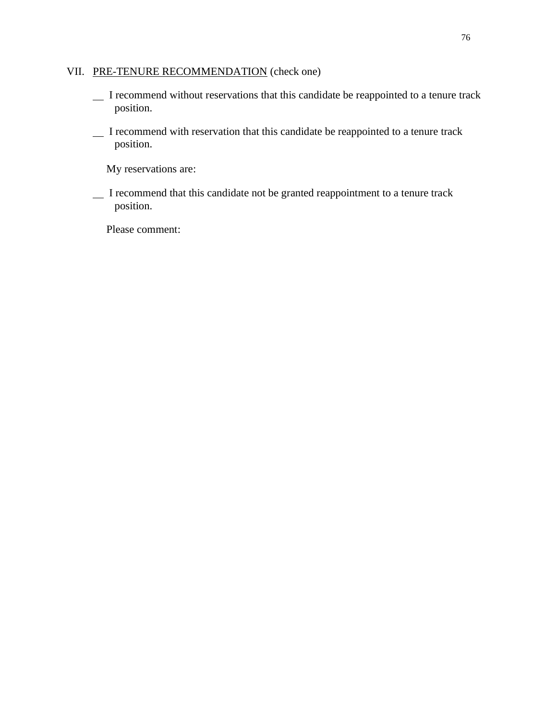## VII. PRE-TENURE RECOMMENDATION (check one)

- I recommend without reservations that this candidate be reappointed to a tenure track position.
- I recommend with reservation that this candidate be reappointed to a tenure track position.

My reservations are:

 I recommend that this candidate not be granted reappointment to a tenure track position.

Please comment: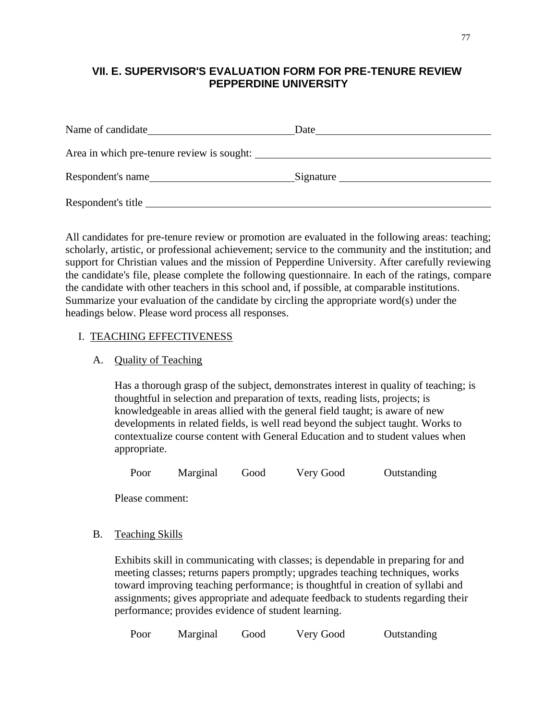# **VII. E. SUPERVISOR'S EVALUATION FORM FOR PRE-TENURE REVIEW PEPPERDINE UNIVERSITY**

| Name of candidate                          | Date      |
|--------------------------------------------|-----------|
| Area in which pre-tenure review is sought: |           |
| Respondent's name                          | Signature |
| Respondent's title                         |           |

All candidates for pre-tenure review or promotion are evaluated in the following areas: teaching; scholarly, artistic, or professional achievement; service to the community and the institution; and support for Christian values and the mission of Pepperdine University. After carefully reviewing the candidate's file, please complete the following questionnaire. In each of the ratings, compare the candidate with other teachers in this school and, if possible, at comparable institutions. Summarize your evaluation of the candidate by circling the appropriate word(s) under the headings below. Please word process all responses.

### I. TEACHING EFFECTIVENESS

## A. Quality of Teaching

Has a thorough grasp of the subject, demonstrates interest in quality of teaching; is thoughtful in selection and preparation of texts, reading lists, projects; is knowledgeable in areas allied with the general field taught; is aware of new developments in related fields, is well read beyond the subject taught. Works to contextualize course content with General Education and to student values when appropriate.

Poor Marginal Good Very Good Outstanding

Please comment:

## B. Teaching Skills

Exhibits skill in communicating with classes; is dependable in preparing for and meeting classes; returns papers promptly; upgrades teaching techniques, works toward improving teaching performance; is thoughtful in creation of syllabi and assignments; gives appropriate and adequate feedback to students regarding their performance; provides evidence of student learning.

| Poor | Marginal | Good | Very Good | Outstanding |
|------|----------|------|-----------|-------------|
|      |          |      |           |             |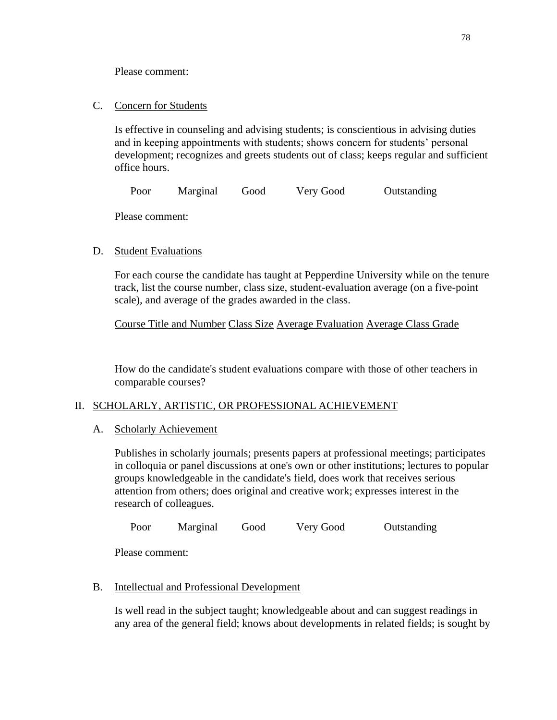Please comment:

C. Concern for Students

Is effective in counseling and advising students; is conscientious in advising duties and in keeping appointments with students; shows concern for students' personal development; recognizes and greets students out of class; keeps regular and sufficient office hours.

Poor Marginal Good Very Good Outstanding

Please comment:

## D. Student Evaluations

For each course the candidate has taught at Pepperdine University while on the tenure track, list the course number, class size, student-evaluation average (on a five-point scale), and average of the grades awarded in the class.

Course Title and Number Class Size Average Evaluation Average Class Grade

How do the candidate's student evaluations compare with those of other teachers in comparable courses?

## II. SCHOLARLY, ARTISTIC, OR PROFESSIONAL ACHIEVEMENT

### A. Scholarly Achievement

Publishes in scholarly journals; presents papers at professional meetings; participates in colloquia or panel discussions at one's own or other institutions; lectures to popular groups knowledgeable in the candidate's field, does work that receives serious attention from others; does original and creative work; expresses interest in the research of colleagues.

Poor Marginal Good Very Good Outstanding

Please comment:

## B. Intellectual and Professional Development

Is well read in the subject taught; knowledgeable about and can suggest readings in any area of the general field; knows about developments in related fields; is sought by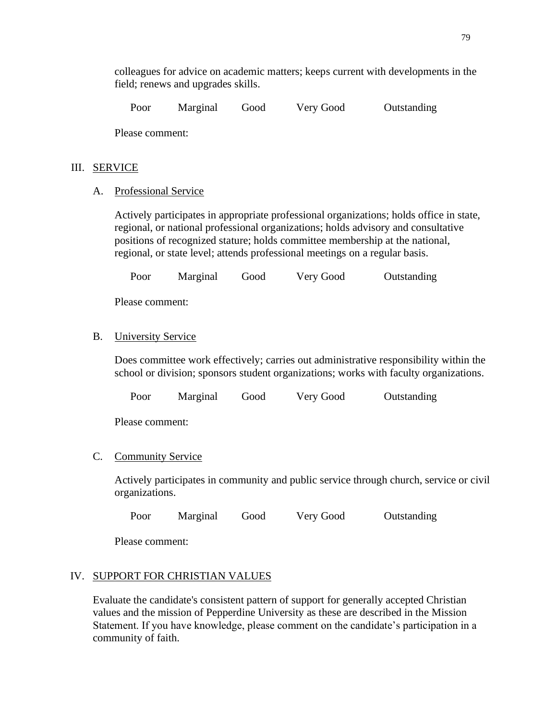colleagues for advice on academic matters; keeps current with developments in the field; renews and upgrades skills.

Poor Marginal Good Very Good Outstanding

Please comment:

### III. SERVICE

A. Professional Service

Actively participates in appropriate professional organizations; holds office in state, regional, or national professional organizations; holds advisory and consultative positions of recognized stature; holds committee membership at the national, regional, or state level; attends professional meetings on a regular basis.

Poor Marginal Good Very Good Outstanding

Please comment:

## B. University Service

Does committee work effectively; carries out administrative responsibility within the school or division; sponsors student organizations; works with faculty organizations.

Poor Marginal Good Very Good Outstanding

Please comment:

### C. Community Service

Actively participates in community and public service through church, service or civil organizations.

Poor Marginal Good Very Good Outstanding

Please comment:

### IV. SUPPORT FOR CHRISTIAN VALUES

Evaluate the candidate's consistent pattern of support for generally accepted Christian values and the mission of Pepperdine University as these are described in the Mission Statement. If you have knowledge, please comment on the candidate's participation in a community of faith.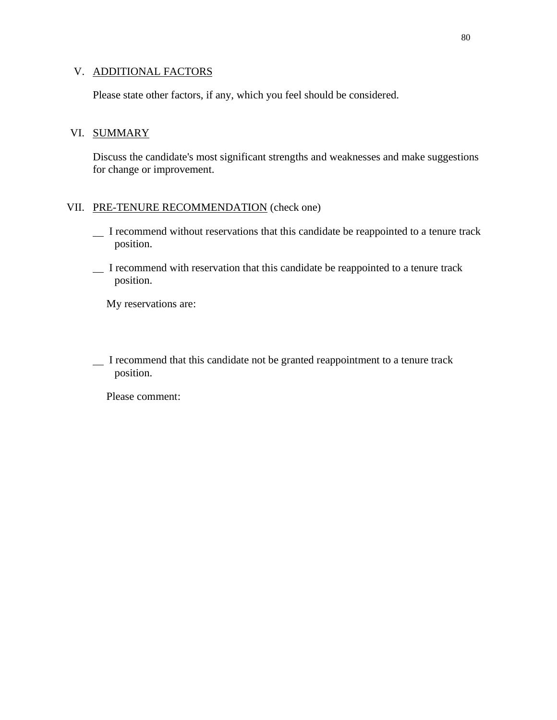## V. ADDITIONAL FACTORS

Please state other factors, if any, which you feel should be considered.

### VI. SUMMARY

Discuss the candidate's most significant strengths and weaknesses and make suggestions for change or improvement.

### VII. PRE-TENURE RECOMMENDATION (check one)

- I recommend without reservations that this candidate be reappointed to a tenure track position.
- I recommend with reservation that this candidate be reappointed to a tenure track position.

My reservations are:

 I recommend that this candidate not be granted reappointment to a tenure track position.

Please comment: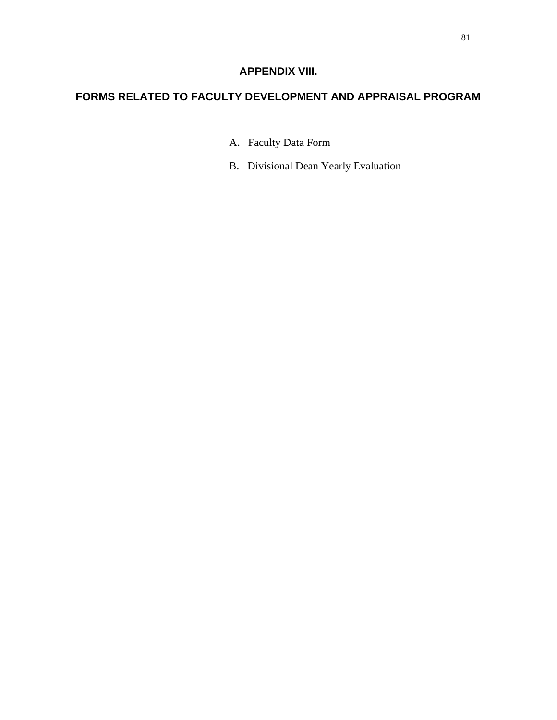# **APPENDIX VIII.**

# **FORMS RELATED TO FACULTY DEVELOPMENT AND APPRAISAL PROGRAM**

- A. Faculty Data Form
- B. Divisional Dean Yearly Evaluation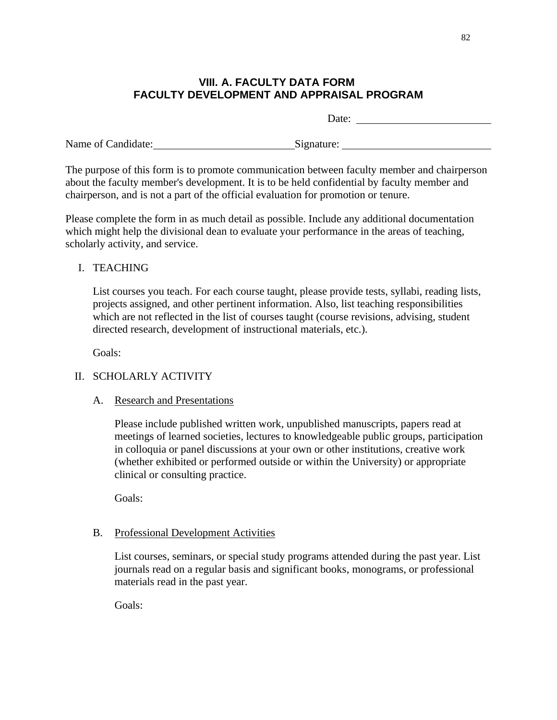## **VIII. A. FACULTY DATA FORM FACULTY DEVELOPMENT AND APPRAISAL PROGRAM**

Date:

Name of Candidate: Signature: Signature: Signature:

The purpose of this form is to promote communication between faculty member and chairperson about the faculty member's development. It is to be held confidential by faculty member and chairperson, and is not a part of the official evaluation for promotion or tenure.

Please complete the form in as much detail as possible. Include any additional documentation which might help the divisional dean to evaluate your performance in the areas of teaching, scholarly activity, and service.

## I. TEACHING

List courses you teach. For each course taught, please provide tests, syllabi, reading lists, projects assigned, and other pertinent information. Also, list teaching responsibilities which are not reflected in the list of courses taught (course revisions, advising, student directed research, development of instructional materials, etc.).

Goals:

# II. SCHOLARLY ACTIVITY

## A. Research and Presentations

Please include published written work, unpublished manuscripts, papers read at meetings of learned societies, lectures to knowledgeable public groups, participation in colloquia or panel discussions at your own or other institutions, creative work (whether exhibited or performed outside or within the University) or appropriate clinical or consulting practice.

Goals:

## B. Professional Development Activities

List courses, seminars, or special study programs attended during the past year. List journals read on a regular basis and significant books, monograms, or professional materials read in the past year.

Goals: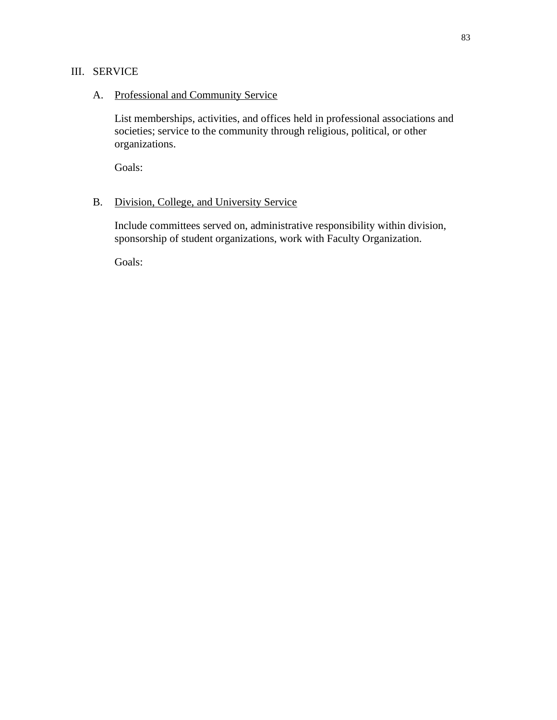## III. SERVICE

### A. Professional and Community Service

List memberships, activities, and offices held in professional associations and societies; service to the community through religious, political, or other organizations.

Goals:

## B. Division, College, and University Service

Include committees served on, administrative responsibility within division, sponsorship of student organizations, work with Faculty Organization.

Goals: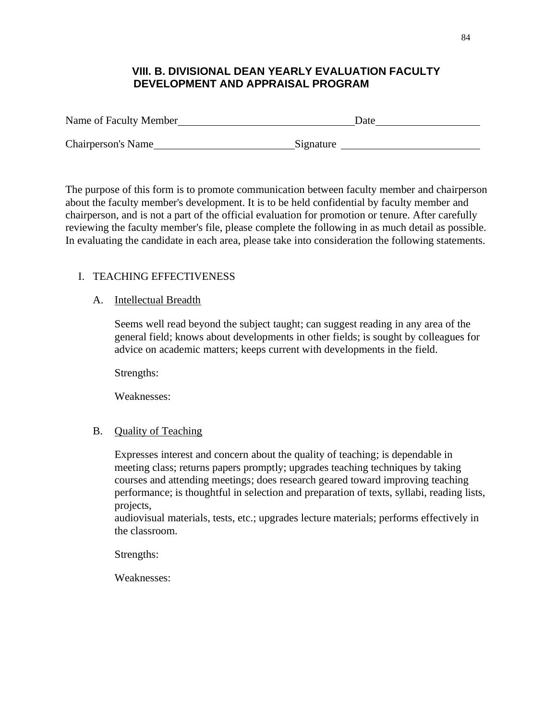# **VIII. B. DIVISIONAL DEAN YEARLY EVALUATION FACULTY DEVELOPMENT AND APPRAISAL PROGRAM**

| Name of Faculty Member    | Date      |
|---------------------------|-----------|
| <b>Chairperson's Name</b> | Signature |

The purpose of this form is to promote communication between faculty member and chairperson about the faculty member's development. It is to be held confidential by faculty member and chairperson, and is not a part of the official evaluation for promotion or tenure. After carefully reviewing the faculty member's file, please complete the following in as much detail as possible. In evaluating the candidate in each area, please take into consideration the following statements.

## I. TEACHING EFFECTIVENESS

## A. Intellectual Breadth

Seems well read beyond the subject taught; can suggest reading in any area of the general field; knows about developments in other fields; is sought by colleagues for advice on academic matters; keeps current with developments in the field.

Strengths:

Weaknesses:

## B. Quality of Teaching

Expresses interest and concern about the quality of teaching; is dependable in meeting class; returns papers promptly; upgrades teaching techniques by taking courses and attending meetings; does research geared toward improving teaching performance; is thoughtful in selection and preparation of texts, syllabi, reading lists, projects,

audiovisual materials, tests, etc.; upgrades lecture materials; performs effectively in the classroom.

Strengths:

Weaknesses: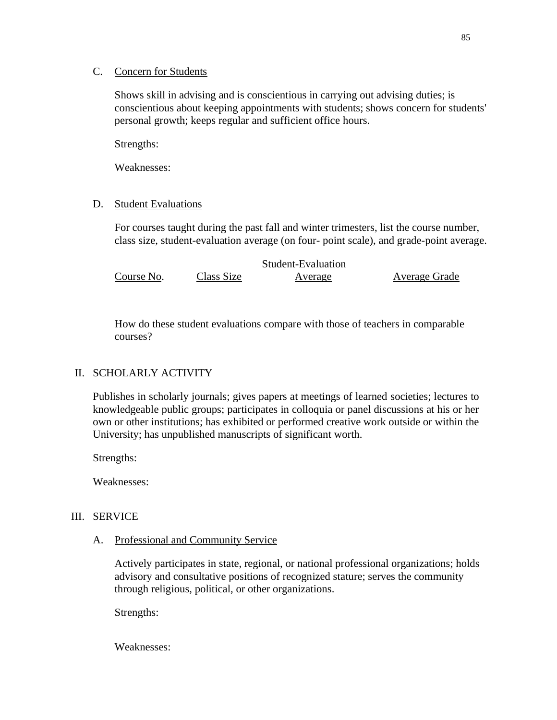### C. Concern for Students

Shows skill in advising and is conscientious in carrying out advising duties; is conscientious about keeping appointments with students; shows concern for students' personal growth; keeps regular and sufficient office hours.

Strengths:

Weaknesses:

## D. Student Evaluations

For courses taught during the past fall and winter trimesters, list the course number, class size, student-evaluation average (on four- point scale), and grade-point average.

|            |            | Student-Evaluation |               |
|------------|------------|--------------------|---------------|
| Course No. | Class Size | Average            | Average Grade |

How do these student evaluations compare with those of teachers in comparable courses?

## II. SCHOLARLY ACTIVITY

Publishes in scholarly journals; gives papers at meetings of learned societies; lectures to knowledgeable public groups; participates in colloquia or panel discussions at his or her own or other institutions; has exhibited or performed creative work outside or within the University; has unpublished manuscripts of significant worth.

Strengths:

Weaknesses:

## III. SERVICE

A. Professional and Community Service

Actively participates in state, regional, or national professional organizations; holds advisory and consultative positions of recognized stature; serves the community through religious, political, or other organizations.

Strengths:

Weaknesses: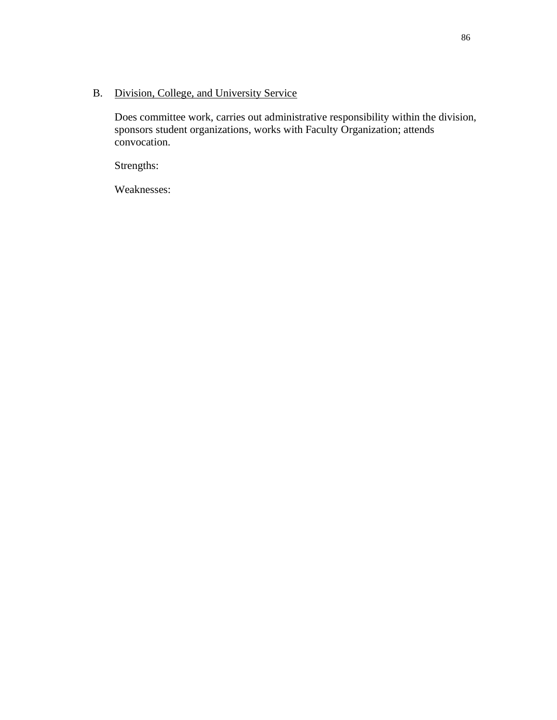# B. Division, College, and University Service

Does committee work, carries out administrative responsibility within the division, sponsors student organizations, works with Faculty Organization; attends convocation.

Strengths:

Weaknesses: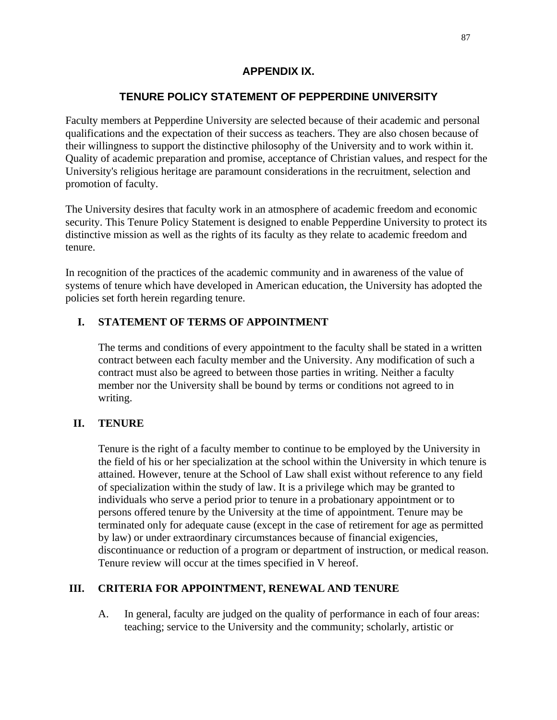## **APPENDIX IX.**

# **TENURE POLICY STATEMENT OF PEPPERDINE UNIVERSITY**

Faculty members at Pepperdine University are selected because of their academic and personal qualifications and the expectation of their success as teachers. They are also chosen because of their willingness to support the distinctive philosophy of the University and to work within it. Quality of academic preparation and promise, acceptance of Christian values, and respect for the University's religious heritage are paramount considerations in the recruitment, selection and promotion of faculty.

The University desires that faculty work in an atmosphere of academic freedom and economic security. This Tenure Policy Statement is designed to enable Pepperdine University to protect its distinctive mission as well as the rights of its faculty as they relate to academic freedom and tenure.

In recognition of the practices of the academic community and in awareness of the value of systems of tenure which have developed in American education, the University has adopted the policies set forth herein regarding tenure.

## **I. STATEMENT OF TERMS OF APPOINTMENT**

The terms and conditions of every appointment to the faculty shall be stated in a written contract between each faculty member and the University. Any modification of such a contract must also be agreed to between those parties in writing. Neither a faculty member nor the University shall be bound by terms or conditions not agreed to in writing.

### **II. TENURE**

Tenure is the right of a faculty member to continue to be employed by the University in the field of his or her specialization at the school within the University in which tenure is attained. However, tenure at the School of Law shall exist without reference to any field of specialization within the study of law. It is a privilege which may be granted to individuals who serve a period prior to tenure in a probationary appointment or to persons offered tenure by the University at the time of appointment. Tenure may be terminated only for adequate cause (except in the case of retirement for age as permitted by law) or under extraordinary circumstances because of financial exigencies, discontinuance or reduction of a program or department of instruction, or medical reason. Tenure review will occur at the times specified in V hereof.

### **III. CRITERIA FOR APPOINTMENT, RENEWAL AND TENURE**

A. In general, faculty are judged on the quality of performance in each of four areas: teaching; service to the University and the community; scholarly, artistic or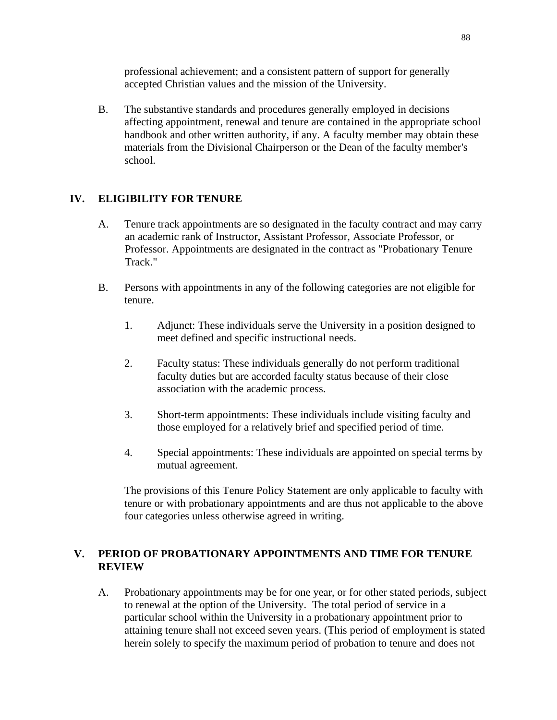professional achievement; and a consistent pattern of support for generally accepted Christian values and the mission of the University.

B. The substantive standards and procedures generally employed in decisions affecting appointment, renewal and tenure are contained in the appropriate school handbook and other written authority, if any. A faculty member may obtain these materials from the Divisional Chairperson or the Dean of the faculty member's school.

## **IV. ELIGIBILITY FOR TENURE**

- A. Tenure track appointments are so designated in the faculty contract and may carry an academic rank of Instructor, Assistant Professor, Associate Professor, or Professor. Appointments are designated in the contract as "Probationary Tenure Track."
- B. Persons with appointments in any of the following categories are not eligible for tenure.
	- 1. Adjunct: These individuals serve the University in a position designed to meet defined and specific instructional needs.
	- 2. Faculty status: These individuals generally do not perform traditional faculty duties but are accorded faculty status because of their close association with the academic process.
	- 3. Short-term appointments: These individuals include visiting faculty and those employed for a relatively brief and specified period of time.
	- 4. Special appointments: These individuals are appointed on special terms by mutual agreement.

The provisions of this Tenure Policy Statement are only applicable to faculty with tenure or with probationary appointments and are thus not applicable to the above four categories unless otherwise agreed in writing.

## **V. PERIOD OF PROBATIONARY APPOINTMENTS AND TIME FOR TENURE REVIEW**

A. Probationary appointments may be for one year, or for other stated periods, subject to renewal at the option of the University. The total period of service in a particular school within the University in a probationary appointment prior to attaining tenure shall not exceed seven years. (This period of employment is stated herein solely to specify the maximum period of probation to tenure and does not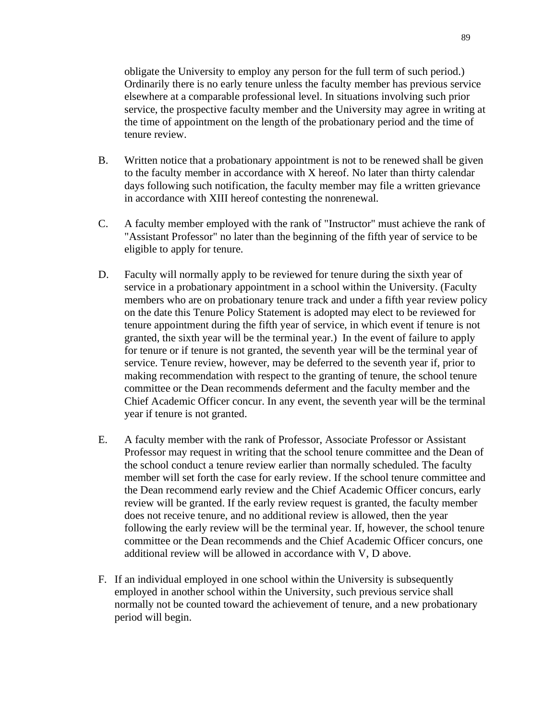obligate the University to employ any person for the full term of such period.) Ordinarily there is no early tenure unless the faculty member has previous service elsewhere at a comparable professional level. In situations involving such prior service, the prospective faculty member and the University may agree in writing at the time of appointment on the length of the probationary period and the time of tenure review.

- B. Written notice that a probationary appointment is not to be renewed shall be given to the faculty member in accordance with X hereof. No later than thirty calendar days following such notification, the faculty member may file a written grievance in accordance with XIII hereof contesting the nonrenewal.
- C. A faculty member employed with the rank of "Instructor" must achieve the rank of "Assistant Professor" no later than the beginning of the fifth year of service to be eligible to apply for tenure.
- D. Faculty will normally apply to be reviewed for tenure during the sixth year of service in a probationary appointment in a school within the University. (Faculty members who are on probationary tenure track and under a fifth year review policy on the date this Tenure Policy Statement is adopted may elect to be reviewed for tenure appointment during the fifth year of service, in which event if tenure is not granted, the sixth year will be the terminal year.) In the event of failure to apply for tenure or if tenure is not granted, the seventh year will be the terminal year of service. Tenure review, however, may be deferred to the seventh year if, prior to making recommendation with respect to the granting of tenure, the school tenure committee or the Dean recommends deferment and the faculty member and the Chief Academic Officer concur. In any event, the seventh year will be the terminal year if tenure is not granted.
- E. A faculty member with the rank of Professor, Associate Professor or Assistant Professor may request in writing that the school tenure committee and the Dean of the school conduct a tenure review earlier than normally scheduled. The faculty member will set forth the case for early review. If the school tenure committee and the Dean recommend early review and the Chief Academic Officer concurs, early review will be granted. If the early review request is granted, the faculty member does not receive tenure, and no additional review is allowed, then the year following the early review will be the terminal year. If, however, the school tenure committee or the Dean recommends and the Chief Academic Officer concurs, one additional review will be allowed in accordance with V, D above.
- F. If an individual employed in one school within the University is subsequently employed in another school within the University, such previous service shall normally not be counted toward the achievement of tenure, and a new probationary period will begin.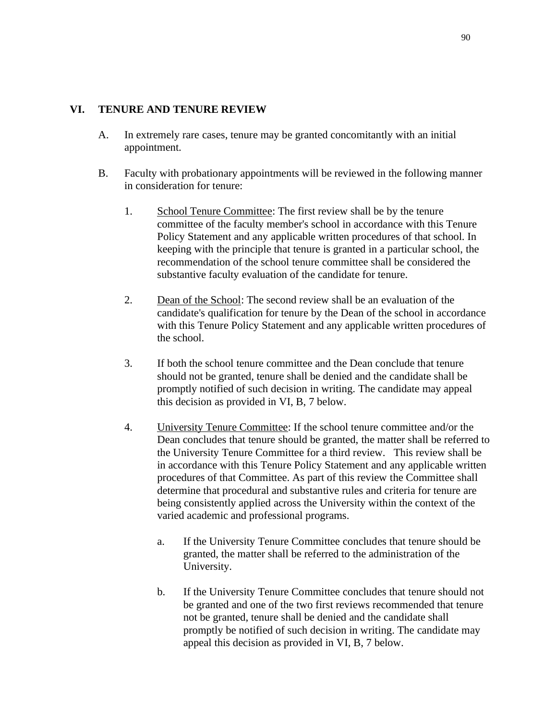### **VI. TENURE AND TENURE REVIEW**

- A. In extremely rare cases, tenure may be granted concomitantly with an initial appointment.
- B. Faculty with probationary appointments will be reviewed in the following manner in consideration for tenure:
	- 1. School Tenure Committee: The first review shall be by the tenure committee of the faculty member's school in accordance with this Tenure Policy Statement and any applicable written procedures of that school. In keeping with the principle that tenure is granted in a particular school, the recommendation of the school tenure committee shall be considered the substantive faculty evaluation of the candidate for tenure.
	- 2. Dean of the School: The second review shall be an evaluation of the candidate's qualification for tenure by the Dean of the school in accordance with this Tenure Policy Statement and any applicable written procedures of the school.
	- 3. If both the school tenure committee and the Dean conclude that tenure should not be granted, tenure shall be denied and the candidate shall be promptly notified of such decision in writing. The candidate may appeal this decision as provided in VI, B, 7 below.
	- 4. University Tenure Committee: If the school tenure committee and/or the Dean concludes that tenure should be granted, the matter shall be referred to the University Tenure Committee for a third review. This review shall be in accordance with this Tenure Policy Statement and any applicable written procedures of that Committee. As part of this review the Committee shall determine that procedural and substantive rules and criteria for tenure are being consistently applied across the University within the context of the varied academic and professional programs.
		- a. If the University Tenure Committee concludes that tenure should be granted, the matter shall be referred to the administration of the University.
		- b. If the University Tenure Committee concludes that tenure should not be granted and one of the two first reviews recommended that tenure not be granted, tenure shall be denied and the candidate shall promptly be notified of such decision in writing. The candidate may appeal this decision as provided in VI, B, 7 below.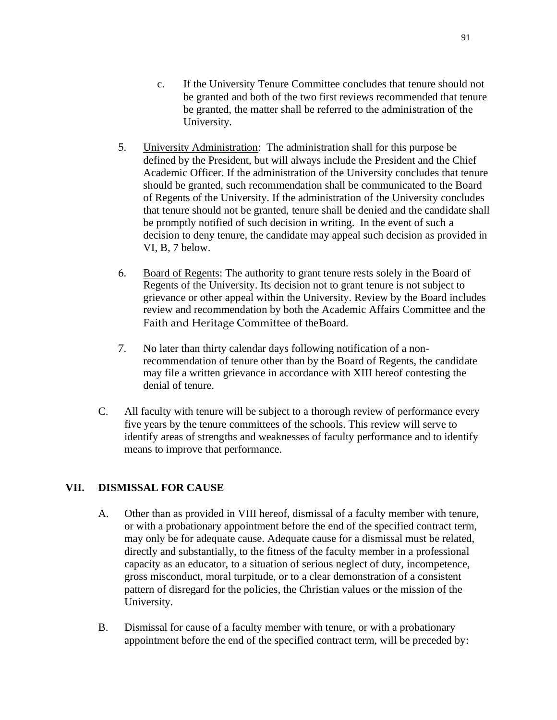- c. If the University Tenure Committee concludes that tenure should not be granted and both of the two first reviews recommended that tenure be granted, the matter shall be referred to the administration of the University.
- 5. University Administration: The administration shall for this purpose be defined by the President, but will always include the President and the Chief Academic Officer. If the administration of the University concludes that tenure should be granted, such recommendation shall be communicated to the Board of Regents of the University. If the administration of the University concludes that tenure should not be granted, tenure shall be denied and the candidate shall be promptly notified of such decision in writing. In the event of such a decision to deny tenure, the candidate may appeal such decision as provided in VI, B, 7 below.
- 6. Board of Regents: The authority to grant tenure rests solely in the Board of Regents of the University. Its decision not to grant tenure is not subject to grievance or other appeal within the University. Review by the Board includes review and recommendation by both the Academic Affairs Committee and the Faith and Heritage Committee of theBoard.
- 7. No later than thirty calendar days following notification of a nonrecommendation of tenure other than by the Board of Regents, the candidate may file a written grievance in accordance with XIII hereof contesting the denial of tenure.
- C. All faculty with tenure will be subject to a thorough review of performance every five years by the tenure committees of the schools. This review will serve to identify areas of strengths and weaknesses of faculty performance and to identify means to improve that performance.

### **VII. DISMISSAL FOR CAUSE**

- A. Other than as provided in VIII hereof, dismissal of a faculty member with tenure, or with a probationary appointment before the end of the specified contract term, may only be for adequate cause. Adequate cause for a dismissal must be related, directly and substantially, to the fitness of the faculty member in a professional capacity as an educator, to a situation of serious neglect of duty, incompetence, gross misconduct, moral turpitude, or to a clear demonstration of a consistent pattern of disregard for the policies, the Christian values or the mission of the University.
- B. Dismissal for cause of a faculty member with tenure, or with a probationary appointment before the end of the specified contract term, will be preceded by: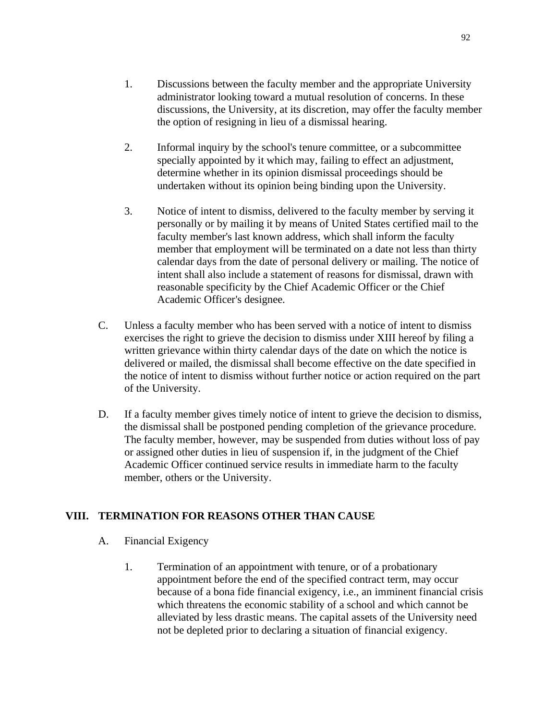- 1. Discussions between the faculty member and the appropriate University administrator looking toward a mutual resolution of concerns. In these discussions, the University, at its discretion, may offer the faculty member the option of resigning in lieu of a dismissal hearing.
- 2. Informal inquiry by the school's tenure committee, or a subcommittee specially appointed by it which may, failing to effect an adjustment, determine whether in its opinion dismissal proceedings should be undertaken without its opinion being binding upon the University.
- 3. Notice of intent to dismiss, delivered to the faculty member by serving it personally or by mailing it by means of United States certified mail to the faculty member's last known address, which shall inform the faculty member that employment will be terminated on a date not less than thirty calendar days from the date of personal delivery or mailing. The notice of intent shall also include a statement of reasons for dismissal, drawn with reasonable specificity by the Chief Academic Officer or the Chief Academic Officer's designee.
- C. Unless a faculty member who has been served with a notice of intent to dismiss exercises the right to grieve the decision to dismiss under XIII hereof by filing a written grievance within thirty calendar days of the date on which the notice is delivered or mailed, the dismissal shall become effective on the date specified in the notice of intent to dismiss without further notice or action required on the part of the University.
- D. If a faculty member gives timely notice of intent to grieve the decision to dismiss, the dismissal shall be postponed pending completion of the grievance procedure. The faculty member, however, may be suspended from duties without loss of pay or assigned other duties in lieu of suspension if, in the judgment of the Chief Academic Officer continued service results in immediate harm to the faculty member, others or the University.

### **VIII. TERMINATION FOR REASONS OTHER THAN CAUSE**

- A. Financial Exigency
	- 1. Termination of an appointment with tenure, or of a probationary appointment before the end of the specified contract term, may occur because of a bona fide financial exigency, i.e., an imminent financial crisis which threatens the economic stability of a school and which cannot be alleviated by less drastic means. The capital assets of the University need not be depleted prior to declaring a situation of financial exigency.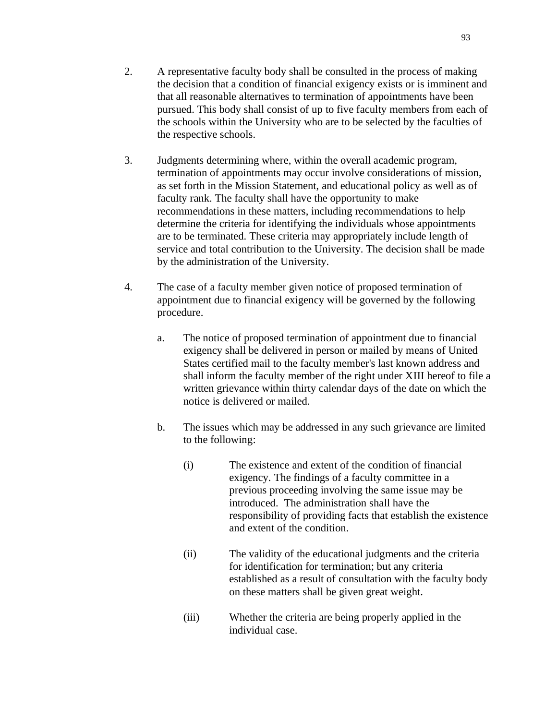- 2. A representative faculty body shall be consulted in the process of making the decision that a condition of financial exigency exists or is imminent and that all reasonable alternatives to termination of appointments have been pursued. This body shall consist of up to five faculty members from each of the schools within the University who are to be selected by the faculties of the respective schools.
- 3. Judgments determining where, within the overall academic program, termination of appointments may occur involve considerations of mission, as set forth in the Mission Statement, and educational policy as well as of faculty rank. The faculty shall have the opportunity to make recommendations in these matters, including recommendations to help determine the criteria for identifying the individuals whose appointments are to be terminated. These criteria may appropriately include length of service and total contribution to the University. The decision shall be made by the administration of the University.
- 4. The case of a faculty member given notice of proposed termination of appointment due to financial exigency will be governed by the following procedure.
	- a. The notice of proposed termination of appointment due to financial exigency shall be delivered in person or mailed by means of United States certified mail to the faculty member's last known address and shall inform the faculty member of the right under XIII hereof to file a written grievance within thirty calendar days of the date on which the notice is delivered or mailed.
	- b. The issues which may be addressed in any such grievance are limited to the following:
		- (i) The existence and extent of the condition of financial exigency. The findings of a faculty committee in a previous proceeding involving the same issue may be introduced. The administration shall have the responsibility of providing facts that establish the existence and extent of the condition.
		- (ii) The validity of the educational judgments and the criteria for identification for termination; but any criteria established as a result of consultation with the faculty body on these matters shall be given great weight.
		- (iii) Whether the criteria are being properly applied in the individual case.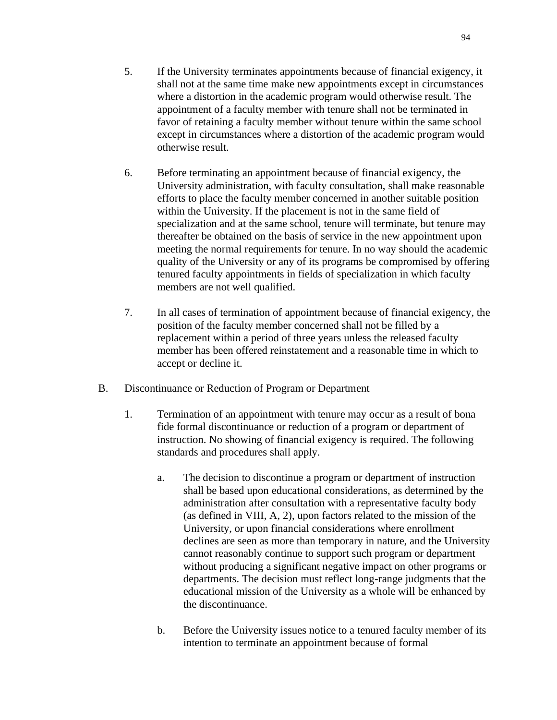- 5. If the University terminates appointments because of financial exigency, it shall not at the same time make new appointments except in circumstances where a distortion in the academic program would otherwise result. The appointment of a faculty member with tenure shall not be terminated in favor of retaining a faculty member without tenure within the same school except in circumstances where a distortion of the academic program would otherwise result.
- 6. Before terminating an appointment because of financial exigency, the University administration, with faculty consultation, shall make reasonable efforts to place the faculty member concerned in another suitable position within the University. If the placement is not in the same field of specialization and at the same school, tenure will terminate, but tenure may thereafter be obtained on the basis of service in the new appointment upon meeting the normal requirements for tenure. In no way should the academic quality of the University or any of its programs be compromised by offering tenured faculty appointments in fields of specialization in which faculty members are not well qualified.
- 7. In all cases of termination of appointment because of financial exigency, the position of the faculty member concerned shall not be filled by a replacement within a period of three years unless the released faculty member has been offered reinstatement and a reasonable time in which to accept or decline it.
- B. Discontinuance or Reduction of Program or Department
	- 1. Termination of an appointment with tenure may occur as a result of bona fide formal discontinuance or reduction of a program or department of instruction. No showing of financial exigency is required. The following standards and procedures shall apply.
		- a. The decision to discontinue a program or department of instruction shall be based upon educational considerations, as determined by the administration after consultation with a representative faculty body (as defined in VIII, A, 2), upon factors related to the mission of the University, or upon financial considerations where enrollment declines are seen as more than temporary in nature, and the University cannot reasonably continue to support such program or department without producing a significant negative impact on other programs or departments. The decision must reflect long-range judgments that the educational mission of the University as a whole will be enhanced by the discontinuance.
		- b. Before the University issues notice to a tenured faculty member of its intention to terminate an appointment because of formal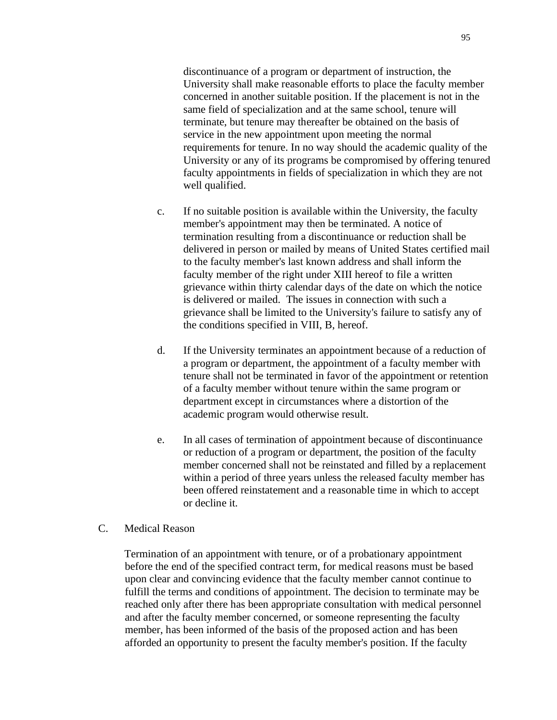discontinuance of a program or department of instruction, the University shall make reasonable efforts to place the faculty member concerned in another suitable position. If the placement is not in the same field of specialization and at the same school, tenure will terminate, but tenure may thereafter be obtained on the basis of service in the new appointment upon meeting the normal requirements for tenure. In no way should the academic quality of the University or any of its programs be compromised by offering tenured faculty appointments in fields of specialization in which they are not well qualified.

- c. If no suitable position is available within the University, the faculty member's appointment may then be terminated. A notice of termination resulting from a discontinuance or reduction shall be delivered in person or mailed by means of United States certified mail to the faculty member's last known address and shall inform the faculty member of the right under XIII hereof to file a written grievance within thirty calendar days of the date on which the notice is delivered or mailed. The issues in connection with such a grievance shall be limited to the University's failure to satisfy any of the conditions specified in VIII, B, hereof.
- d. If the University terminates an appointment because of a reduction of a program or department, the appointment of a faculty member with tenure shall not be terminated in favor of the appointment or retention of a faculty member without tenure within the same program or department except in circumstances where a distortion of the academic program would otherwise result.
- e. In all cases of termination of appointment because of discontinuance or reduction of a program or department, the position of the faculty member concerned shall not be reinstated and filled by a replacement within a period of three years unless the released faculty member has been offered reinstatement and a reasonable time in which to accept or decline it.
- C. Medical Reason

Termination of an appointment with tenure, or of a probationary appointment before the end of the specified contract term, for medical reasons must be based upon clear and convincing evidence that the faculty member cannot continue to fulfill the terms and conditions of appointment. The decision to terminate may be reached only after there has been appropriate consultation with medical personnel and after the faculty member concerned, or someone representing the faculty member, has been informed of the basis of the proposed action and has been afforded an opportunity to present the faculty member's position. If the faculty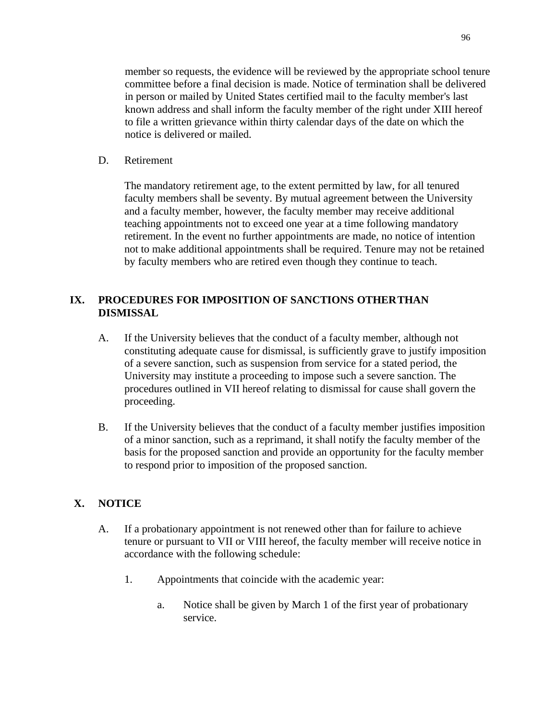member so requests, the evidence will be reviewed by the appropriate school tenure committee before a final decision is made. Notice of termination shall be delivered in person or mailed by United States certified mail to the faculty member's last known address and shall inform the faculty member of the right under XIII hereof to file a written grievance within thirty calendar days of the date on which the notice is delivered or mailed.

D. Retirement

The mandatory retirement age, to the extent permitted by law, for all tenured faculty members shall be seventy. By mutual agreement between the University and a faculty member, however, the faculty member may receive additional teaching appointments not to exceed one year at a time following mandatory retirement. In the event no further appointments are made, no notice of intention not to make additional appointments shall be required. Tenure may not be retained by faculty members who are retired even though they continue to teach.

## **IX. PROCEDURES FOR IMPOSITION OF SANCTIONS OTHERTHAN DISMISSAL**

- A. If the University believes that the conduct of a faculty member, although not constituting adequate cause for dismissal, is sufficiently grave to justify imposition of a severe sanction, such as suspension from service for a stated period, the University may institute a proceeding to impose such a severe sanction. The procedures outlined in VII hereof relating to dismissal for cause shall govern the proceeding.
- B. If the University believes that the conduct of a faculty member justifies imposition of a minor sanction, such as a reprimand, it shall notify the faculty member of the basis for the proposed sanction and provide an opportunity for the faculty member to respond prior to imposition of the proposed sanction.

#### **X. NOTICE**

- A. If a probationary appointment is not renewed other than for failure to achieve tenure or pursuant to VII or VIII hereof, the faculty member will receive notice in accordance with the following schedule:
	- 1. Appointments that coincide with the academic year:
		- a. Notice shall be given by March 1 of the first year of probationary service.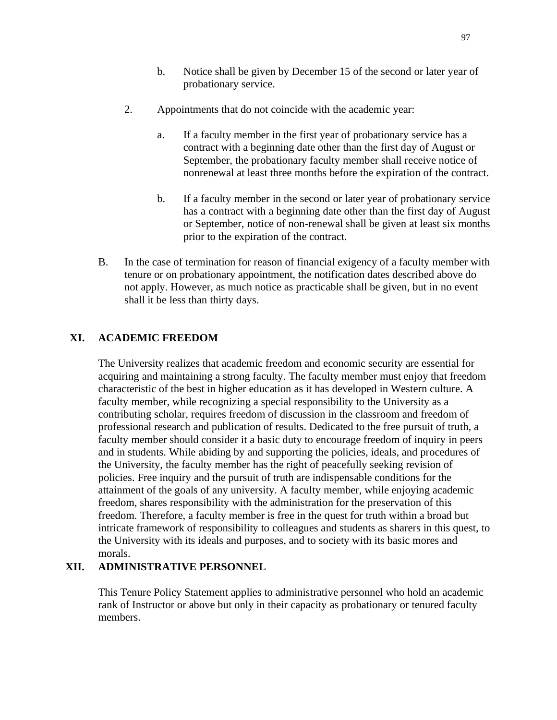- b. Notice shall be given by December 15 of the second or later year of probationary service.
- 2. Appointments that do not coincide with the academic year:
	- a. If a faculty member in the first year of probationary service has a contract with a beginning date other than the first day of August or September, the probationary faculty member shall receive notice of nonrenewal at least three months before the expiration of the contract.
	- b. If a faculty member in the second or later year of probationary service has a contract with a beginning date other than the first day of August or September, notice of non-renewal shall be given at least six months prior to the expiration of the contract.
- B. In the case of termination for reason of financial exigency of a faculty member with tenure or on probationary appointment, the notification dates described above do not apply. However, as much notice as practicable shall be given, but in no event shall it be less than thirty days.

### **XI. ACADEMIC FREEDOM**

The University realizes that academic freedom and economic security are essential for acquiring and maintaining a strong faculty. The faculty member must enjoy that freedom characteristic of the best in higher education as it has developed in Western culture. A faculty member, while recognizing a special responsibility to the University as a contributing scholar, requires freedom of discussion in the classroom and freedom of professional research and publication of results. Dedicated to the free pursuit of truth, a faculty member should consider it a basic duty to encourage freedom of inquiry in peers and in students. While abiding by and supporting the policies, ideals, and procedures of the University, the faculty member has the right of peacefully seeking revision of policies. Free inquiry and the pursuit of truth are indispensable conditions for the attainment of the goals of any university. A faculty member, while enjoying academic freedom, shares responsibility with the administration for the preservation of this freedom. Therefore, a faculty member is free in the quest for truth within a broad but intricate framework of responsibility to colleagues and students as sharers in this quest, to the University with its ideals and purposes, and to society with its basic mores and morals.

### **XII. ADMINISTRATIVE PERSONNEL**

This Tenure Policy Statement applies to administrative personnel who hold an academic rank of Instructor or above but only in their capacity as probationary or tenured faculty members.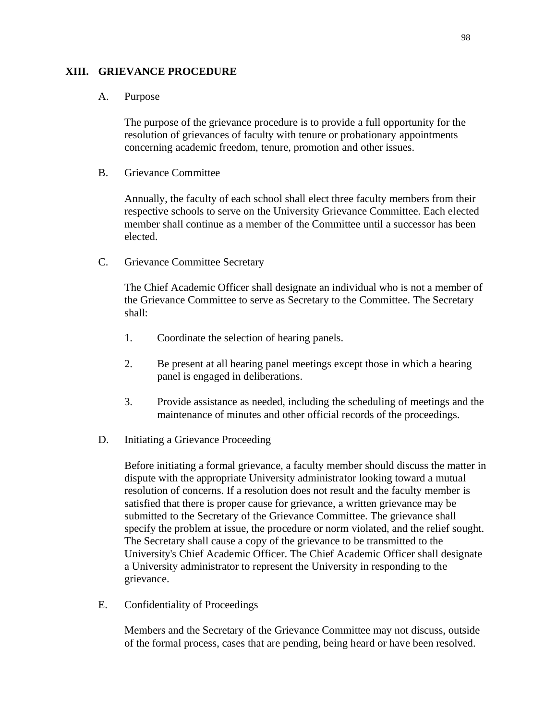### **XIII. GRIEVANCE PROCEDURE**

### A. Purpose

The purpose of the grievance procedure is to provide a full opportunity for the resolution of grievances of faculty with tenure or probationary appointments concerning academic freedom, tenure, promotion and other issues.

B. Grievance Committee

Annually, the faculty of each school shall elect three faculty members from their respective schools to serve on the University Grievance Committee. Each elected member shall continue as a member of the Committee until a successor has been elected.

C. Grievance Committee Secretary

The Chief Academic Officer shall designate an individual who is not a member of the Grievance Committee to serve as Secretary to the Committee. The Secretary shall:

- 1. Coordinate the selection of hearing panels.
- 2. Be present at all hearing panel meetings except those in which a hearing panel is engaged in deliberations.
- 3. Provide assistance as needed, including the scheduling of meetings and the maintenance of minutes and other official records of the proceedings.
- D. Initiating a Grievance Proceeding

Before initiating a formal grievance, a faculty member should discuss the matter in dispute with the appropriate University administrator looking toward a mutual resolution of concerns. If a resolution does not result and the faculty member is satisfied that there is proper cause for grievance, a written grievance may be submitted to the Secretary of the Grievance Committee. The grievance shall specify the problem at issue, the procedure or norm violated, and the relief sought. The Secretary shall cause a copy of the grievance to be transmitted to the University's Chief Academic Officer. The Chief Academic Officer shall designate a University administrator to represent the University in responding to the grievance.

E. Confidentiality of Proceedings

Members and the Secretary of the Grievance Committee may not discuss, outside of the formal process, cases that are pending, being heard or have been resolved.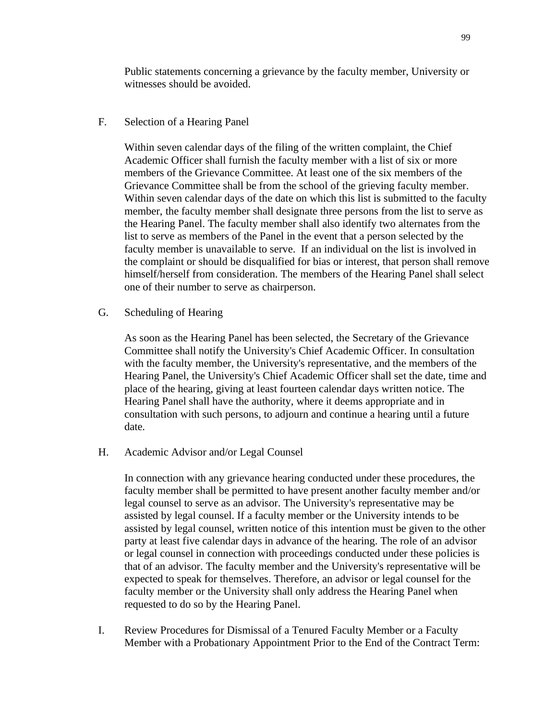Public statements concerning a grievance by the faculty member, University or witnesses should be avoided.

F. Selection of a Hearing Panel

Within seven calendar days of the filing of the written complaint, the Chief Academic Officer shall furnish the faculty member with a list of six or more members of the Grievance Committee. At least one of the six members of the Grievance Committee shall be from the school of the grieving faculty member. Within seven calendar days of the date on which this list is submitted to the faculty member, the faculty member shall designate three persons from the list to serve as the Hearing Panel. The faculty member shall also identify two alternates from the list to serve as members of the Panel in the event that a person selected by the faculty member is unavailable to serve. If an individual on the list is involved in the complaint or should be disqualified for bias or interest, that person shall remove himself/herself from consideration. The members of the Hearing Panel shall select one of their number to serve as chairperson.

G. Scheduling of Hearing

As soon as the Hearing Panel has been selected, the Secretary of the Grievance Committee shall notify the University's Chief Academic Officer. In consultation with the faculty member, the University's representative, and the members of the Hearing Panel, the University's Chief Academic Officer shall set the date, time and place of the hearing, giving at least fourteen calendar days written notice. The Hearing Panel shall have the authority, where it deems appropriate and in consultation with such persons, to adjourn and continue a hearing until a future date.

H. Academic Advisor and/or Legal Counsel

In connection with any grievance hearing conducted under these procedures, the faculty member shall be permitted to have present another faculty member and/or legal counsel to serve as an advisor. The University's representative may be assisted by legal counsel. If a faculty member or the University intends to be assisted by legal counsel, written notice of this intention must be given to the other party at least five calendar days in advance of the hearing. The role of an advisor or legal counsel in connection with proceedings conducted under these policies is that of an advisor. The faculty member and the University's representative will be expected to speak for themselves. Therefore, an advisor or legal counsel for the faculty member or the University shall only address the Hearing Panel when requested to do so by the Hearing Panel.

I. Review Procedures for Dismissal of a Tenured Faculty Member or a Faculty Member with a Probationary Appointment Prior to the End of the Contract Term: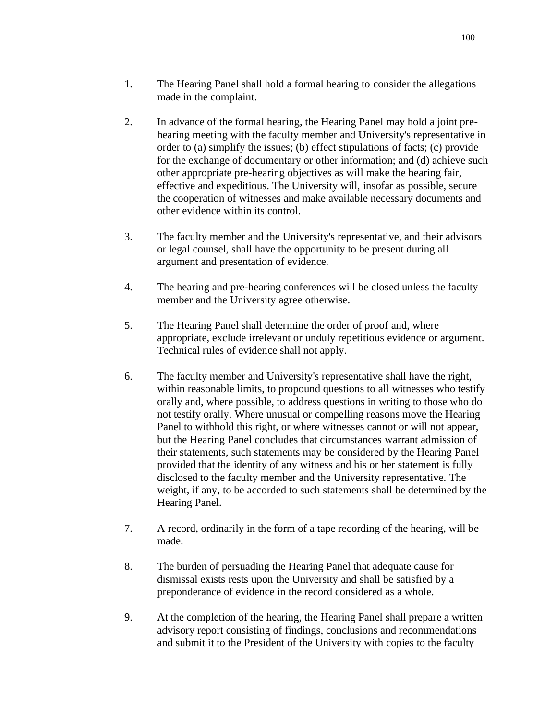- 1. The Hearing Panel shall hold a formal hearing to consider the allegations made in the complaint.
- 2. In advance of the formal hearing, the Hearing Panel may hold a joint prehearing meeting with the faculty member and University's representative in order to (a) simplify the issues; (b) effect stipulations of facts; (c) provide for the exchange of documentary or other information; and (d) achieve such other appropriate pre-hearing objectives as will make the hearing fair, effective and expeditious. The University will, insofar as possible, secure the cooperation of witnesses and make available necessary documents and other evidence within its control.
- 3. The faculty member and the University's representative, and their advisors or legal counsel, shall have the opportunity to be present during all argument and presentation of evidence.
- 4. The hearing and pre-hearing conferences will be closed unless the faculty member and the University agree otherwise.
- 5. The Hearing Panel shall determine the order of proof and, where appropriate, exclude irrelevant or unduly repetitious evidence or argument. Technical rules of evidence shall not apply.
- 6. The faculty member and University's representative shall have the right, within reasonable limits, to propound questions to all witnesses who testify orally and, where possible, to address questions in writing to those who do not testify orally. Where unusual or compelling reasons move the Hearing Panel to withhold this right, or where witnesses cannot or will not appear, but the Hearing Panel concludes that circumstances warrant admission of their statements, such statements may be considered by the Hearing Panel provided that the identity of any witness and his or her statement is fully disclosed to the faculty member and the University representative. The weight, if any, to be accorded to such statements shall be determined by the Hearing Panel.
- 7. A record, ordinarily in the form of a tape recording of the hearing, will be made.
- 8. The burden of persuading the Hearing Panel that adequate cause for dismissal exists rests upon the University and shall be satisfied by a preponderance of evidence in the record considered as a whole.
- 9. At the completion of the hearing, the Hearing Panel shall prepare a written advisory report consisting of findings, conclusions and recommendations and submit it to the President of the University with copies to the faculty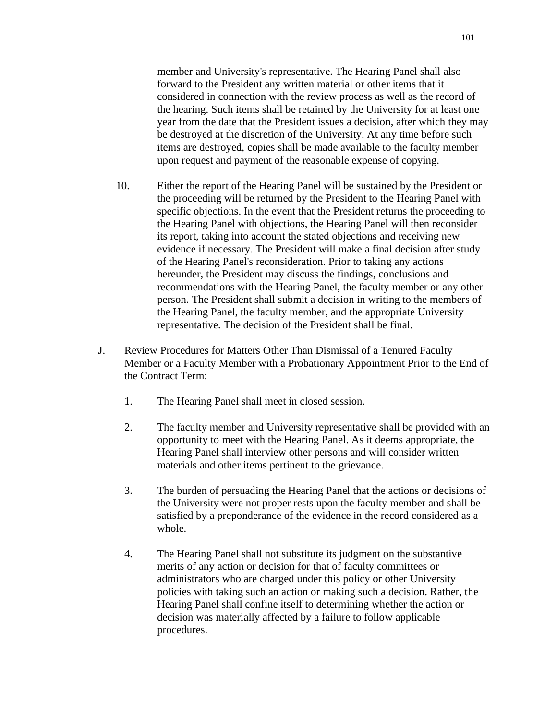member and University's representative. The Hearing Panel shall also forward to the President any written material or other items that it considered in connection with the review process as well as the record of the hearing. Such items shall be retained by the University for at least one year from the date that the President issues a decision, after which they may be destroyed at the discretion of the University. At any time before such items are destroyed, copies shall be made available to the faculty member upon request and payment of the reasonable expense of copying.

- 10. Either the report of the Hearing Panel will be sustained by the President or the proceeding will be returned by the President to the Hearing Panel with specific objections. In the event that the President returns the proceeding to the Hearing Panel with objections, the Hearing Panel will then reconsider its report, taking into account the stated objections and receiving new evidence if necessary. The President will make a final decision after study of the Hearing Panel's reconsideration. Prior to taking any actions hereunder, the President may discuss the findings, conclusions and recommendations with the Hearing Panel, the faculty member or any other person. The President shall submit a decision in writing to the members of the Hearing Panel, the faculty member, and the appropriate University representative. The decision of the President shall be final.
- J. Review Procedures for Matters Other Than Dismissal of a Tenured Faculty Member or a Faculty Member with a Probationary Appointment Prior to the End of the Contract Term:
	- 1. The Hearing Panel shall meet in closed session.
	- 2. The faculty member and University representative shall be provided with an opportunity to meet with the Hearing Panel. As it deems appropriate, the Hearing Panel shall interview other persons and will consider written materials and other items pertinent to the grievance.
	- 3. The burden of persuading the Hearing Panel that the actions or decisions of the University were not proper rests upon the faculty member and shall be satisfied by a preponderance of the evidence in the record considered as a whole.
	- 4. The Hearing Panel shall not substitute its judgment on the substantive merits of any action or decision for that of faculty committees or administrators who are charged under this policy or other University policies with taking such an action or making such a decision. Rather, the Hearing Panel shall confine itself to determining whether the action or decision was materially affected by a failure to follow applicable procedures.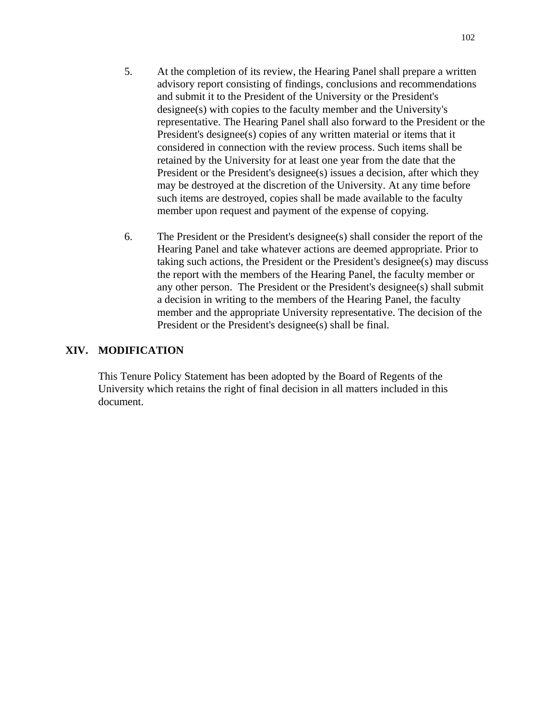- 5. At the completion of its review, the Hearing Panel shall prepare a written advisory report consisting of findings, conclusions and recommendations and submit it to the President of the University or the President's designee(s) with copies to the faculty member and the University's representative. The Hearing Panel shall also forward to the President or the President's designee(s) copies of any written material or items that it considered in connection with the review process. Such items shall be retained by the University for at least one year from the date that the President or the President's designee(s) issues a decision, after which they may be destroyed at the discretion of the University. At any time before such items are destroyed, copies shall be made available to the faculty member upon request and payment of the expense of copying.
- 6. The President or the President's designee(s) shall consider the report of the Hearing Panel and take whatever actions are deemed appropriate. Prior to taking such actions, the President or the President's designee(s) may discuss the report with the members of the Hearing Panel, the faculty member or any other person. The President or the President's designee(s) shall submit a decision in writing to the members of the Hearing Panel, the faculty member and the appropriate University representative. The decision of the President or the President's designee(s) shall be final.

## **XIV. MODIFICATION**

This Tenure Policy Statement has been adopted by the Board of Regents of the University which retains the right of final decision in all matters included in this document.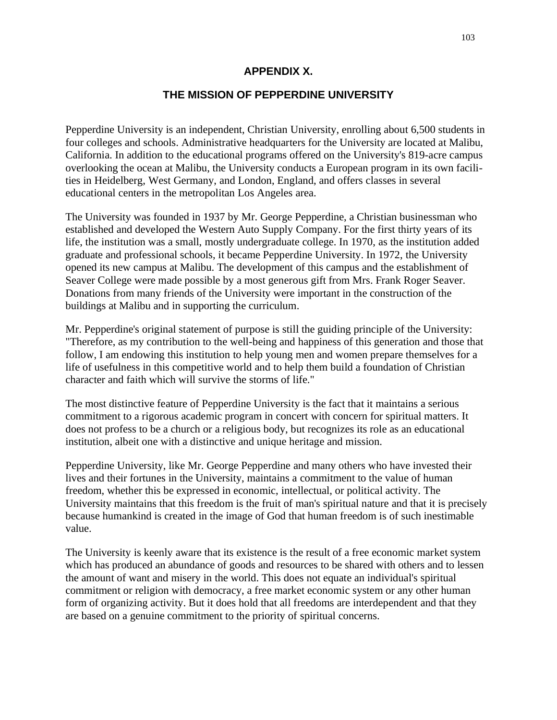## **APPENDIX X.**

### **THE MISSION OF PEPPERDINE UNIVERSITY**

Pepperdine University is an independent, Christian University, enrolling about 6,500 students in four colleges and schools. Administrative headquarters for the University are located at Malibu, California. In addition to the educational programs offered on the University's 819-acre campus overlooking the ocean at Malibu, the University conducts a European program in its own facilities in Heidelberg, West Germany, and London, England, and offers classes in several educational centers in the metropolitan Los Angeles area.

The University was founded in 1937 by Mr. George Pepperdine, a Christian businessman who established and developed the Western Auto Supply Company. For the first thirty years of its life, the institution was a small, mostly undergraduate college. In 1970, as the institution added graduate and professional schools, it became Pepperdine University. In 1972, the University opened its new campus at Malibu. The development of this campus and the establishment of Seaver College were made possible by a most generous gift from Mrs. Frank Roger Seaver. Donations from many friends of the University were important in the construction of the buildings at Malibu and in supporting the curriculum.

Mr. Pepperdine's original statement of purpose is still the guiding principle of the University: "Therefore, as my contribution to the well-being and happiness of this generation and those that follow, I am endowing this institution to help young men and women prepare themselves for a life of usefulness in this competitive world and to help them build a foundation of Christian character and faith which will survive the storms of life."

The most distinctive feature of Pepperdine University is the fact that it maintains a serious commitment to a rigorous academic program in concert with concern for spiritual matters. It does not profess to be a church or a religious body, but recognizes its role as an educational institution, albeit one with a distinctive and unique heritage and mission.

Pepperdine University, like Mr. George Pepperdine and many others who have invested their lives and their fortunes in the University, maintains a commitment to the value of human freedom, whether this be expressed in economic, intellectual, or political activity. The University maintains that this freedom is the fruit of man's spiritual nature and that it is precisely because humankind is created in the image of God that human freedom is of such inestimable value.

The University is keenly aware that its existence is the result of a free economic market system which has produced an abundance of goods and resources to be shared with others and to lessen the amount of want and misery in the world. This does not equate an individual's spiritual commitment or religion with democracy, a free market economic system or any other human form of organizing activity. But it does hold that all freedoms are interdependent and that they are based on a genuine commitment to the priority of spiritual concerns.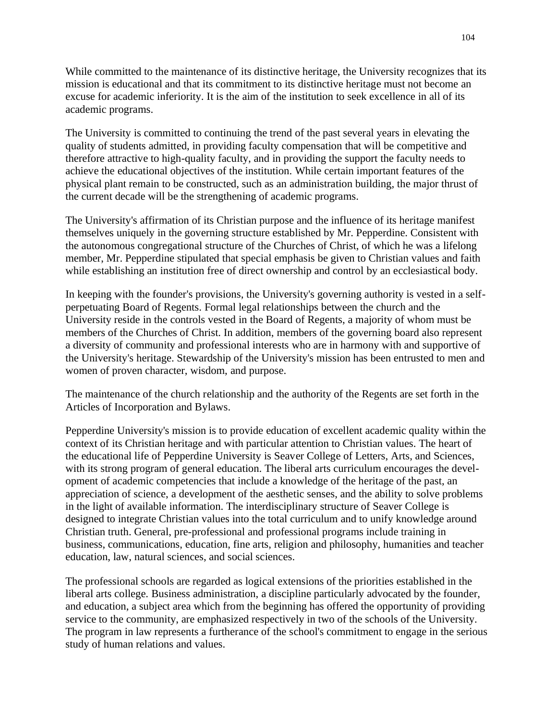While committed to the maintenance of its distinctive heritage, the University recognizes that its mission is educational and that its commitment to its distinctive heritage must not become an excuse for academic inferiority. It is the aim of the institution to seek excellence in all of its academic programs.

The University is committed to continuing the trend of the past several years in elevating the quality of students admitted, in providing faculty compensation that will be competitive and therefore attractive to high-quality faculty, and in providing the support the faculty needs to achieve the educational objectives of the institution. While certain important features of the physical plant remain to be constructed, such as an administration building, the major thrust of the current decade will be the strengthening of academic programs.

The University's affirmation of its Christian purpose and the influence of its heritage manifest themselves uniquely in the governing structure established by Mr. Pepperdine. Consistent with the autonomous congregational structure of the Churches of Christ, of which he was a lifelong member, Mr. Pepperdine stipulated that special emphasis be given to Christian values and faith while establishing an institution free of direct ownership and control by an ecclesiastical body.

In keeping with the founder's provisions, the University's governing authority is vested in a selfperpetuating Board of Regents. Formal legal relationships between the church and the University reside in the controls vested in the Board of Regents, a majority of whom must be members of the Churches of Christ. In addition, members of the governing board also represent a diversity of community and professional interests who are in harmony with and supportive of the University's heritage. Stewardship of the University's mission has been entrusted to men and women of proven character, wisdom, and purpose.

The maintenance of the church relationship and the authority of the Regents are set forth in the Articles of Incorporation and Bylaws.

Pepperdine University's mission is to provide education of excellent academic quality within the context of its Christian heritage and with particular attention to Christian values. The heart of the educational life of Pepperdine University is Seaver College of Letters, Arts, and Sciences, with its strong program of general education. The liberal arts curriculum encourages the development of academic competencies that include a knowledge of the heritage of the past, an appreciation of science, a development of the aesthetic senses, and the ability to solve problems in the light of available information. The interdisciplinary structure of Seaver College is designed to integrate Christian values into the total curriculum and to unify knowledge around Christian truth. General, pre-professional and professional programs include training in business, communications, education, fine arts, religion and philosophy, humanities and teacher education, law, natural sciences, and social sciences.

The professional schools are regarded as logical extensions of the priorities established in the liberal arts college. Business administration, a discipline particularly advocated by the founder, and education, a subject area which from the beginning has offered the opportunity of providing service to the community, are emphasized respectively in two of the schools of the University. The program in law represents a furtherance of the school's commitment to engage in the serious study of human relations and values.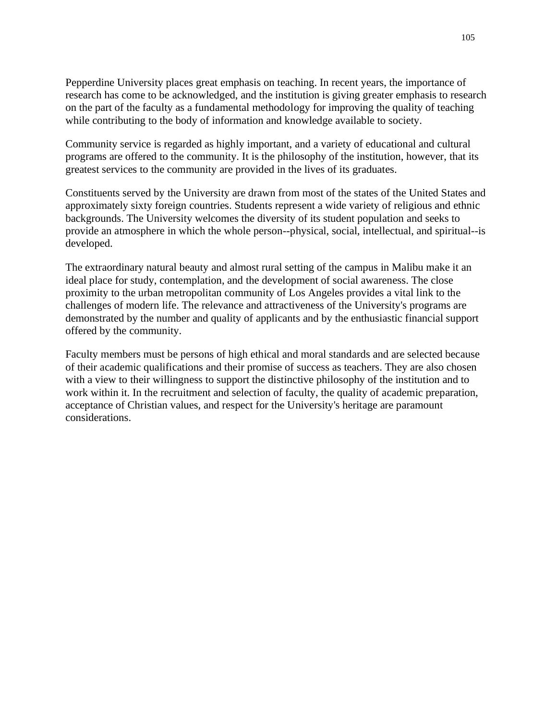Pepperdine University places great emphasis on teaching. In recent years, the importance of research has come to be acknowledged, and the institution is giving greater emphasis to research on the part of the faculty as a fundamental methodology for improving the quality of teaching while contributing to the body of information and knowledge available to society.

Community service is regarded as highly important, and a variety of educational and cultural programs are offered to the community. It is the philosophy of the institution, however, that its greatest services to the community are provided in the lives of its graduates.

Constituents served by the University are drawn from most of the states of the United States and approximately sixty foreign countries. Students represent a wide variety of religious and ethnic backgrounds. The University welcomes the diversity of its student population and seeks to provide an atmosphere in which the whole person--physical, social, intellectual, and spiritual--is developed.

The extraordinary natural beauty and almost rural setting of the campus in Malibu make it an ideal place for study, contemplation, and the development of social awareness. The close proximity to the urban metropolitan community of Los Angeles provides a vital link to the challenges of modern life. The relevance and attractiveness of the University's programs are demonstrated by the number and quality of applicants and by the enthusiastic financial support offered by the community.

Faculty members must be persons of high ethical and moral standards and are selected because of their academic qualifications and their promise of success as teachers. They are also chosen with a view to their willingness to support the distinctive philosophy of the institution and to work within it. In the recruitment and selection of faculty, the quality of academic preparation, acceptance of Christian values, and respect for the University's heritage are paramount considerations.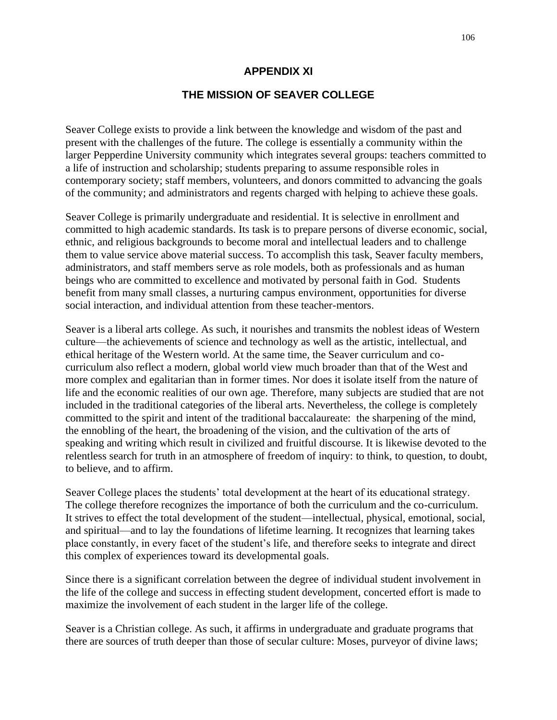## **APPENDIX XI**

## **THE MISSION OF SEAVER COLLEGE**

Seaver College exists to provide a link between the knowledge and wisdom of the past and present with the challenges of the future. The college is essentially a community within the larger Pepperdine University community which integrates several groups: teachers committed to a life of instruction and scholarship; students preparing to assume responsible roles in contemporary society; staff members, volunteers, and donors committed to advancing the goals of the community; and administrators and regents charged with helping to achieve these goals.

Seaver College is primarily undergraduate and residential. It is selective in enrollment and committed to high academic standards. Its task is to prepare persons of diverse economic, social, ethnic, and religious backgrounds to become moral and intellectual leaders and to challenge them to value service above material success. To accomplish this task, Seaver faculty members, administrators, and staff members serve as role models, both as professionals and as human beings who are committed to excellence and motivated by personal faith in God. Students benefit from many small classes, a nurturing campus environment, opportunities for diverse social interaction, and individual attention from these teacher-mentors.

Seaver is a liberal arts college. As such, it nourishes and transmits the noblest ideas of Western culture—the achievements of science and technology as well as the artistic, intellectual, and ethical heritage of the Western world. At the same time, the Seaver curriculum and cocurriculum also reflect a modern, global world view much broader than that of the West and more complex and egalitarian than in former times. Nor does it isolate itself from the nature of life and the economic realities of our own age. Therefore, many subjects are studied that are not included in the traditional categories of the liberal arts. Nevertheless, the college is completely committed to the spirit and intent of the traditional baccalaureate: the sharpening of the mind, the ennobling of the heart, the broadening of the vision, and the cultivation of the arts of speaking and writing which result in civilized and fruitful discourse. It is likewise devoted to the relentless search for truth in an atmosphere of freedom of inquiry: to think, to question, to doubt, to believe, and to affirm.

Seaver College places the students' total development at the heart of its educational strategy. The college therefore recognizes the importance of both the curriculum and the co-curriculum. It strives to effect the total development of the student—intellectual, physical, emotional, social, and spiritual—and to lay the foundations of lifetime learning. It recognizes that learning takes place constantly, in every facet of the student's life, and therefore seeks to integrate and direct this complex of experiences toward its developmental goals.

Since there is a significant correlation between the degree of individual student involvement in the life of the college and success in effecting student development, concerted effort is made to maximize the involvement of each student in the larger life of the college.

Seaver is a Christian college. As such, it affirms in undergraduate and graduate programs that there are sources of truth deeper than those of secular culture: Moses, purveyor of divine laws;